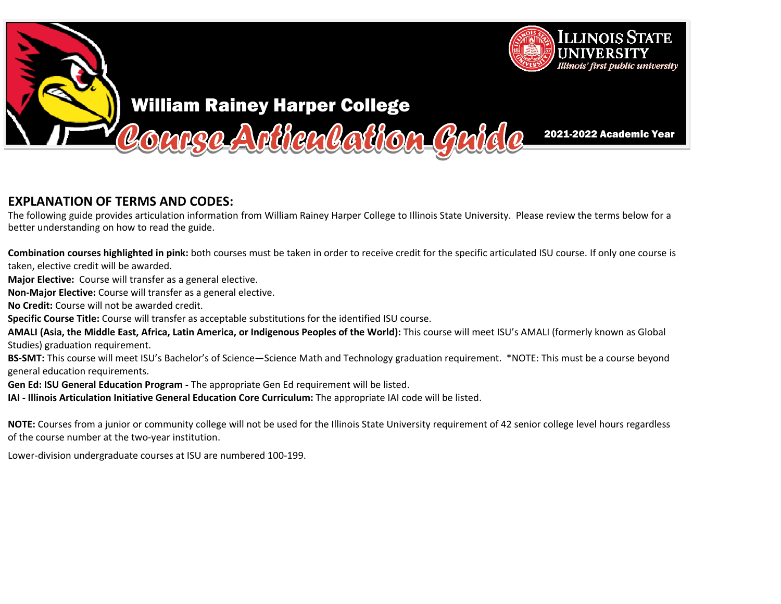

## **EXPLANATION OF TERMS AND CODES:**

The following guide provides articulation information from William Rainey Harper College to Illinois State University. Please review the terms below for a<br>hetter understanding an hauste read the guide better understanding on how to read the guide.

**Combination courses highlighted in pink:** both courses must be taken in order to receive credit for the specific articulated ISU course. If only one course is taken, elective credit will be awarded.

**Major Elective:** Course will transfer as a general elective.

**Non‐Major Elective:** Course will transfer as <sup>a</sup> general elective.

**No Credit:** Course will not be awarded credit.

**Specific Course Title:** Course will transfer as acceptable substitutions for the identified ISU course.

**AMALI (Asia, the Middle East, Africa, Latin America, or Indigenous Peoples of the World):** This course will meet ISU's AMALI (formerly known as Global Studies) graduation requirement.

**BS‐SMT:** This course will meet ISU's Bachelor's of Science—Science Math and Technology graduation requirement. \*NOTE: This must be <sup>a</sup> course beyond general education requirements.

**Gen Ed: ISU General Education Program ‐** The appropriate Gen Ed requirement will be listed.

**IAI ‐ Illinois Articulation Initiative General Education Core Curriculum:** The appropriate IAI code will be listed.

**NOTE:** Courses from a junior or community college will not be used for the Illinois State University requirement of 42 senior college level hours regardless<br>of the secure number at the two westimations of the course number at the two‐year institution.

Lower‐division undergraduate courses at ISU are numbered <sup>100</sup>‐199.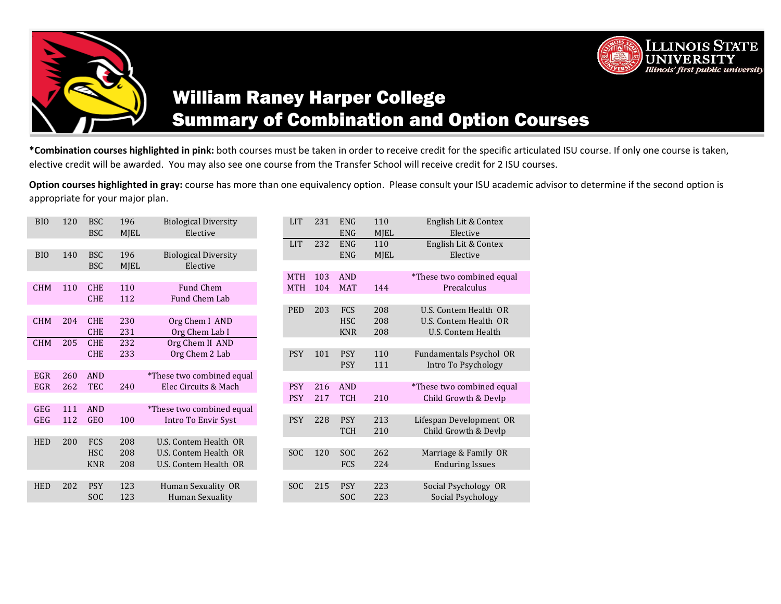



# William Raney Harper College Summary of Combination and Option Courses

**\*Combination courses highlighted in pink:** both courses must be taken in order to receive credit for the specific articulated ISU course. If only one course is taken, elective credit will be awarded.You may also see one course from the Transfer School will receive credit for 2 ISU courses.

**Option courses highlighted in gray:** course has more than one equivalency option. Please consult your ISU academic advisor to determine if the second option is appropriate for your major plan.

| BI <sub>O</sub> | 120 | <b>BSC</b><br><b>BSC</b> | 196<br><b>MJEL</b> | <b>Biological Diversity</b><br>Elective | <b>LIT</b> | 231 | <b>ENG</b><br><b>ENG</b> | 110<br><b>MJEL</b> | English Lit & Contex<br>Elective |
|-----------------|-----|--------------------------|--------------------|-----------------------------------------|------------|-----|--------------------------|--------------------|----------------------------------|
|                 |     |                          |                    |                                         | <b>LIT</b> | 232 | <b>ENG</b>               | 110                | English Lit & Contex             |
| BI <sub>0</sub> | 140 | <b>BSC</b>               | 196                | <b>Biological Diversity</b>             |            |     | <b>ENG</b>               | <b>MJEL</b>        | Elective                         |
|                 |     | <b>BSC</b>               | <b>MJEL</b>        | Elective                                |            |     |                          |                    |                                  |
|                 |     |                          |                    |                                         | <b>MTH</b> | 103 | <b>AND</b>               |                    | *These two combined equal        |
| <b>CHM</b>      | 110 | <b>CHE</b>               | 110                | Fund Chem                               | <b>MTH</b> | 104 | <b>MAT</b>               | 144                | Precalculus                      |
|                 |     | <b>CHE</b>               | 112                | Fund Chem Lab                           |            |     |                          |                    |                                  |
|                 |     |                          |                    |                                         | <b>PED</b> | 203 | <b>FCS</b>               | 208                | U.S. Contem Health OR            |
| <b>CHM</b>      | 204 | <b>CHE</b>               | 230                | Org Chem I AND                          |            |     | <b>HSC</b>               | 208                | U.S. Contem Health OR            |
|                 |     | <b>CHE</b>               | 231                | Org Chem Lab I                          |            |     | <b>KNR</b>               | 208                | U.S. Contem Health               |
| <b>CHM</b>      | 205 | <b>CHE</b>               | 232                | Org Chem II AND                         |            |     |                          |                    |                                  |
|                 |     | <b>CHE</b>               | 233                | Org Chem 2 Lab                          | <b>PSY</b> | 101 | <b>PSY</b>               | 110                | Fundamentals Psychol OR          |
|                 |     |                          |                    |                                         |            |     | <b>PSY</b>               | 111                | Intro To Psychology              |
| <b>EGR</b>      | 260 | <b>AND</b>               |                    | *These two combined equal               |            |     |                          |                    |                                  |
| <b>EGR</b>      | 262 | <b>TEC</b>               | 240                | Elec Circuits & Mach                    | <b>PSY</b> | 216 | <b>AND</b>               |                    | *These two combined equal        |
|                 |     |                          |                    |                                         | <b>PSY</b> | 217 | <b>TCH</b>               | 210                | Child Growth & Devlp             |
| <b>GEG</b>      | 111 | <b>AND</b>               |                    | *These two combined equal               |            |     |                          |                    |                                  |
| <b>GEG</b>      | 112 | <b>GEO</b>               | 100                | Intro To Envir Syst                     | <b>PSY</b> | 228 | <b>PSY</b>               | 213                | Lifespan Development OR          |
|                 |     |                          |                    |                                         |            |     | <b>TCH</b>               | 210                | Child Growth & Devlp             |
| <b>HED</b>      | 200 | FCS                      | 208                | U.S. Contem Health OR                   |            |     |                          |                    |                                  |
|                 |     | <b>HSC</b>               | 208                | U.S. Contem Health OR                   | <b>SOC</b> | 120 | <b>SOC</b>               | 262                | Marriage & Family OR             |
|                 |     | <b>KNR</b>               | 208                | U.S. Contem Health OR                   |            |     | <b>FCS</b>               | 224                | <b>Enduring Issues</b>           |
|                 |     |                          |                    |                                         |            |     |                          |                    |                                  |
| <b>HED</b>      | 202 | <b>PSY</b>               | 123                | Human Sexuality OR                      | <b>SOC</b> | 215 | <b>PSY</b>               | 223                | Social Psychology OR             |
|                 |     | <b>SOC</b>               | 123                | Human Sexuality                         |            |     | <b>SOC</b>               | 223                | <b>Social Psychology</b>         |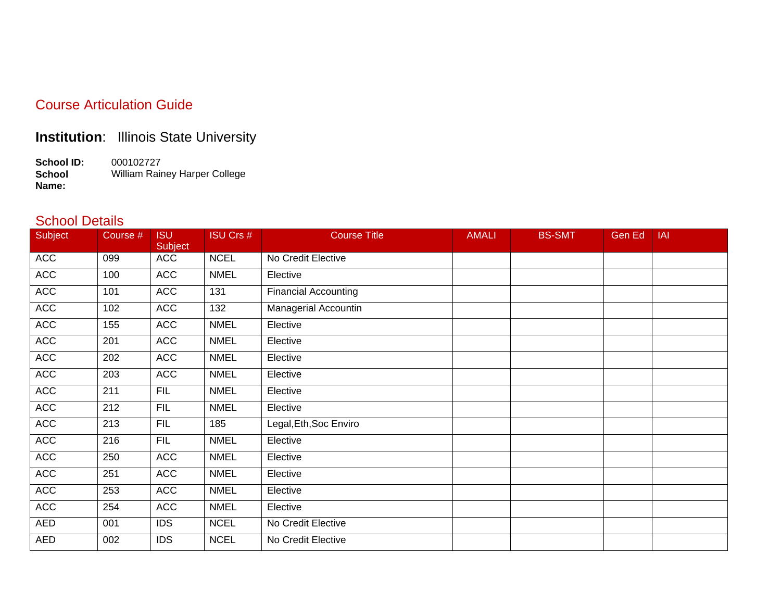#### Course Articulation Guide

### **Institution**: Illinois State University

**School ID:** 000102727 **School Name:** William Rainey Harper College

#### School Details

| Subject    | Course # | <b>ISU</b><br>Subject | <b>ISU Crs #</b> | <b>Course Title</b>         | <b>AMALI</b> | <b>BS-SMT</b> | Gen Ed | IAI |
|------------|----------|-----------------------|------------------|-----------------------------|--------------|---------------|--------|-----|
| <b>ACC</b> | 099      | <b>ACC</b>            | <b>NCEL</b>      | No Credit Elective          |              |               |        |     |
| <b>ACC</b> | 100      | <b>ACC</b>            | <b>NMEL</b>      | Elective                    |              |               |        |     |
| <b>ACC</b> | 101      | <b>ACC</b>            | 131              | <b>Financial Accounting</b> |              |               |        |     |
| <b>ACC</b> | 102      | <b>ACC</b>            | 132              | <b>Managerial Accountin</b> |              |               |        |     |
| <b>ACC</b> | 155      | <b>ACC</b>            | <b>NMEL</b>      | Elective                    |              |               |        |     |
| <b>ACC</b> | 201      | <b>ACC</b>            | <b>NMEL</b>      | Elective                    |              |               |        |     |
| <b>ACC</b> | 202      | <b>ACC</b>            | <b>NMEL</b>      | Elective                    |              |               |        |     |
| <b>ACC</b> | 203      | <b>ACC</b>            | <b>NMEL</b>      | Elective                    |              |               |        |     |
| <b>ACC</b> | 211      | <b>FIL</b>            | <b>NMEL</b>      | Elective                    |              |               |        |     |
| <b>ACC</b> | 212      | <b>FIL</b>            | <b>NMEL</b>      | Elective                    |              |               |        |     |
| <b>ACC</b> | 213      | <b>FIL</b>            | 185              | Legal, Eth, Soc Enviro      |              |               |        |     |
| <b>ACC</b> | 216      | <b>FIL</b>            | <b>NMEL</b>      | Elective                    |              |               |        |     |
| <b>ACC</b> | 250      | <b>ACC</b>            | <b>NMEL</b>      | Elective                    |              |               |        |     |
| <b>ACC</b> | 251      | <b>ACC</b>            | <b>NMEL</b>      | Elective                    |              |               |        |     |
| <b>ACC</b> | 253      | <b>ACC</b>            | <b>NMEL</b>      | Elective                    |              |               |        |     |
| <b>ACC</b> | 254      | <b>ACC</b>            | <b>NMEL</b>      | Elective                    |              |               |        |     |
| AED        | 001      | <b>IDS</b>            | <b>NCEL</b>      | No Credit Elective          |              |               |        |     |
| AED        | 002      | <b>IDS</b>            | <b>NCEL</b>      | No Credit Elective          |              |               |        |     |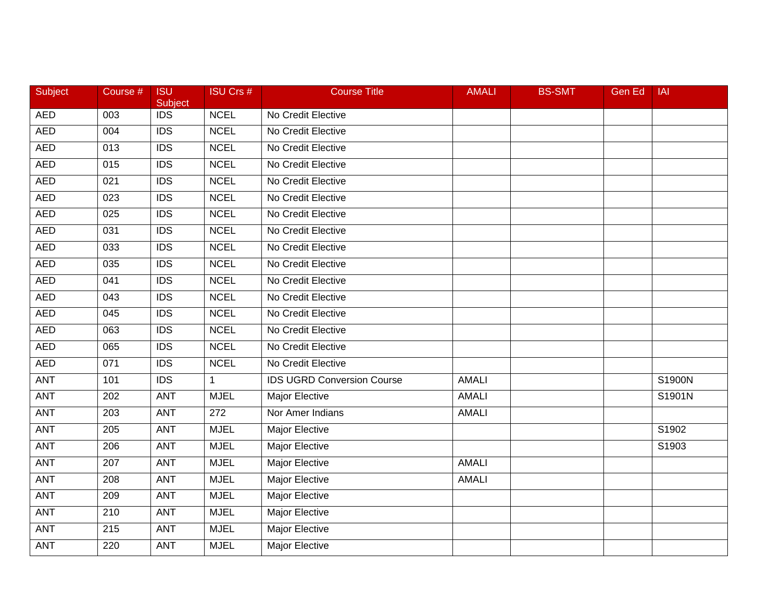| Subject    | Course #         | <b>ISU</b><br>Subject | <b>ISU Crs #</b> | <b>Course Title</b>               | <b>AMALI</b> | <b>BS-SMT</b> | Gen Ed | <b>IAI</b> |
|------------|------------------|-----------------------|------------------|-----------------------------------|--------------|---------------|--------|------------|
| <b>AED</b> | 003              | $\overline{IDS}$      | <b>NCEL</b>      | No Credit Elective                |              |               |        |            |
| <b>AED</b> | 004              | $\overline{IDS}$      | <b>NCEL</b>      | No Credit Elective                |              |               |        |            |
| <b>AED</b> | 013              | <b>IDS</b>            | <b>NCEL</b>      | No Credit Elective                |              |               |        |            |
| <b>AED</b> | 015              | $\overline{IDS}$      | <b>NCEL</b>      | No Credit Elective                |              |               |        |            |
| <b>AED</b> | 021              | <b>IDS</b>            | <b>NCEL</b>      | No Credit Elective                |              |               |        |            |
| <b>AED</b> | 023              | <b>IDS</b>            | <b>NCEL</b>      | No Credit Elective                |              |               |        |            |
| <b>AED</b> | 025              | $\overline{IDS}$      | <b>NCEL</b>      | No Credit Elective                |              |               |        |            |
| <b>AED</b> | 031              | <b>IDS</b>            | <b>NCEL</b>      | No Credit Elective                |              |               |        |            |
| <b>AED</b> | 033              | $\overline{IDS}$      | <b>NCEL</b>      | No Credit Elective                |              |               |        |            |
| <b>AED</b> | 035              | <b>IDS</b>            | <b>NCEL</b>      | No Credit Elective                |              |               |        |            |
| <b>AED</b> | 041              | <b>IDS</b>            | <b>NCEL</b>      | No Credit Elective                |              |               |        |            |
| <b>AED</b> | 043              | $\overline{IDS}$      | <b>NCEL</b>      | No Credit Elective                |              |               |        |            |
| <b>AED</b> | 045              | $\overline{IDS}$      | <b>NCEL</b>      | No Credit Elective                |              |               |        |            |
| <b>AED</b> | 063              | <b>IDS</b>            | <b>NCEL</b>      | No Credit Elective                |              |               |        |            |
| <b>AED</b> | 065              | <b>IDS</b>            | <b>NCEL</b>      | No Credit Elective                |              |               |        |            |
| <b>AED</b> | 071              | <b>IDS</b>            | <b>NCEL</b>      | No Credit Elective                |              |               |        |            |
| <b>ANT</b> | 101              | $\overline{IDS}$      | $\mathbf 1$      | <b>IDS UGRD Conversion Course</b> | <b>AMALI</b> |               |        | S1900N     |
| <b>ANT</b> | $\overline{202}$ | <b>ANT</b>            | <b>MJEL</b>      | <b>Major Elective</b>             | <b>AMALI</b> |               |        | S1901N     |
| ANT        | 203              | <b>ANT</b>            | 272              | Nor Amer Indians                  | <b>AMALI</b> |               |        |            |
| <b>ANT</b> | 205              | <b>ANT</b>            | <b>MJEL</b>      | Major Elective                    |              |               |        | S1902      |
| <b>ANT</b> | 206              | <b>ANT</b>            | <b>MJEL</b>      | Major Elective                    |              |               |        | S1903      |
| <b>ANT</b> | 207              | <b>ANT</b>            | <b>MJEL</b>      | <b>Major Elective</b>             | <b>AMALI</b> |               |        |            |
| <b>ANT</b> | $\overline{208}$ | <b>ANT</b>            | <b>MJEL</b>      | <b>Major Elective</b>             | <b>AMALI</b> |               |        |            |
| <b>ANT</b> | 209              | <b>ANT</b>            | <b>MJEL</b>      | Major Elective                    |              |               |        |            |
| ANT        | 210              | <b>ANT</b>            | <b>MJEL</b>      | Major Elective                    |              |               |        |            |
| <b>ANT</b> | 215              | <b>ANT</b>            | <b>MJEL</b>      | Major Elective                    |              |               |        |            |
| <b>ANT</b> | 220              | ANT                   | <b>MJEL</b>      | Major Elective                    |              |               |        |            |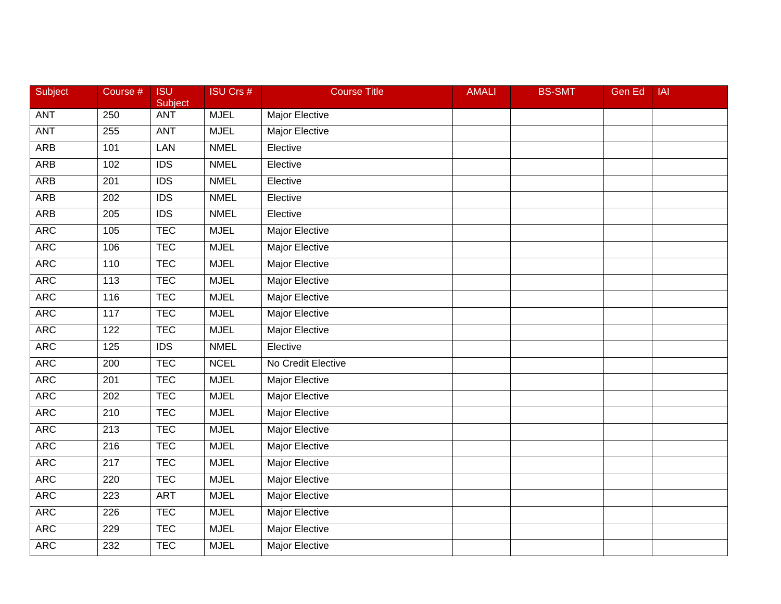| <b>Subject</b> | Course #         | <b>ISU</b><br>Subject | <b>ISU Crs #</b> | <b>Course Title</b>   | <b>AMALI</b> | <b>BS-SMT</b> | <b>Gen Ed</b> | <b>IAI</b> |
|----------------|------------------|-----------------------|------------------|-----------------------|--------------|---------------|---------------|------------|
| ANT            | 250              | <b>ANT</b>            | <b>MJEL</b>      | Major Elective        |              |               |               |            |
| <b>ANT</b>     | 255              | <b>ANT</b>            | <b>MJEL</b>      | <b>Major Elective</b> |              |               |               |            |
| <b>ARB</b>     | 101              | LAN                   | <b>NMEL</b>      | Elective              |              |               |               |            |
| <b>ARB</b>     | 102              | $\overline{IDS}$      | <b>NMEL</b>      | Elective              |              |               |               |            |
| <b>ARB</b>     | 201              | <b>IDS</b>            | <b>NMEL</b>      | Elective              |              |               |               |            |
| <b>ARB</b>     | 202              | <b>IDS</b>            | <b>NMEL</b>      | Elective              |              |               |               |            |
| <b>ARB</b>     | 205              | $\overline{IDS}$      | <b>NMEL</b>      | Elective              |              |               |               |            |
| <b>ARC</b>     | 105              | <b>TEC</b>            | <b>MJEL</b>      | <b>Major Elective</b> |              |               |               |            |
| <b>ARC</b>     | 106              | <b>TEC</b>            | <b>MJEL</b>      | <b>Major Elective</b> |              |               |               |            |
| <b>ARC</b>     | 110              | <b>TEC</b>            | <b>MJEL</b>      | <b>Major Elective</b> |              |               |               |            |
| <b>ARC</b>     | 113              | <b>TEC</b>            | <b>MJEL</b>      | Major Elective        |              |               |               |            |
| <b>ARC</b>     | 116              | <b>TEC</b>            | <b>MJEL</b>      | <b>Major Elective</b> |              |               |               |            |
| <b>ARC</b>     | 117              | <b>TEC</b>            | <b>MJEL</b>      | <b>Major Elective</b> |              |               |               |            |
| <b>ARC</b>     | 122              | <b>TEC</b>            | <b>MJEL</b>      | <b>Major Elective</b> |              |               |               |            |
| <b>ARC</b>     | 125              | <b>IDS</b>            | <b>NMEL</b>      | Elective              |              |               |               |            |
| <b>ARC</b>     | 200              | <b>TEC</b>            | <b>NCEL</b>      | No Credit Elective    |              |               |               |            |
| <b>ARC</b>     | 201              | <b>TEC</b>            | <b>MJEL</b>      | <b>Major Elective</b> |              |               |               |            |
| <b>ARC</b>     | $\overline{202}$ | <b>TEC</b>            | <b>MJEL</b>      | <b>Major Elective</b> |              |               |               |            |
| <b>ARC</b>     | 210              | <b>TEC</b>            | <b>MJEL</b>      | Major Elective        |              |               |               |            |
| <b>ARC</b>     | 213              | <b>TEC</b>            | <b>MJEL</b>      | Major Elective        |              |               |               |            |
| <b>ARC</b>     | 216              | <b>TEC</b>            | <b>MJEL</b>      | <b>Major Elective</b> |              |               |               |            |
| <b>ARC</b>     | $\overline{217}$ | <b>TEC</b>            | <b>MJEL</b>      | <b>Major Elective</b> |              |               |               |            |
| <b>ARC</b>     | 220              | <b>TEC</b>            | <b>MJEL</b>      | <b>Major Elective</b> |              |               |               |            |
| <b>ARC</b>     | 223              | <b>ART</b>            | <b>MJEL</b>      | <b>Major Elective</b> |              |               |               |            |
| <b>ARC</b>     | 226              | <b>TEC</b>            | <b>MJEL</b>      | Major Elective        |              |               |               |            |
| <b>ARC</b>     | 229              | <b>TEC</b>            | <b>MJEL</b>      | Major Elective        |              |               |               |            |
| <b>ARC</b>     | 232              | <b>TEC</b>            | <b>MJEL</b>      | <b>Major Elective</b> |              |               |               |            |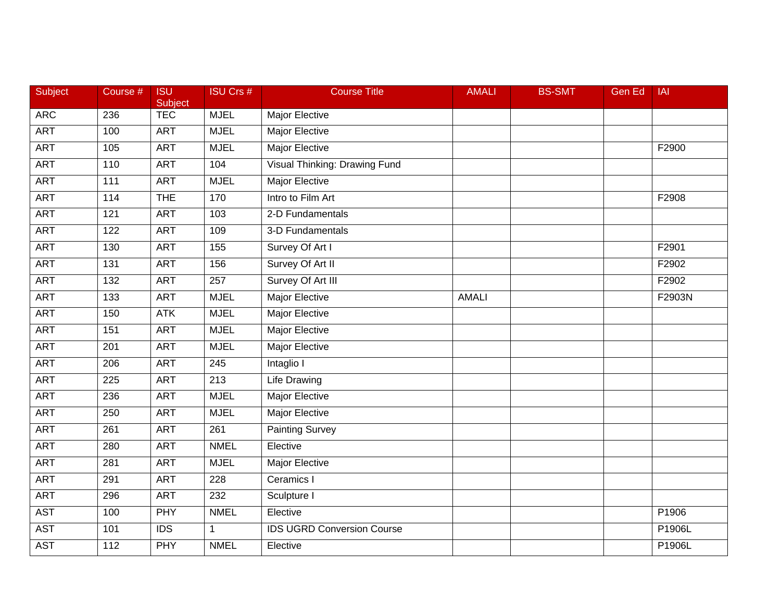| Subject    | Course #         | <b>ISU</b><br>Subject | <b>ISU Crs #</b> | <b>Course Title</b>               | <b>AMALI</b> | <b>BS-SMT</b> | Gen Ed | <b>IAI</b> |
|------------|------------------|-----------------------|------------------|-----------------------------------|--------------|---------------|--------|------------|
| <b>ARC</b> | 236              | <b>TEC</b>            | <b>MJEL</b>      | Major Elective                    |              |               |        |            |
| <b>ART</b> | 100              | <b>ART</b>            | <b>MJEL</b>      | <b>Major Elective</b>             |              |               |        |            |
| <b>ART</b> | 105              | <b>ART</b>            | <b>MJEL</b>      | <b>Major Elective</b>             |              |               |        | F2900      |
| <b>ART</b> | 110              | <b>ART</b>            | 104              | Visual Thinking: Drawing Fund     |              |               |        |            |
| <b>ART</b> | 111              | <b>ART</b>            | <b>MJEL</b>      | <b>Major Elective</b>             |              |               |        |            |
| <b>ART</b> | 114              | <b>THE</b>            | 170              | Intro to Film Art                 |              |               |        | F2908      |
| <b>ART</b> | 121              | <b>ART</b>            | 103              | 2-D Fundamentals                  |              |               |        |            |
| <b>ART</b> | 122              | <b>ART</b>            | 109              | 3-D Fundamentals                  |              |               |        |            |
| <b>ART</b> | 130              | <b>ART</b>            | 155              | Survey Of Art I                   |              |               |        | F2901      |
| <b>ART</b> | $\overline{131}$ | <b>ART</b>            | 156              | Survey Of Art II                  |              |               |        | F2902      |
| <b>ART</b> | 132              | <b>ART</b>            | 257              | Survey Of Art III                 |              |               |        | F2902      |
| <b>ART</b> | $\overline{133}$ | <b>ART</b>            | <b>MJEL</b>      | <b>Major Elective</b>             | <b>AMALI</b> |               |        | F2903N     |
| <b>ART</b> | 150              | <b>ATK</b>            | <b>MJEL</b>      | <b>Major Elective</b>             |              |               |        |            |
| <b>ART</b> | 151              | <b>ART</b>            | <b>MJEL</b>      | <b>Major Elective</b>             |              |               |        |            |
| <b>ART</b> | 201              | <b>ART</b>            | <b>MJEL</b>      | <b>Major Elective</b>             |              |               |        |            |
| <b>ART</b> | 206              | <b>ART</b>            | 245              | Intaglio I                        |              |               |        |            |
| <b>ART</b> | $\overline{225}$ | <b>ART</b>            | $\overline{213}$ | <b>Life Drawing</b>               |              |               |        |            |
| <b>ART</b> | 236              | <b>ART</b>            | <b>MJEL</b>      | <b>Major Elective</b>             |              |               |        |            |
| <b>ART</b> | 250              | <b>ART</b>            | <b>MJEL</b>      | <b>Major Elective</b>             |              |               |        |            |
| <b>ART</b> | 261              | <b>ART</b>            | $\overline{261}$ | <b>Painting Survey</b>            |              |               |        |            |
| <b>ART</b> | 280              | <b>ART</b>            | <b>NMEL</b>      | Elective                          |              |               |        |            |
| <b>ART</b> | 281              | <b>ART</b>            | <b>MJEL</b>      | Major Elective                    |              |               |        |            |
| <b>ART</b> | 291              | <b>ART</b>            | 228              | Ceramics I                        |              |               |        |            |
| <b>ART</b> | 296              | <b>ART</b>            | 232              | Sculpture I                       |              |               |        |            |
| <b>AST</b> | 100              | PHY                   | <b>NMEL</b>      | Elective                          |              |               |        | P1906      |
| <b>AST</b> | 101              | <b>IDS</b>            | $\mathbf{1}$     | <b>IDS UGRD Conversion Course</b> |              |               |        | P1906L     |
| <b>AST</b> | $\frac{11}{2}$   | PHY                   | <b>NMEL</b>      | Elective                          |              |               |        | P1906L     |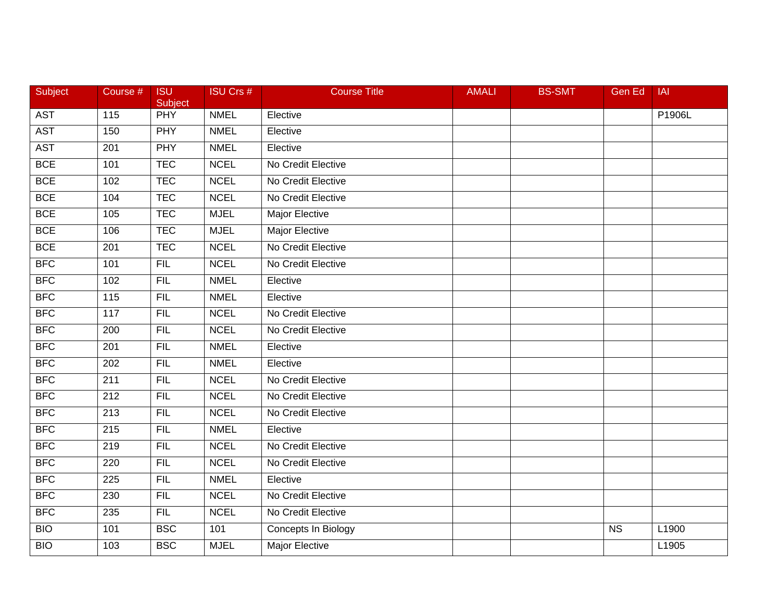| Subject    | Course #          | <b>ISU</b><br>Subject | <b>ISU Crs #</b> | <b>Course Title</b>   | <b>AMALI</b> | <b>BS-SMT</b> | Gen Ed    | <b>IAI</b> |
|------------|-------------------|-----------------------|------------------|-----------------------|--------------|---------------|-----------|------------|
| <b>AST</b> | $\frac{115}{115}$ | PHY                   | <b>NMEL</b>      | Elective              |              |               |           | P1906L     |
| <b>AST</b> | 150               | <b>PHY</b>            | <b>NMEL</b>      | Elective              |              |               |           |            |
| <b>AST</b> | 201               | <b>PHY</b>            | <b>NMEL</b>      | Elective              |              |               |           |            |
| <b>BCE</b> | 101               | <b>TEC</b>            | <b>NCEL</b>      | No Credit Elective    |              |               |           |            |
| <b>BCE</b> | 102               | <b>TEC</b>            | <b>NCEL</b>      | No Credit Elective    |              |               |           |            |
| <b>BCE</b> | 104               | <b>TEC</b>            | <b>NCEL</b>      | No Credit Elective    |              |               |           |            |
| <b>BCE</b> | 105               | <b>TEC</b>            | <b>MJEL</b>      | <b>Major Elective</b> |              |               |           |            |
| <b>BCE</b> | 106               | <b>TEC</b>            | <b>MJEL</b>      | <b>Major Elective</b> |              |               |           |            |
| <b>BCE</b> | 201               | <b>TEC</b>            | <b>NCEL</b>      | No Credit Elective    |              |               |           |            |
| <b>BFC</b> | 101               | <b>FIL</b>            | <b>NCEL</b>      | No Credit Elective    |              |               |           |            |
| <b>BFC</b> | 102               | <b>FIL</b>            | <b>NMEL</b>      | Elective              |              |               |           |            |
| <b>BFC</b> | 115               | FIL                   | <b>NMEL</b>      | Elective              |              |               |           |            |
| <b>BFC</b> | 117               | <b>FIL</b>            | <b>NCEL</b>      | No Credit Elective    |              |               |           |            |
| BFC        | 200               | FIL                   | <b>NCEL</b>      | No Credit Elective    |              |               |           |            |
| BFC        | 201               | <b>FIL</b>            | <b>NMEL</b>      | Elective              |              |               |           |            |
| <b>BFC</b> | 202               | <b>FIL</b>            | <b>NMEL</b>      | Elective              |              |               |           |            |
| <b>BFC</b> | $\overline{211}$  | FIL                   | <b>NCEL</b>      | No Credit Elective    |              |               |           |            |
| <b>BFC</b> | $\overline{212}$  | FIL                   | <b>NCEL</b>      | No Credit Elective    |              |               |           |            |
| <b>BFC</b> | 213               | <b>FIL</b>            | <b>NCEL</b>      | No Credit Elective    |              |               |           |            |
| <b>BFC</b> | 215               | <b>FIL</b>            | <b>NMEL</b>      | Elective              |              |               |           |            |
| <b>BFC</b> | 219               | <b>FIL</b>            | <b>NCEL</b>      | No Credit Elective    |              |               |           |            |
| <b>BFC</b> | 220               | FIL                   | <b>NCEL</b>      | No Credit Elective    |              |               |           |            |
| <b>BFC</b> | $\overline{225}$  | FIL                   | <b>NMEL</b>      | Elective              |              |               |           |            |
| BFC        | 230               | FIL                   | <b>NCEL</b>      | No Credit Elective    |              |               |           |            |
| BFC        | 235               | <b>FIL</b>            | <b>NCEL</b>      | No Credit Elective    |              |               |           |            |
| <b>BIO</b> | 101               | <b>BSC</b>            | 101              | Concepts In Biology   |              |               | <b>NS</b> | L1900      |
| <b>BIO</b> | 103               | <b>BSC</b>            | <b>MJEL</b>      | <b>Major Elective</b> |              |               |           | L1905      |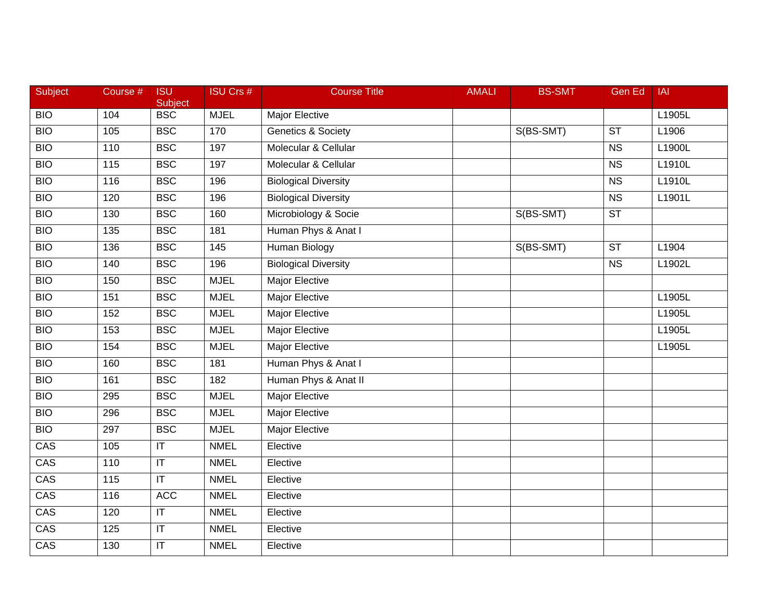| <b>Subject</b> | Course # | <b>ISU</b><br><b>Subject</b> | <b>ISU Crs #</b>  | <b>Course Title</b>           | <b>AMALI</b> | <b>BS-SMT</b> | <b>Gen Ed</b>          | <b>IAI</b> |
|----------------|----------|------------------------------|-------------------|-------------------------------|--------------|---------------|------------------------|------------|
| <b>BIO</b>     | 104      | <b>BSC</b>                   | <b>MJEL</b>       | Major Elective                |              |               |                        | L1905L     |
| <b>BIO</b>     | 105      | <b>BSC</b>                   | 170               | <b>Genetics &amp; Society</b> |              | S(BS-SMT)     | ST                     | L1906      |
| <b>BIO</b>     | 110      | <b>BSC</b>                   | 197               | Molecular & Cellular          |              |               | $\overline{\text{NS}}$ | L1900L     |
| <b>BIO</b>     | 115      | <b>BSC</b>                   | 197               | Molecular & Cellular          |              |               | $\overline{\text{NS}}$ | L1910L     |
| <b>BIO</b>     | 116      | <b>BSC</b>                   | 196               | <b>Biological Diversity</b>   |              |               | <b>NS</b>              | L1910L     |
| <b>BIO</b>     | 120      | <b>BSC</b>                   | 196               | <b>Biological Diversity</b>   |              |               | <b>NS</b>              | L1901L     |
| <b>BIO</b>     | 130      | <b>BSC</b>                   | 160               | Microbiology & Socie          |              | S(BS-SMT)     | $\overline{\text{ST}}$ |            |
| <b>BIO</b>     | 135      | <b>BSC</b>                   | 181               | Human Phys & Anat I           |              |               |                        |            |
| <b>BIO</b>     | 136      | <b>BSC</b>                   | $\frac{145}{145}$ | Human Biology                 |              | S(BS-SMT)     | $\overline{\text{ST}}$ | L1904      |
| <b>BIO</b>     | 140      | <b>BSC</b>                   | 196               | <b>Biological Diversity</b>   |              |               | <b>NS</b>              | L1902L     |
| <b>BIO</b>     | 150      | <b>BSC</b>                   | <b>MJEL</b>       | Major Elective                |              |               |                        |            |
| <b>BIO</b>     | 151      | <b>BSC</b>                   | <b>MJEL</b>       | <b>Major Elective</b>         |              |               |                        | L1905L     |
| <b>BIO</b>     | 152      | <b>BSC</b>                   | <b>MJEL</b>       | <b>Major Elective</b>         |              |               |                        | L1905L     |
| <b>BIO</b>     | 153      | <b>BSC</b>                   | <b>MJEL</b>       | <b>Major Elective</b>         |              |               |                        | L1905L     |
| <b>BIO</b>     | 154      | <b>BSC</b>                   | <b>MJEL</b>       | <b>Major Elective</b>         |              |               |                        | L1905L     |
| <b>BIO</b>     | 160      | <b>BSC</b>                   | 181               | Human Phys & Anat I           |              |               |                        |            |
| <b>BIO</b>     | 161      | <b>BSC</b>                   | 182               | Human Phys & Anat II          |              |               |                        |            |
| <b>BIO</b>     | 295      | <b>BSC</b>                   | <b>MJEL</b>       | <b>Major Elective</b>         |              |               |                        |            |
| <b>BIO</b>     | 296      | <b>BSC</b>                   | <b>MJEL</b>       | <b>Major Elective</b>         |              |               |                        |            |
| <b>BIO</b>     | 297      | <b>BSC</b>                   | <b>MJEL</b>       | <b>Major Elective</b>         |              |               |                        |            |
| CAS            | 105      | $\mathsf{I}\mathsf{T}$       | <b>NMEL</b>       | Elective                      |              |               |                        |            |
| CAS            | 110      | $\overline{\mathbb{I}}$      | <b>NMEL</b>       | Elective                      |              |               |                        |            |
| CAS            | 115      | $\overline{\mathsf{T}}$      | <b>NMEL</b>       | Elective                      |              |               |                        |            |
| CAS            | 116      | <b>ACC</b>                   | <b>NMEL</b>       | Elective                      |              |               |                        |            |
| CAS            | 120      | $\sf IT$                     | <b>NMEL</b>       | Elective                      |              |               |                        |            |
| CAS            | 125      | $\sf IT$                     | <b>NMEL</b>       | Elective                      |              |               |                        |            |
| CAS            | 130      | $\overline{\mathsf{T}}$      | <b>NMEL</b>       | Elective                      |              |               |                        |            |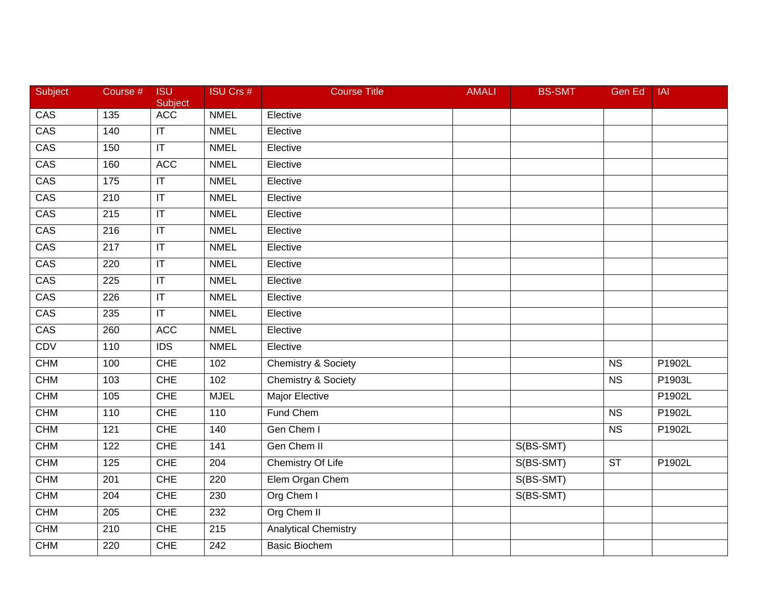| Subject    | Course # | <b>ISU</b><br>Subject             | <b>ISU Crs #</b> | <b>Course Title</b>            | <b>AMALI</b> | <b>BS-SMT</b> | Gen Ed                 | <b>IAI</b>          |
|------------|----------|-----------------------------------|------------------|--------------------------------|--------------|---------------|------------------------|---------------------|
| CAS        | 135      | ACC                               | <b>NMEL</b>      | Elective                       |              |               |                        |                     |
| CAS        | 140      | $\mathsf{I}\mathsf{T}$            | <b>NMEL</b>      | Elective                       |              |               |                        |                     |
| CAS        | 150      | $ \mathsf{T} $                    | <b>NMEL</b>      | Elective                       |              |               |                        |                     |
| CAS        | 160      | <b>ACC</b>                        | <b>NMEL</b>      | Elective                       |              |               |                        |                     |
| CAS        | 175      | $ \mathsf{T} $                    | <b>NMEL</b>      | Elective                       |              |               |                        |                     |
| CAS        | 210      | $\sf IT$                          | <b>NMEL</b>      | Elective                       |              |               |                        |                     |
| CAS        | 215      | $\overline{\mathbb{T}}$           | <b>NMEL</b>      | Elective                       |              |               |                        |                     |
| CAS        | 216      | $ \mathsf{T} $                    | <b>NMEL</b>      | Elective                       |              |               |                        |                     |
| CAS        | 217      | $\overline{\mathsf{I}\mathsf{T}}$ | <b>NMEL</b>      | Elective                       |              |               |                        |                     |
| CAS        | 220      | $\mathsf{I}\mathsf{T}$            | <b>NMEL</b>      | Elective                       |              |               |                        |                     |
| CAS        | 225      | $\mathsf{I}\mathsf{T}$            | <b>NMEL</b>      | Elective                       |              |               |                        |                     |
| CAS        | 226      | $\overline{\mathbb{T}}$           | <b>NMEL</b>      | Elective                       |              |               |                        |                     |
| CAS        | 235      | $\overline{\mathbb{T}}$           | <b>NMEL</b>      | Elective                       |              |               |                        |                     |
| CAS        | 260      | <b>ACC</b>                        | <b>NMEL</b>      | Elective                       |              |               |                        |                     |
| <b>CDV</b> | 110      | $\overline{IDS}$                  | <b>NMEL</b>      | Elective                       |              |               |                        |                     |
| <b>CHM</b> | 100      | <b>CHE</b>                        | 102              | <b>Chemistry &amp; Society</b> |              |               | <b>NS</b>              | P1902L              |
| <b>CHM</b> | 103      | <b>CHE</b>                        | 102              | <b>Chemistry &amp; Society</b> |              |               | $\overline{\text{NS}}$ | P1903L              |
| <b>CHM</b> | 105      | <b>CHE</b>                        | <b>MJEL</b>      | <b>Major Elective</b>          |              |               |                        | P1902L              |
| <b>CHM</b> | 110      | <b>CHE</b>                        | 110              | Fund Chem                      |              |               | N <sub>S</sub>         | P1902L              |
| <b>CHM</b> | 121      | <b>CHE</b>                        | 140              | Gen Chem I                     |              |               | <b>NS</b>              | P1902L              |
| <b>CHM</b> | 122      | <b>CHE</b>                        | 141              | Gen Chem II                    |              | S(BS-SMT)     |                        |                     |
| <b>CHM</b> | 125      | <b>CHE</b>                        | 204              | <b>Chemistry Of Life</b>       |              | S(BS-SMT)     | $\overline{\text{ST}}$ | P <sub>1902</sub> L |
| CHM        | 201      | <b>CHE</b>                        | 220              | Elem Organ Chem                |              | S(BS-SMT)     |                        |                     |
| <b>CHM</b> | 204      | <b>CHE</b>                        | 230              | Org Chem I                     |              | S(BS-SMT)     |                        |                     |
| <b>CHM</b> | 205      | <b>CHE</b>                        | 232              | Org Chem II                    |              |               |                        |                     |
| <b>CHM</b> | 210      | <b>CHE</b>                        | 215              | <b>Analytical Chemistry</b>    |              |               |                        |                     |
| <b>CHM</b> | 220      | <b>CHE</b>                        | 242              | <b>Basic Biochem</b>           |              |               |                        |                     |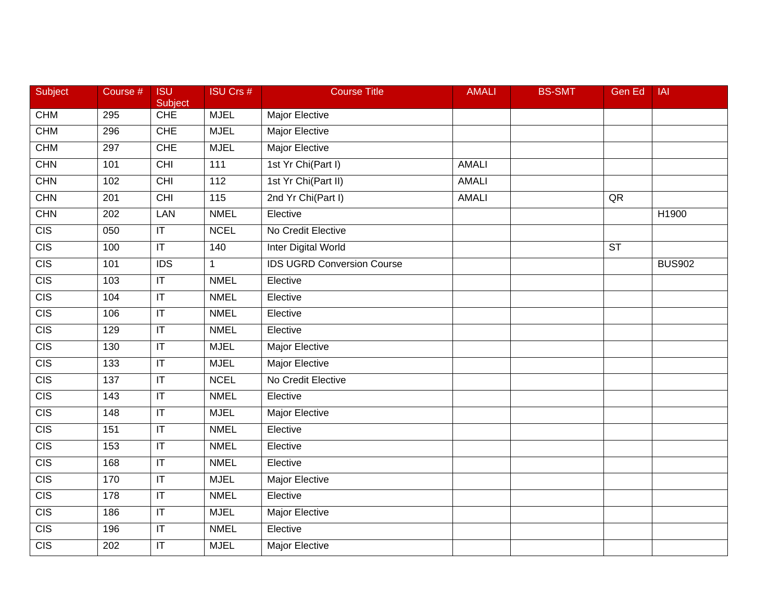| Subject          | Course #        | <b>ISU</b><br>Subject             | <b>ISU Crs #</b> | <b>Course Title</b>               | <b>AMALI</b> | <b>BS-SMT</b> | Gen Ed                 | IAI           |
|------------------|-----------------|-----------------------------------|------------------|-----------------------------------|--------------|---------------|------------------------|---------------|
| <b>CHM</b>       | 295             | <b>CHE</b>                        | <b>MJEL</b>      | Major Elective                    |              |               |                        |               |
| <b>CHM</b>       | 296             | <b>CHE</b>                        | <b>MJEL</b>      | <b>Major Elective</b>             |              |               |                        |               |
| <b>CHM</b>       | 297             | <b>CHE</b>                        | <b>MJEL</b>      | <b>Major Elective</b>             |              |               |                        |               |
| CHN              | 101             | CHI                               | $\frac{111}{11}$ | 1st Yr Chi(Part I)                | <b>AMALI</b> |               |                        |               |
| <b>CHN</b>       | 102             | <b>CHI</b>                        | 112              | 1st Yr Chi(Part II)               | <b>AMALI</b> |               |                        |               |
| CHN              | 201             | <b>CHI</b>                        | $\overline{115}$ | 2nd Yr Chi(Part I)                | <b>AMALI</b> |               | QR                     |               |
| CHN              | 202             | LAN                               | <b>NMEL</b>      | Elective                          |              |               |                        | H1900         |
| CIS              | 050             | $\overline{\mathsf{I}\mathsf{T}}$ | <b>NCEL</b>      | No Credit Elective                |              |               |                        |               |
| $\overline{CIS}$ | 100             | $\overline{\mathsf{T}}$           | $\frac{140}{ }$  | <b>Inter Digital World</b>        |              |               | $\overline{\text{ST}}$ |               |
| $\overline{CIS}$ | 101             | <b>IDS</b>                        | $\mathbf{1}$     | <b>IDS UGRD Conversion Course</b> |              |               |                        | <b>BUS902</b> |
| <b>CIS</b>       | 103             | $\mathsf{I}\mathsf{T}$            | <b>NMEL</b>      | Elective                          |              |               |                        |               |
| CIS              | 104             | $\overline{\mathsf{I}\mathsf{T}}$ | <b>NMEL</b>      | Elective                          |              |               |                        |               |
| $\overline{CIS}$ | 106             | $\overline{\mathsf{I}\mathsf{T}}$ | <b>NMEL</b>      | Elective                          |              |               |                        |               |
| $\overline{CIS}$ | 129             | $\overline{\mathsf{I}\mathsf{T}}$ | <b>NMEL</b>      | Elective                          |              |               |                        |               |
| $\overline{CIS}$ | 130             | $\overline{\mathsf{I}\mathsf{T}}$ | <b>MJEL</b>      | <b>Major Elective</b>             |              |               |                        |               |
| $\overline{CIS}$ | 133             | $\mathsf{I}\mathsf{T}$            | <b>MJEL</b>      | Major Elective                    |              |               |                        |               |
| $\overline{CIS}$ | 137             | $\overline{\mathsf{T}}$           | <b>NCEL</b>      | No Credit Elective                |              |               |                        |               |
| $\overline{CIS}$ | $\frac{143}{ }$ | $\overline{\mathsf{I}\mathsf{T}}$ | <b>NMEL</b>      | Elective                          |              |               |                        |               |
| CIS              | 148             | $\overline{\mathsf{I}\mathsf{T}}$ | <b>MJEL</b>      | Major Elective                    |              |               |                        |               |
| $\overline{CIS}$ | 151             | $\overline{\mathsf{T}}$           | <b>NMEL</b>      | Elective                          |              |               |                        |               |
| $\overline{CIS}$ | 153             | $\overline{\mathsf{I}\mathsf{T}}$ | <b>NMEL</b>      | Elective                          |              |               |                        |               |
| CIS              | 168             | $\overline{\mathsf{I}\mathsf{T}}$ | <b>NMEL</b>      | Elective                          |              |               |                        |               |
| $\overline{CIS}$ | 170             | $\overline{\mathsf{T}}$           | <b>MJEL</b>      | <b>Major Elective</b>             |              |               |                        |               |
| $\overline{CIS}$ | 178             | $\overline{\mathsf{I}\mathsf{T}}$ | <b>NMEL</b>      | Elective                          |              |               |                        |               |
| CIS              | 186             | $\mathsf{I}\mathsf{T}$            | <b>MJEL</b>      | Major Elective                    |              |               |                        |               |
| $\overline{CIS}$ | 196             | $\mathsf{I}\mathsf{T}$            | <b>NMEL</b>      | Elective                          |              |               |                        |               |
| CIS              | 202             | $\overline{\mathsf{I}\mathsf{T}}$ | <b>MJEL</b>      | <b>Major Elective</b>             |              |               |                        |               |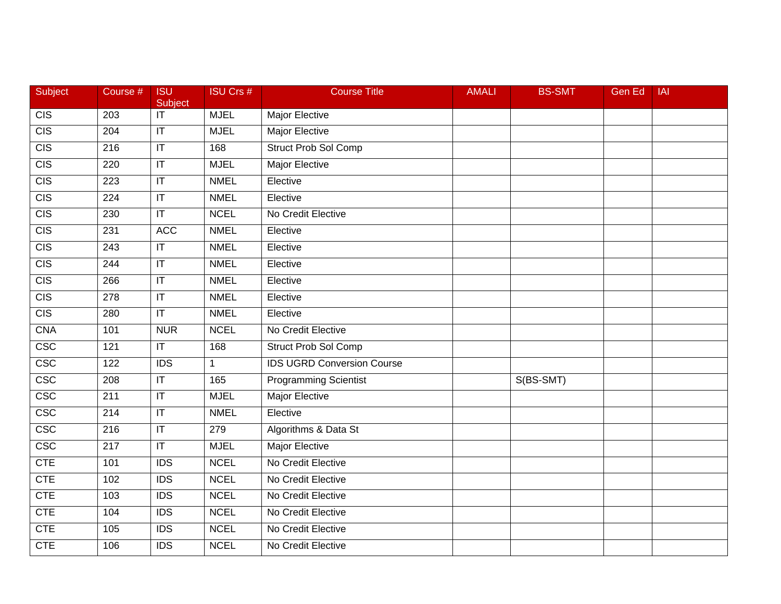| Subject           | Course #         | <b>ISU</b><br>Subject             | <b>ISU Crs #</b> | <b>Course Title</b>               | <b>AMALI</b> | <b>BS-SMT</b> | <b>Gen Ed</b> | <b>IAI</b> |
|-------------------|------------------|-----------------------------------|------------------|-----------------------------------|--------------|---------------|---------------|------------|
| CIS               | 203              | $\overline{\mathbb{T}}$           | <b>MJEL</b>      | Major Elective                    |              |               |               |            |
| $\overline{CIS}$  | 204              | $\overline{\mathsf{I}\mathsf{T}}$ | <b>MJEL</b>      | <b>Major Elective</b>             |              |               |               |            |
| CIS               | 216              | $\overline{\mathsf{I}\mathsf{T}}$ | 168              | <b>Struct Prob Sol Comp</b>       |              |               |               |            |
| CIS               | 220              | $\mathsf{I}\mathsf{T}$            | <b>MJEL</b>      | Major Elective                    |              |               |               |            |
| CIS               | 223              | $\sf IT$                          | <b>NMEL</b>      | Elective                          |              |               |               |            |
| $\overline{CIS}$  | 224              | $\mathsf{I}\mathsf{T}$            | <b>NMEL</b>      | Elective                          |              |               |               |            |
| CIS               | 230              | $\overline{\mathsf{I}\mathsf{T}}$ | <b>NCEL</b>      | No Credit Elective                |              |               |               |            |
| CIS               | 231              | <b>ACC</b>                        | <b>NMEL</b>      | Elective                          |              |               |               |            |
| $\overline{CIS}$  | 243              | $\overline{\mathbb{I}}$           | <b>NMEL</b>      | Elective                          |              |               |               |            |
| $\overline{CIS}$  | 244              | $\overline{\mathsf{I}\mathsf{T}}$ | <b>NMEL</b>      | Elective                          |              |               |               |            |
| CIS               | 266              | $\sf IT$                          | <b>NMEL</b>      | Elective                          |              |               |               |            |
| $\overline{CIS}$  | $\overline{278}$ | $\overline{\mathsf{T}}$           | <b>NMEL</b>      | Elective                          |              |               |               |            |
| CIS               | 280              | $\overline{\mathsf{T}}$           | <b>NMEL</b>      | Elective                          |              |               |               |            |
| <b>CNA</b>        | 101              | <b>NUR</b>                        | <b>NCEL</b>      | No Credit Elective                |              |               |               |            |
| <b>CSC</b>        | 121              | $\mathsf{I}\mathsf{T}$            | 168              | <b>Struct Prob Sol Comp</b>       |              |               |               |            |
| $\overline{\csc}$ | 122              | <b>IDS</b>                        | $\mathbf{1}$     | <b>IDS UGRD Conversion Course</b> |              |               |               |            |
| CSC               | 208              | $\overline{\mathsf{I}\mathsf{T}}$ | 165              | <b>Programming Scientist</b>      |              | S(BS-SMT)     |               |            |
| CSC               | 211              | $\overline{\mathsf{T}}$           | <b>MJEL</b>      | <b>Major Elective</b>             |              |               |               |            |
| <b>CSC</b>        | 214              | $\sf IT$                          | <b>NMEL</b>      | Elective                          |              |               |               |            |
| $\overline{\csc}$ | 216              | $\mathsf{I}\mathsf{T}$            | 279              | Algorithms & Data St              |              |               |               |            |
| $\overline{\csc}$ | 217              | $\overline{\mathsf{I}\mathsf{T}}$ | <b>MJEL</b>      | <b>Major Elective</b>             |              |               |               |            |
| <b>CTE</b>        | 101              | $\overline{IDS}$                  | <b>NCEL</b>      | No Credit Elective                |              |               |               |            |
| <b>CTE</b>        | 102              | $\overline{IDS}$                  | <b>NCEL</b>      | No Credit Elective                |              |               |               |            |
| <b>CTE</b>        | 103              | $\overline{IDS}$                  | <b>NCEL</b>      | No Credit Elective                |              |               |               |            |
| <b>CTE</b>        | 104              | <b>IDS</b>                        | <b>NCEL</b>      | No Credit Elective                |              |               |               |            |
| <b>CTE</b>        | 105              | <b>IDS</b>                        | <b>NCEL</b>      | No Credit Elective                |              |               |               |            |
| <b>CTE</b>        | 106              | $\overline{IDS}$                  | <b>NCEL</b>      | No Credit Elective                |              |               |               |            |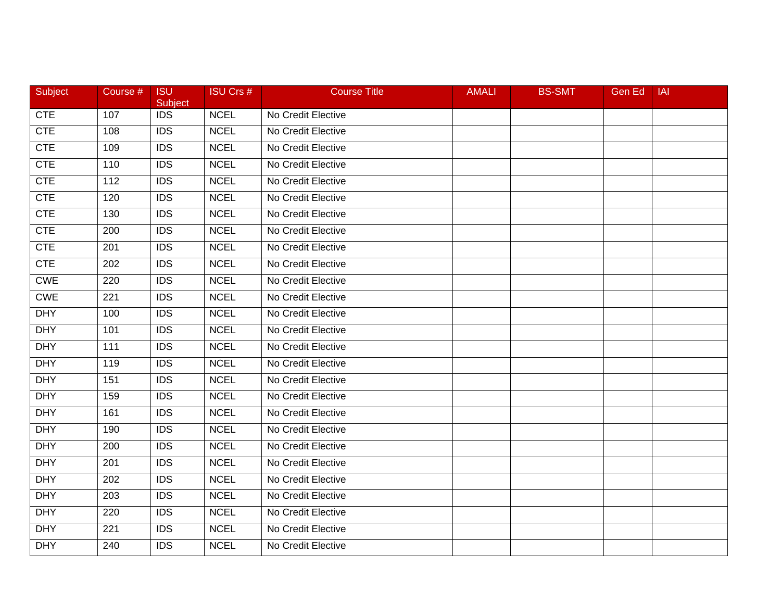| Subject    | Course # | <b>ISU</b><br>Subject | <b>ISU Crs #</b> | <b>Course Title</b> | <b>AMALI</b> | <b>BS-SMT</b> | <b>Gen Ed</b> | <b>IAI</b> |
|------------|----------|-----------------------|------------------|---------------------|--------------|---------------|---------------|------------|
| <b>CTE</b> | 107      | <b>IDS</b>            | <b>NCEL</b>      | No Credit Elective  |              |               |               |            |
| <b>CTE</b> | 108      | <b>IDS</b>            | <b>NCEL</b>      | No Credit Elective  |              |               |               |            |
| <b>CTE</b> | 109      | <b>IDS</b>            | <b>NCEL</b>      | No Credit Elective  |              |               |               |            |
| <b>CTE</b> | 110      | <b>IDS</b>            | <b>NCEL</b>      | No Credit Elective  |              |               |               |            |
| <b>CTE</b> | 112      | <b>IDS</b>            | <b>NCEL</b>      | No Credit Elective  |              |               |               |            |
| CTE        | 120      | <b>IDS</b>            | <b>NCEL</b>      | No Credit Elective  |              |               |               |            |
| <b>CTE</b> | 130      | <b>IDS</b>            | <b>NCEL</b>      | No Credit Elective  |              |               |               |            |
| <b>CTE</b> | 200      | $\overline{IDS}$      | <b>NCEL</b>      | No Credit Elective  |              |               |               |            |
| <b>CTE</b> | 201      | <b>IDS</b>            | <b>NCEL</b>      | No Credit Elective  |              |               |               |            |
| <b>CTE</b> | 202      | <b>IDS</b>            | <b>NCEL</b>      | No Credit Elective  |              |               |               |            |
| <b>CWE</b> | 220      | <b>IDS</b>            | <b>NCEL</b>      | No Credit Elective  |              |               |               |            |
| <b>CWE</b> | 221      | $\overline{IDS}$      | <b>NCEL</b>      | No Credit Elective  |              |               |               |            |
| <b>DHY</b> | 100      | <b>IDS</b>            | <b>NCEL</b>      | No Credit Elective  |              |               |               |            |
| <b>DHY</b> | 101      | <b>IDS</b>            | <b>NCEL</b>      | No Credit Elective  |              |               |               |            |
| <b>DHY</b> | 111      | <b>IDS</b>            | <b>NCEL</b>      | No Credit Elective  |              |               |               |            |
| <b>DHY</b> | 119      | <b>IDS</b>            | <b>NCEL</b>      | No Credit Elective  |              |               |               |            |
| <b>DHY</b> | 151      | <b>IDS</b>            | <b>NCEL</b>      | No Credit Elective  |              |               |               |            |
| <b>DHY</b> | 159      | <b>IDS</b>            | <b>NCEL</b>      | No Credit Elective  |              |               |               |            |
| <b>DHY</b> | 161      | <b>IDS</b>            | <b>NCEL</b>      | No Credit Elective  |              |               |               |            |
| <b>DHY</b> | 190      | <b>IDS</b>            | <b>NCEL</b>      | No Credit Elective  |              |               |               |            |
| <b>DHY</b> | 200      | <b>IDS</b>            | <b>NCEL</b>      | No Credit Elective  |              |               |               |            |
| <b>DHY</b> | 201      | <b>IDS</b>            | <b>NCEL</b>      | No Credit Elective  |              |               |               |            |
| <b>DHY</b> | 202      | $\overline{IDS}$      | <b>NCEL</b>      | No Credit Elective  |              |               |               |            |
| <b>DHY</b> | 203      | <b>IDS</b>            | <b>NCEL</b>      | No Credit Elective  |              |               |               |            |
| <b>DHY</b> | 220      | <b>IDS</b>            | <b>NCEL</b>      | No Credit Elective  |              |               |               |            |
| <b>DHY</b> | 221      | <b>IDS</b>            | <b>NCEL</b>      | No Credit Elective  |              |               |               |            |
| <b>DHY</b> | 240      | <b>IDS</b>            | <b>NCEL</b>      | No Credit Elective  |              |               |               |            |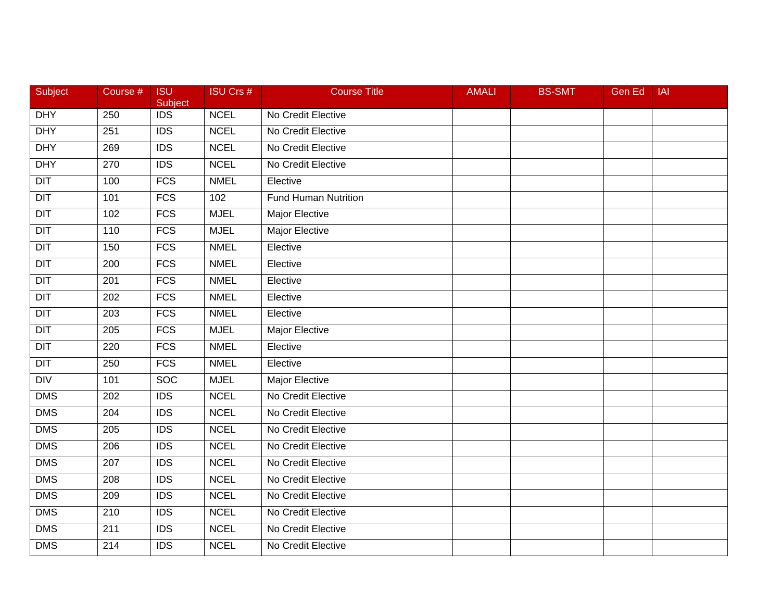| Subject          | Course #         | <b>ISU</b><br>Subject | <b>ISU Crs #</b> | <b>Course Title</b>         | <b>AMALI</b> | <b>BS-SMT</b> | Gen Ed | <b>IAI</b> |
|------------------|------------------|-----------------------|------------------|-----------------------------|--------------|---------------|--------|------------|
| <b>DHY</b>       | 250              | $\overline{IDS}$      | <b>NCEL</b>      | No Credit Elective          |              |               |        |            |
| <b>DHY</b>       | 251              | $\overline{IDS}$      | <b>NCEL</b>      | No Credit Elective          |              |               |        |            |
| <b>DHY</b>       | 269              | <b>IDS</b>            | <b>NCEL</b>      | No Credit Elective          |              |               |        |            |
| <b>DHY</b>       | 270              | $\overline{IDS}$      | <b>NCEL</b>      | No Credit Elective          |              |               |        |            |
| <b>DIT</b>       | 100              | FCS                   | <b>NMEL</b>      | Elective                    |              |               |        |            |
| $\overline{D}$   | 101              | <b>FCS</b>            | 102              | <b>Fund Human Nutrition</b> |              |               |        |            |
| $\overline{DIT}$ | 102              | <b>FCS</b>            | <b>MJEL</b>      | <b>Major Elective</b>       |              |               |        |            |
| DIT              | 110              | <b>FCS</b>            | <b>MJEL</b>      | <b>Major Elective</b>       |              |               |        |            |
| $\overline{DIT}$ | 150              | <b>FCS</b>            | <b>NMEL</b>      | Elective                    |              |               |        |            |
| $\overline{DIT}$ | 200              | <b>FCS</b>            | <b>NMEL</b>      | Elective                    |              |               |        |            |
| <b>DIT</b>       | 201              | <b>FCS</b>            | <b>NMEL</b>      | Elective                    |              |               |        |            |
| $\overline{DIT}$ | 202              | <b>FCS</b>            | <b>NMEL</b>      | Elective                    |              |               |        |            |
| $\overline{D}$   | $\overline{203}$ | FCS                   | <b>NMEL</b>      | Elective                    |              |               |        |            |
| DT               | 205              | <b>FCS</b>            | <b>MJEL</b>      | Major Elective              |              |               |        |            |
| $\overline{DIT}$ | 220              | FCS                   | <b>NMEL</b>      | Elective                    |              |               |        |            |
| <b>DIT</b>       | 250              | <b>FCS</b>            | <b>NMEL</b>      | Elective                    |              |               |        |            |
| Div              | 101              | <b>SOC</b>            | <b>MJEL</b>      | <b>Major Elective</b>       |              |               |        |            |
| <b>DMS</b>       | $\overline{202}$ | $\overline{IDS}$      | <b>NCEL</b>      | No Credit Elective          |              |               |        |            |
| DMS              | 204              | <b>IDS</b>            | <b>NCEL</b>      | No Credit Elective          |              |               |        |            |
| <b>DMS</b>       | 205              | <b>IDS</b>            | <b>NCEL</b>      | No Credit Elective          |              |               |        |            |
| <b>DMS</b>       | 206              | <b>IDS</b>            | <b>NCEL</b>      | No Credit Elective          |              |               |        |            |
| <b>DMS</b>       | 207              | <b>IDS</b>            | <b>NCEL</b>      | No Credit Elective          |              |               |        |            |
| <b>DMS</b>       | $\overline{208}$ | IDS                   | <b>NCEL</b>      | No Credit Elective          |              |               |        |            |
| <b>DMS</b>       | 209              | <b>IDS</b>            | <b>NCEL</b>      | No Credit Elective          |              |               |        |            |
| <b>DMS</b>       | 210              | <b>IDS</b>            | <b>NCEL</b>      | No Credit Elective          |              |               |        |            |
| <b>DMS</b>       | 211              | <b>IDS</b>            | <b>NCEL</b>      | No Credit Elective          |              |               |        |            |
| <b>DMS</b>       | 214              | $\overline{IDS}$      | <b>NCEL</b>      | No Credit Elective          |              |               |        |            |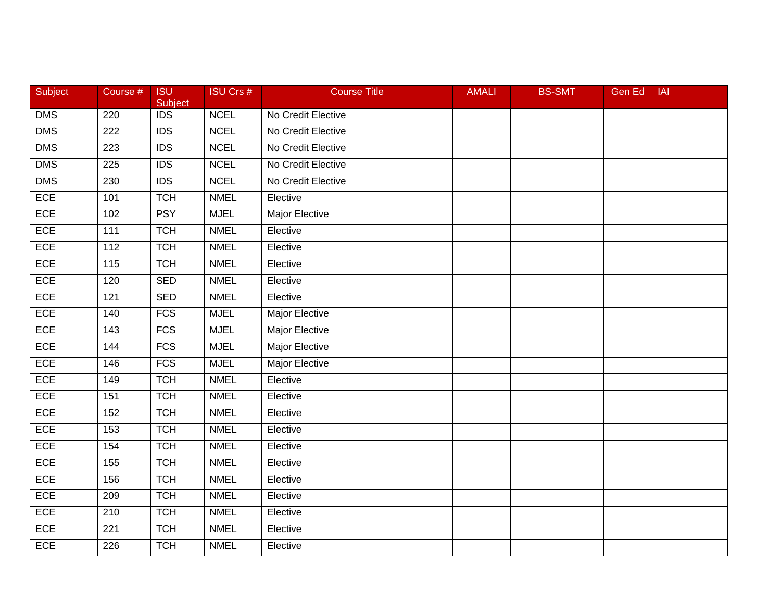| Subject    | Course #         | <b>ISU</b><br>Subject | <b>ISU Crs #</b> | <b>Course Title</b>   | <b>AMALI</b> | <b>BS-SMT</b> | Gen Ed | <b>IAI</b> |
|------------|------------------|-----------------------|------------------|-----------------------|--------------|---------------|--------|------------|
| <b>DMS</b> | 220              | $\overline{IDS}$      | <b>NCEL</b>      | No Credit Elective    |              |               |        |            |
| <b>DMS</b> | 222              | <b>IDS</b>            | <b>NCEL</b>      | No Credit Elective    |              |               |        |            |
| <b>DMS</b> | 223              | <b>IDS</b>            | <b>NCEL</b>      | No Credit Elective    |              |               |        |            |
| <b>DMS</b> | 225              | $\overline{IDS}$      | <b>NCEL</b>      | No Credit Elective    |              |               |        |            |
| <b>DMS</b> | 230              | <b>IDS</b>            | <b>NCEL</b>      | No Credit Elective    |              |               |        |            |
| ECE        | 101              | <b>TCH</b>            | <b>NMEL</b>      | Elective              |              |               |        |            |
| ECE        | 102              | <b>PSY</b>            | <b>MJEL</b>      | <b>Major Elective</b> |              |               |        |            |
| <b>ECE</b> | 111              | <b>TCH</b>            | <b>NMEL</b>      | Elective              |              |               |        |            |
| ECE        | 112              | <b>TCH</b>            | <b>NMEL</b>      | Elective              |              |               |        |            |
| ECE        | 115              | <b>TCH</b>            | <b>NMEL</b>      | Elective              |              |               |        |            |
| ECE        | 120              | <b>SED</b>            | <b>NMEL</b>      | Elective              |              |               |        |            |
| ECE        | $\overline{121}$ | <b>SED</b>            | <b>NMEL</b>      | Elective              |              |               |        |            |
| ECE        | 140              | FCS                   | <b>MJEL</b>      | <b>Major Elective</b> |              |               |        |            |
| ECE        | 143              | <b>FCS</b>            | <b>MJEL</b>      | Major Elective        |              |               |        |            |
| ECE        | 144              | <b>FCS</b>            | <b>MJEL</b>      | <b>Major Elective</b> |              |               |        |            |
| ECE        | 146              | <b>FCS</b>            | <b>MJEL</b>      | Major Elective        |              |               |        |            |
| ECE        | 149              | <b>TCH</b>            | <b>NMEL</b>      | Elective              |              |               |        |            |
| <b>ECE</b> | 151              | <b>TCH</b>            | <b>NMEL</b>      | Elective              |              |               |        |            |
| ECE        | 152              | <b>TCH</b>            | <b>NMEL</b>      | Elective              |              |               |        |            |
| ECE        | 153              | <b>TCH</b>            | <b>NMEL</b>      | Elective              |              |               |        |            |
| ECE        | 154              | <b>TCH</b>            | <b>NMEL</b>      | Elective              |              |               |        |            |
| ECE        | 155              | <b>TCH</b>            | <b>NMEL</b>      | Elective              |              |               |        |            |
| ECE        | 156              | <b>TCH</b>            | <b>NMEL</b>      | Elective              |              |               |        |            |
| ECE        | 209              | <b>TCH</b>            | <b>NMEL</b>      | Elective              |              |               |        |            |
| ECE        | 210              | <b>TCH</b>            | <b>NMEL</b>      | Elective              |              |               |        |            |
| ECE        | 221              | <b>TCH</b>            | <b>NMEL</b>      | Elective              |              |               |        |            |
| ECE        | 226              | <b>TCH</b>            | <b>NMEL</b>      | Elective              |              |               |        |            |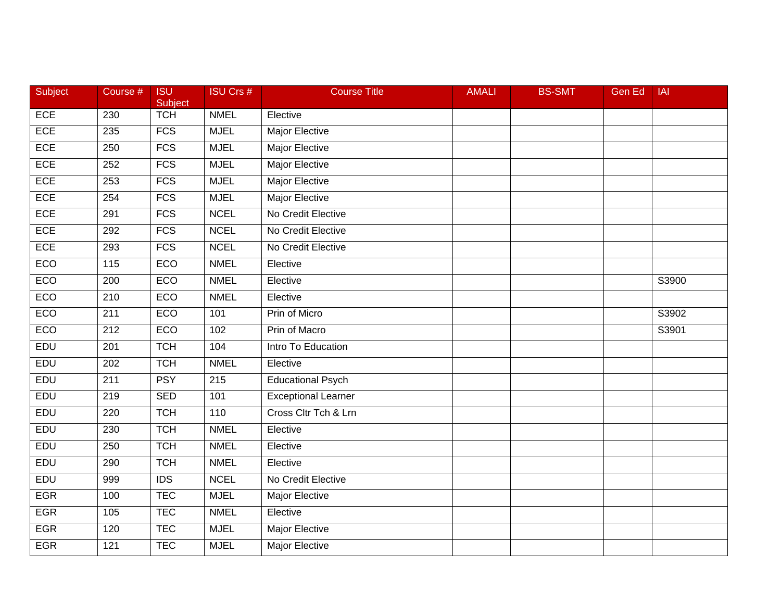| Subject    | Course #         | <b>ISU</b><br>Subject | <b>ISU Crs #</b> | <b>Course Title</b>        | <b>AMALI</b> | <b>BS-SMT</b> | Gen Ed | <b>IAI</b> |
|------------|------------------|-----------------------|------------------|----------------------------|--------------|---------------|--------|------------|
| ECE        | 230              | <b>TCH</b>            | <b>NMEL</b>      | Elective                   |              |               |        |            |
| ECE        | 235              | FCS                   | <b>MJEL</b>      | <b>Major Elective</b>      |              |               |        |            |
| <b>ECE</b> | 250              | <b>FCS</b>            | <b>MJEL</b>      | <b>Major Elective</b>      |              |               |        |            |
| ECE        | 252              | FCS                   | <b>MJEL</b>      | <b>Major Elective</b>      |              |               |        |            |
| ECE        | 253              | FCS                   | <b>MJEL</b>      | Major Elective             |              |               |        |            |
| ECE        | 254              | FCS                   | <b>MJEL</b>      | Major Elective             |              |               |        |            |
| <b>ECE</b> | 291              | <b>FCS</b>            | <b>NCEL</b>      | No Credit Elective         |              |               |        |            |
| <b>ECE</b> | 292              | <b>FCS</b>            | <b>NCEL</b>      | No Credit Elective         |              |               |        |            |
| ECE        | 293              | <b>FCS</b>            | <b>NCEL</b>      | No Credit Elective         |              |               |        |            |
| ECO        | 115              | ECO                   | <b>NMEL</b>      | Elective                   |              |               |        |            |
| ECO        | 200              | ECO                   | <b>NMEL</b>      | Elective                   |              |               |        | S3900      |
| ECO        | 210              | ECO                   | <b>NMEL</b>      | Elective                   |              |               |        |            |
| ECO        | $\overline{211}$ | ECO                   | 101              | Prin of Micro              |              |               |        | S3902      |
| ECO        | 212              | ECO                   | 102              | Prin of Macro              |              |               |        | S3901      |
| <b>EDU</b> | 201              | <b>TCH</b>            | 104              | Intro To Education         |              |               |        |            |
| EDU        | 202              | <b>TCH</b>            | <b>NMEL</b>      | Elective                   |              |               |        |            |
| EDU        | $\overline{211}$ | <b>PSY</b>            | 215              | <b>Educational Psych</b>   |              |               |        |            |
| EDU        | 219              | <b>SED</b>            | 101              | <b>Exceptional Learner</b> |              |               |        |            |
| EDU        | 220              | <b>TCH</b>            | 110              | Cross Cltr Tch & Lrn       |              |               |        |            |
| EDU        | 230              | <b>TCH</b>            | <b>NMEL</b>      | Elective                   |              |               |        |            |
| EDU        | 250              | <b>TCH</b>            | <b>NMEL</b>      | Elective                   |              |               |        |            |
| EDU        | 290              | <b>TCH</b>            | <b>NMEL</b>      | Elective                   |              |               |        |            |
| EDU        | 999              | $\overline{IDS}$      | <b>NCEL</b>      | No Credit Elective         |              |               |        |            |
| <b>EGR</b> | 100              | <b>TEC</b>            | <b>MJEL</b>      | <b>Major Elective</b>      |              |               |        |            |
| <b>EGR</b> | 105              | <b>TEC</b>            | <b>NMEL</b>      | Elective                   |              |               |        |            |
| <b>EGR</b> | 120              | <b>TEC</b>            | <b>MJEL</b>      | Major Elective             |              |               |        |            |
| <b>EGR</b> | 121              | <b>TEC</b>            | <b>MJEL</b>      | Major Elective             |              |               |        |            |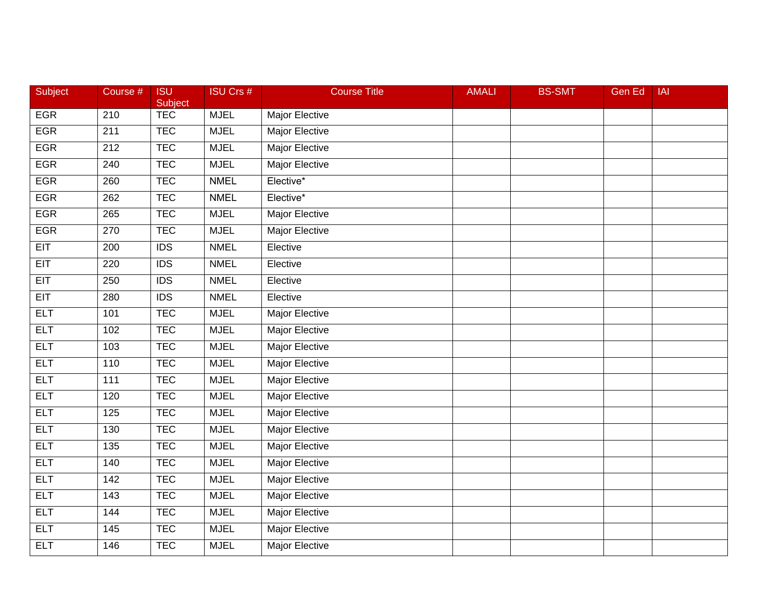| Subject    | Course #         | <b>ISU</b><br>Subject | <b>ISU Crs #</b> | <b>Course Title</b>   | <b>AMALI</b> | <b>BS-SMT</b> | Gen Ed | IAI |
|------------|------------------|-----------------------|------------------|-----------------------|--------------|---------------|--------|-----|
| <b>EGR</b> | $\overline{210}$ | <b>TEC</b>            | <b>MJEL</b>      | Major Elective        |              |               |        |     |
| <b>EGR</b> | 211              | <b>TEC</b>            | <b>MJEL</b>      | <b>Major Elective</b> |              |               |        |     |
| <b>EGR</b> | 212              | <b>TEC</b>            | <b>MJEL</b>      | Major Elective        |              |               |        |     |
| <b>EGR</b> | 240              | <b>TEC</b>            | <b>MJEL</b>      | <b>Major Elective</b> |              |               |        |     |
| <b>EGR</b> | 260              | <b>TEC</b>            | <b>NMEL</b>      | Elective*             |              |               |        |     |
| <b>EGR</b> | 262              | <b>TEC</b>            | <b>NMEL</b>      | Elective*             |              |               |        |     |
| <b>EGR</b> | 265              | <b>TEC</b>            | <b>MJEL</b>      | <b>Major Elective</b> |              |               |        |     |
| <b>EGR</b> | 270              | <b>TEC</b>            | <b>MJEL</b>      | <b>Major Elective</b> |              |               |        |     |
| EIT        | 200              | <b>IDS</b>            | <b>NMEL</b>      | Elective              |              |               |        |     |
| EIT        | 220              | $\overline{IDS}$      | <b>NMEL</b>      | Elective              |              |               |        |     |
| <b>EIT</b> | 250              | <b>IDS</b>            | <b>NMEL</b>      | Elective              |              |               |        |     |
| EIT        | 280              | $\overline{IDS}$      | <b>NMEL</b>      | Elective              |              |               |        |     |
| <b>ELT</b> | 101              | <b>TEC</b>            | <b>MJEL</b>      | <b>Major Elective</b> |              |               |        |     |
| <b>ELT</b> | 102              | <b>TEC</b>            | <b>MJEL</b>      | <b>Major Elective</b> |              |               |        |     |
| <b>ELT</b> | 103              | <b>TEC</b>            | <b>MJEL</b>      | <b>Major Elective</b> |              |               |        |     |
| <b>ELT</b> | 110              | <b>TEC</b>            | <b>MJEL</b>      | Major Elective        |              |               |        |     |
| <b>ELT</b> | $\overline{111}$ | <b>TEC</b>            | <b>MJEL</b>      | <b>Major Elective</b> |              |               |        |     |
| <b>ELT</b> | 120              | <b>TEC</b>            | <b>MJEL</b>      | <b>Major Elective</b> |              |               |        |     |
| <b>ELT</b> | 125              | <b>TEC</b>            | <b>MJEL</b>      | Major Elective        |              |               |        |     |
| <b>ELT</b> | 130              | <b>TEC</b>            | <b>MJEL</b>      | Major Elective        |              |               |        |     |
| <b>ELT</b> | 135              | <b>TEC</b>            | <b>MJEL</b>      | Major Elective        |              |               |        |     |
| <b>ELT</b> | 140              | <b>TEC</b>            | <b>MJEL</b>      | <b>Major Elective</b> |              |               |        |     |
| <b>ELT</b> | 142              | <b>TEC</b>            | <b>MJEL</b>      | <b>Major Elective</b> |              |               |        |     |
| <b>ELT</b> | $\frac{143}{ }$  | <b>TEC</b>            | <b>MJEL</b>      | <b>Major Elective</b> |              |               |        |     |
| <b>ELT</b> | 144              | <b>TEC</b>            | <b>MJEL</b>      | Major Elective        |              |               |        |     |
| <b>ELT</b> | 145              | <b>TEC</b>            | <b>MJEL</b>      | Major Elective        |              |               |        |     |
| <b>ELT</b> | 146              | <b>TEC</b>            | <b>MJEL</b>      | <b>Major Elective</b> |              |               |        |     |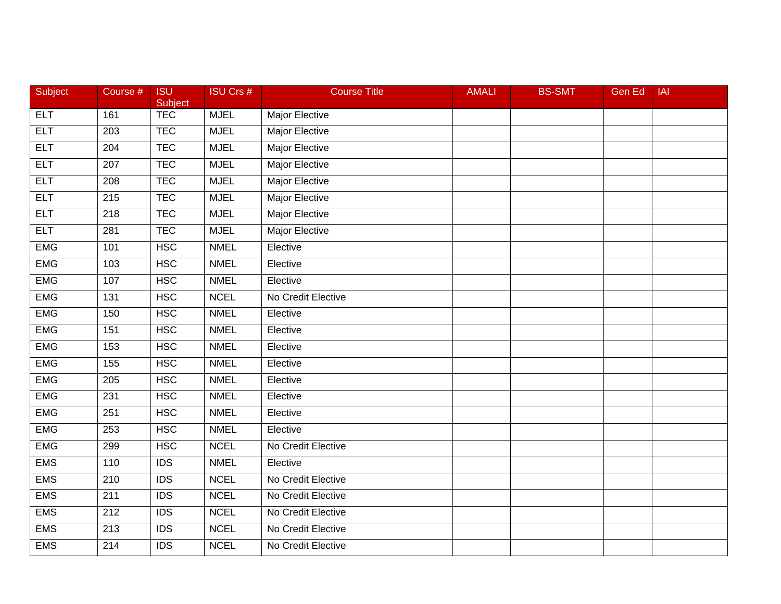| Subject    | Course #         | <b>ISU</b><br>Subject | <b>ISU Crs #</b> | <b>Course Title</b>   | <b>AMALI</b> | <b>BS-SMT</b> | Gen Ed | <b>IAI</b> |
|------------|------------------|-----------------------|------------------|-----------------------|--------------|---------------|--------|------------|
| <b>ELT</b> | 161              | <b>TEC</b>            | <b>MJEL</b>      | Major Elective        |              |               |        |            |
| <b>ELT</b> | 203              | <b>TEC</b>            | <b>MJEL</b>      | <b>Major Elective</b> |              |               |        |            |
| <b>ELT</b> | 204              | <b>TEC</b>            | <b>MJEL</b>      | <b>Major Elective</b> |              |               |        |            |
| <b>ELT</b> | 207              | <b>TEC</b>            | <b>MJEL</b>      | <b>Major Elective</b> |              |               |        |            |
| <b>ELT</b> | 208              | <b>TEC</b>            | <b>MJEL</b>      | Major Elective        |              |               |        |            |
| <b>ELT</b> | 215              | <b>TEC</b>            | <b>MJEL</b>      | Major Elective        |              |               |        |            |
| <b>ELT</b> | 218              | <b>TEC</b>            | <b>MJEL</b>      | <b>Major Elective</b> |              |               |        |            |
| <b>ELT</b> | 281              | <b>TEC</b>            | <b>MJEL</b>      | <b>Major Elective</b> |              |               |        |            |
| <b>EMG</b> | 101              | <b>HSC</b>            | <b>NMEL</b>      | Elective              |              |               |        |            |
| <b>EMG</b> | 103              | <b>HSC</b>            | <b>NMEL</b>      | Elective              |              |               |        |            |
| <b>EMG</b> | 107              | <b>HSC</b>            | <b>NMEL</b>      | Elective              |              |               |        |            |
| <b>EMG</b> | 131              | <b>HSC</b>            | <b>NCEL</b>      | No Credit Elective    |              |               |        |            |
| <b>EMG</b> | 150              | <b>HSC</b>            | <b>NMEL</b>      | Elective              |              |               |        |            |
| <b>EMG</b> | 151              | <b>HSC</b>            | <b>NMEL</b>      | Elective              |              |               |        |            |
| <b>EMG</b> | 153              | <b>HSC</b>            | <b>NMEL</b>      | Elective              |              |               |        |            |
| <b>EMG</b> | 155              | <b>HSC</b>            | <b>NMEL</b>      | Elective              |              |               |        |            |
| <b>EMG</b> | $\overline{205}$ | HSC                   | <b>NMEL</b>      | Elective              |              |               |        |            |
| <b>EMG</b> | 231              | <b>HSC</b>            | <b>NMEL</b>      | Elective              |              |               |        |            |
| <b>EMG</b> | 251              | <b>HSC</b>            | <b>NMEL</b>      | Elective              |              |               |        |            |
| <b>EMG</b> | 253              | <b>HSC</b>            | <b>NMEL</b>      | Elective              |              |               |        |            |
| <b>EMG</b> | 299              | <b>HSC</b>            | <b>NCEL</b>      | No Credit Elective    |              |               |        |            |
| <b>EMS</b> | 110              | IDS                   | <b>NMEL</b>      | Elective              |              |               |        |            |
| <b>EMS</b> | $\overline{210}$ | $\overline{IDS}$      | <b>NCEL</b>      | No Credit Elective    |              |               |        |            |
| <b>EMS</b> | $\overline{211}$ | $\overline{IDS}$      | <b>NCEL</b>      | No Credit Elective    |              |               |        |            |
| <b>EMS</b> | 212              | <b>IDS</b>            | <b>NCEL</b>      | No Credit Elective    |              |               |        |            |
| <b>EMS</b> | 213              | <b>IDS</b>            | <b>NCEL</b>      | No Credit Elective    |              |               |        |            |
| <b>EMS</b> | 214              | $\overline{IDS}$      | <b>NCEL</b>      | No Credit Elective    |              |               |        |            |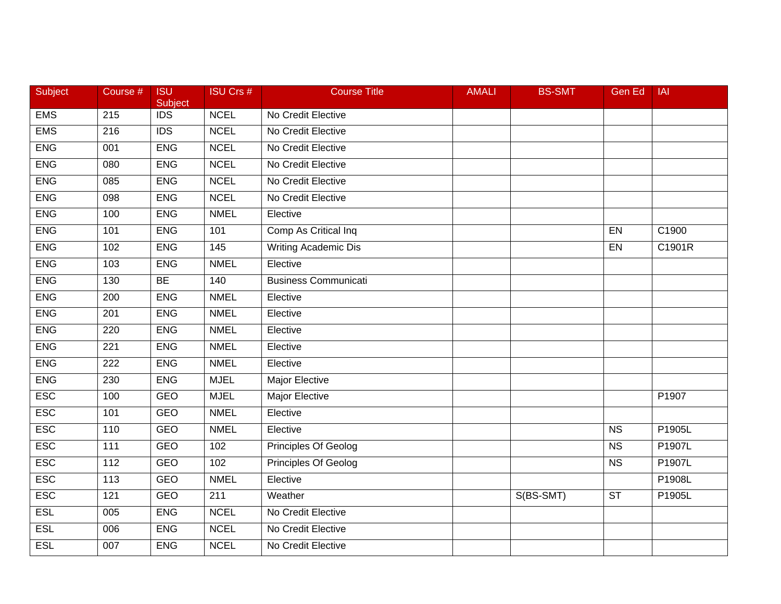| Subject    | Course #         | <b>ISU</b><br>Subject | <b>ISU Crs #</b> | <b>Course Title</b>         | <b>AMALI</b> | <b>BS-SMT</b> | <b>Gen Ed</b>          | <b>IAI</b> |
|------------|------------------|-----------------------|------------------|-----------------------------|--------------|---------------|------------------------|------------|
| <b>EMS</b> | 215              | <b>IDS</b>            | <b>NCEL</b>      | No Credit Elective          |              |               |                        |            |
| <b>EMS</b> | 216              | $\overline{IDS}$      | <b>NCEL</b>      | No Credit Elective          |              |               |                        |            |
| <b>ENG</b> | 001              | <b>ENG</b>            | <b>NCEL</b>      | No Credit Elective          |              |               |                        |            |
| <b>ENG</b> | 080              | <b>ENG</b>            | <b>NCEL</b>      | No Credit Elective          |              |               |                        |            |
| <b>ENG</b> | 085              | <b>ENG</b>            | <b>NCEL</b>      | No Credit Elective          |              |               |                        |            |
| <b>ENG</b> | 098              | <b>ENG</b>            | <b>NCEL</b>      | No Credit Elective          |              |               |                        |            |
| <b>ENG</b> | 100              | <b>ENG</b>            | <b>NMEL</b>      | Elective                    |              |               |                        |            |
| <b>ENG</b> | 101              | <b>ENG</b>            | 101              | Comp As Critical Inq        |              |               | EN                     | C1900      |
| <b>ENG</b> | 102              | <b>ENG</b>            | $\frac{145}{ }$  | <b>Writing Academic Dis</b> |              |               | EN                     | C1901R     |
| <b>ENG</b> | 103              | <b>ENG</b>            | <b>NMEL</b>      | Elective                    |              |               |                        |            |
| <b>ENG</b> | 130              | <b>BE</b>             | 140              | <b>Business Communicati</b> |              |               |                        |            |
| <b>ENG</b> | $\overline{200}$ | <b>ENG</b>            | <b>NMEL</b>      | Elective                    |              |               |                        |            |
| <b>ENG</b> | 201              | <b>ENG</b>            | <b>NMEL</b>      | Elective                    |              |               |                        |            |
| <b>ENG</b> | 220              | <b>ENG</b>            | <b>NMEL</b>      | Elective                    |              |               |                        |            |
| <b>ENG</b> | 221              | <b>ENG</b>            | <b>NMEL</b>      | Elective                    |              |               |                        |            |
| <b>ENG</b> | 222              | <b>ENG</b>            | <b>NMEL</b>      | Elective                    |              |               |                        |            |
| <b>ENG</b> | 230              | <b>ENG</b>            | <b>MJEL</b>      | <b>Major Elective</b>       |              |               |                        |            |
| <b>ESC</b> | 100              | <b>GEO</b>            | <b>MJEL</b>      | <b>Major Elective</b>       |              |               |                        | P1907      |
| <b>ESC</b> | 101              | <b>GEO</b>            | <b>NMEL</b>      | Elective                    |              |               |                        |            |
| <b>ESC</b> | 110              | <b>GEO</b>            | <b>NMEL</b>      | Elective                    |              |               | $\overline{\text{NS}}$ | P1905L     |
| <b>ESC</b> | 111              | GEO                   | 102              | Principles Of Geolog        |              |               | <b>NS</b>              | P1907L     |
| <b>ESC</b> | $\frac{11}{2}$   | <b>GEO</b>            | 102              | <b>Principles Of Geolog</b> |              |               | N <sub>S</sub>         | P1907L     |
| <b>ESC</b> | 113              | <b>GEO</b>            | <b>NMEL</b>      | Elective                    |              |               |                        | P1908L     |
| <b>ESC</b> | 121              | <b>GEO</b>            | $\overline{211}$ | Weather                     |              | S(BS-SMT)     | <b>ST</b>              | P1905L     |
| <b>ESL</b> | 005              | <b>ENG</b>            | <b>NCEL</b>      | No Credit Elective          |              |               |                        |            |
| <b>ESL</b> | 006              | <b>ENG</b>            | <b>NCEL</b>      | No Credit Elective          |              |               |                        |            |
| <b>ESL</b> | $\overline{007}$ | <b>ENG</b>            | <b>NCEL</b>      | No Credit Elective          |              |               |                        |            |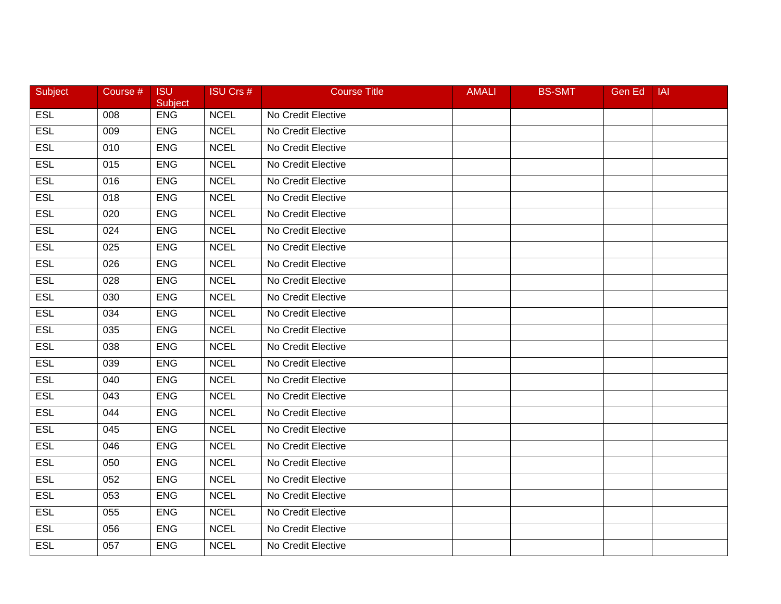| Subject    | Course # | <b>ISU</b><br>Subject | <b>ISU Crs #</b> | <b>Course Title</b> | <b>AMALI</b> | <b>BS-SMT</b> | Gen Ed | IAI |
|------------|----------|-----------------------|------------------|---------------------|--------------|---------------|--------|-----|
| <b>ESL</b> | 008      | <b>ENG</b>            | <b>NCEL</b>      | No Credit Elective  |              |               |        |     |
| <b>ESL</b> | 009      | <b>ENG</b>            | <b>NCEL</b>      | No Credit Elective  |              |               |        |     |
| <b>ESL</b> | 010      | <b>ENG</b>            | <b>NCEL</b>      | No Credit Elective  |              |               |        |     |
| <b>ESL</b> | 015      | <b>ENG</b>            | <b>NCEL</b>      | No Credit Elective  |              |               |        |     |
| <b>ESL</b> | 016      | <b>ENG</b>            | <b>NCEL</b>      | No Credit Elective  |              |               |        |     |
| <b>ESL</b> | 018      | <b>ENG</b>            | <b>NCEL</b>      | No Credit Elective  |              |               |        |     |
| <b>ESL</b> | 020      | <b>ENG</b>            | <b>NCEL</b>      | No Credit Elective  |              |               |        |     |
| <b>ESL</b> | 024      | <b>ENG</b>            | <b>NCEL</b>      | No Credit Elective  |              |               |        |     |
| <b>ESL</b> | 025      | <b>ENG</b>            | <b>NCEL</b>      | No Credit Elective  |              |               |        |     |
| <b>ESL</b> | 026      | <b>ENG</b>            | <b>NCEL</b>      | No Credit Elective  |              |               |        |     |
| ESL        | 028      | <b>ENG</b>            | <b>NCEL</b>      | No Credit Elective  |              |               |        |     |
| <b>ESL</b> | 030      | <b>ENG</b>            | <b>NCEL</b>      | No Credit Elective  |              |               |        |     |
| <b>ESL</b> | 034      | <b>ENG</b>            | <b>NCEL</b>      | No Credit Elective  |              |               |        |     |
| <b>ESL</b> | 035      | <b>ENG</b>            | <b>NCEL</b>      | No Credit Elective  |              |               |        |     |
| <b>ESL</b> | 038      | <b>ENG</b>            | <b>NCEL</b>      | No Credit Elective  |              |               |        |     |
| <b>ESL</b> | 039      | <b>ENG</b>            | <b>NCEL</b>      | No Credit Elective  |              |               |        |     |
| <b>ESL</b> | 040      | <b>ENG</b>            | <b>NCEL</b>      | No Credit Elective  |              |               |        |     |
| <b>ESL</b> | 043      | <b>ENG</b>            | <b>NCEL</b>      | No Credit Elective  |              |               |        |     |
| <b>ESL</b> | 044      | <b>ENG</b>            | <b>NCEL</b>      | No Credit Elective  |              |               |        |     |
| <b>ESL</b> | 045      | <b>ENG</b>            | <b>NCEL</b>      | No Credit Elective  |              |               |        |     |
| <b>ESL</b> | 046      | <b>ENG</b>            | <b>NCEL</b>      | No Credit Elective  |              |               |        |     |
| <b>ESL</b> | 050      | <b>ENG</b>            | <b>NCEL</b>      | No Credit Elective  |              |               |        |     |
| <b>ESL</b> | 052      | <b>ENG</b>            | <b>NCEL</b>      | No Credit Elective  |              |               |        |     |
| <b>ESL</b> | 053      | <b>ENG</b>            | <b>NCEL</b>      | No Credit Elective  |              |               |        |     |
| <b>ESL</b> | 055      | <b>ENG</b>            | <b>NCEL</b>      | No Credit Elective  |              |               |        |     |
| <b>ESL</b> | 056      | <b>ENG</b>            | <b>NCEL</b>      | No Credit Elective  |              |               |        |     |
| <b>ESL</b> | 057      | <b>ENG</b>            | <b>NCEL</b>      | No Credit Elective  |              |               |        |     |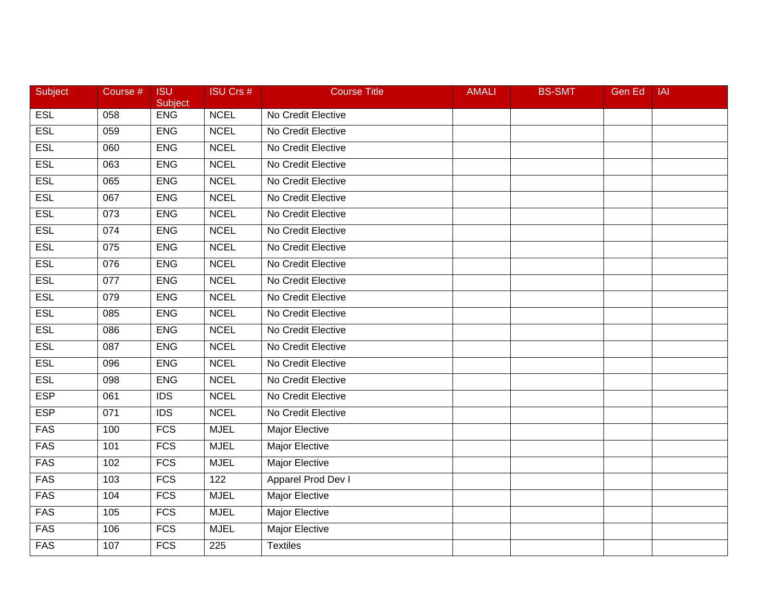| Subject    | Course # | <b>ISU</b><br>Subject | <b>ISU Crs #</b> | <b>Course Title</b>   | <b>AMALI</b> | <b>BS-SMT</b> | <b>Gen Ed</b> | IAI |
|------------|----------|-----------------------|------------------|-----------------------|--------------|---------------|---------------|-----|
| <b>ESL</b> | 058      | <b>ENG</b>            | <b>NCEL</b>      | No Credit Elective    |              |               |               |     |
| <b>ESL</b> | 059      | <b>ENG</b>            | <b>NCEL</b>      | No Credit Elective    |              |               |               |     |
| <b>ESL</b> | 060      | <b>ENG</b>            | <b>NCEL</b>      | No Credit Elective    |              |               |               |     |
| <b>ESL</b> | 063      | <b>ENG</b>            | <b>NCEL</b>      | No Credit Elective    |              |               |               |     |
| <b>ESL</b> | 065      | <b>ENG</b>            | <b>NCEL</b>      | No Credit Elective    |              |               |               |     |
| <b>ESL</b> | 067      | <b>ENG</b>            | <b>NCEL</b>      | No Credit Elective    |              |               |               |     |
| <b>ESL</b> | 073      | <b>ENG</b>            | <b>NCEL</b>      | No Credit Elective    |              |               |               |     |
| <b>ESL</b> | 074      | <b>ENG</b>            | <b>NCEL</b>      | No Credit Elective    |              |               |               |     |
| <b>ESL</b> | 075      | <b>ENG</b>            | <b>NCEL</b>      | No Credit Elective    |              |               |               |     |
| <b>ESL</b> | 076      | <b>ENG</b>            | <b>NCEL</b>      | No Credit Elective    |              |               |               |     |
| ESL        | 077      | <b>ENG</b>            | <b>NCEL</b>      | No Credit Elective    |              |               |               |     |
| <b>ESL</b> | 079      | <b>ENG</b>            | <b>NCEL</b>      | No Credit Elective    |              |               |               |     |
| <b>ESL</b> | 085      | <b>ENG</b>            | <b>NCEL</b>      | No Credit Elective    |              |               |               |     |
| <b>ESL</b> | 086      | <b>ENG</b>            | <b>NCEL</b>      | No Credit Elective    |              |               |               |     |
| <b>ESL</b> | 087      | <b>ENG</b>            | <b>NCEL</b>      | No Credit Elective    |              |               |               |     |
| <b>ESL</b> | 096      | <b>ENG</b>            | <b>NCEL</b>      | No Credit Elective    |              |               |               |     |
| <b>ESL</b> | 098      | <b>ENG</b>            | <b>NCEL</b>      | No Credit Elective    |              |               |               |     |
| <b>ESP</b> | 061      | $\overline{IDS}$      | <b>NCEL</b>      | No Credit Elective    |              |               |               |     |
| <b>ESP</b> | 071      | <b>IDS</b>            | <b>NCEL</b>      | No Credit Elective    |              |               |               |     |
| <b>FAS</b> | 100      | <b>FCS</b>            | <b>MJEL</b>      | Major Elective        |              |               |               |     |
| <b>FAS</b> | 101      | <b>FCS</b>            | <b>MJEL</b>      | Major Elective        |              |               |               |     |
| <b>FAS</b> | 102      | <b>FCS</b>            | <b>MJEL</b>      | <b>Major Elective</b> |              |               |               |     |
| <b>FAS</b> | 103      | FCS                   | 122              | Apparel Prod Dev I    |              |               |               |     |
| <b>FAS</b> | 104      | <b>FCS</b>            | <b>MJEL</b>      | <b>Major Elective</b> |              |               |               |     |
| <b>FAS</b> | 105      | <b>FCS</b>            | <b>MJEL</b>      | Major Elective        |              |               |               |     |
| <b>FAS</b> | 106      | <b>FCS</b>            | <b>MJEL</b>      | Major Elective        |              |               |               |     |
| <b>FAS</b> | 107      | <b>FCS</b>            | 225              | <b>Textiles</b>       |              |               |               |     |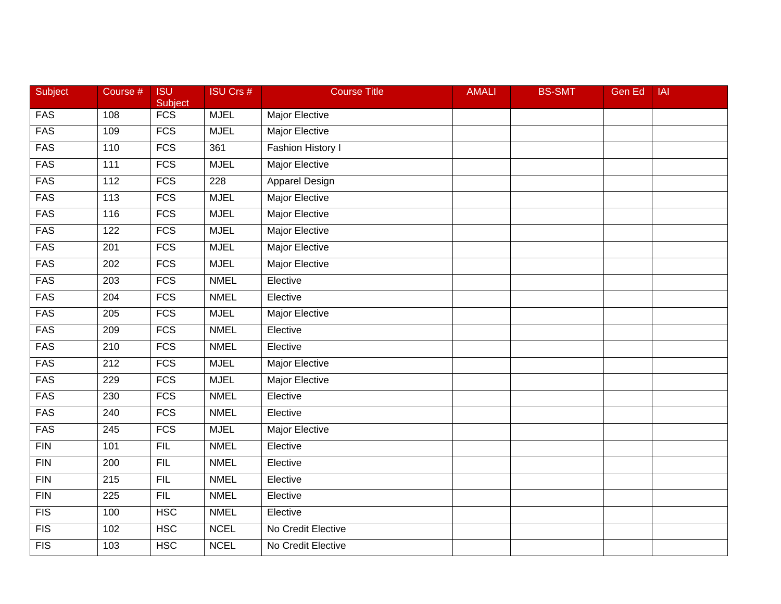| Subject          | Course #         | <b>ISU</b><br>Subject | <b>ISU Crs #</b> | <b>Course Title</b>      | <b>AMALI</b> | <b>BS-SMT</b> | <b>Gen Ed</b> | <b>IAI</b> |
|------------------|------------------|-----------------------|------------------|--------------------------|--------------|---------------|---------------|------------|
| <b>FAS</b>       | 108              | $\overline{FCS}$      | <b>MJEL</b>      | Major Elective           |              |               |               |            |
| <b>FAS</b>       | 109              | FCS                   | <b>MJEL</b>      | <b>Major Elective</b>    |              |               |               |            |
| <b>FAS</b>       | 110              | FCS                   | 361              | <b>Fashion History I</b> |              |               |               |            |
| <b>FAS</b>       | $\frac{111}{11}$ | FCS                   | <b>MJEL</b>      | <b>Major Elective</b>    |              |               |               |            |
| <b>FAS</b>       | 112              | $\overline{FCS}$      | 228              | Apparel Design           |              |               |               |            |
| <b>FAS</b>       | 113              | <b>FCS</b>            | <b>MJEL</b>      | <b>Major Elective</b>    |              |               |               |            |
| <b>FAS</b>       | 116              | <b>FCS</b>            | <b>MJEL</b>      | <b>Major Elective</b>    |              |               |               |            |
| <b>FAS</b>       | 122              | <b>FCS</b>            | <b>MJEL</b>      | <b>Major Elective</b>    |              |               |               |            |
| <b>FAS</b>       | $\overline{201}$ | FCS                   | <b>MJEL</b>      | <b>Major Elective</b>    |              |               |               |            |
| <b>FAS</b>       | 202              | $\overline{FCS}$      | <b>MJEL</b>      | <b>Major Elective</b>    |              |               |               |            |
| <b>FAS</b>       | 203              | <b>FCS</b>            | <b>NMEL</b>      | Elective                 |              |               |               |            |
| <b>FAS</b>       | 204              | <b>FCS</b>            | <b>NMEL</b>      | Elective                 |              |               |               |            |
| <b>FAS</b>       | $\overline{205}$ | FCS                   | <b>MJEL</b>      | <b>Major Elective</b>    |              |               |               |            |
| <b>FAS</b>       | 209              | FCS                   | <b>NMEL</b>      | Elective                 |              |               |               |            |
| <b>FAS</b>       | 210              | FCS                   | <b>NMEL</b>      | Elective                 |              |               |               |            |
| <b>FAS</b>       | 212              | <b>FCS</b>            | <b>MJEL</b>      | Major Elective           |              |               |               |            |
| <b>FAS</b>       | 229              | <b>FCS</b>            | <b>MJEL</b>      | <b>Major Elective</b>    |              |               |               |            |
| <b>FAS</b>       | $\overline{230}$ | FCS                   | <b>NMEL</b>      | Elective                 |              |               |               |            |
| <b>FAS</b>       | 240              | FCS                   | <b>NMEL</b>      | Elective                 |              |               |               |            |
| <b>FAS</b>       | $\overline{245}$ | FCS                   | <b>MJEL</b>      | <b>Major Elective</b>    |              |               |               |            |
| <b>FIN</b>       | 101              | FIL                   | <b>NMEL</b>      | Elective                 |              |               |               |            |
| FIN              | 200              | FIL                   | <b>NMEL</b>      | Elective                 |              |               |               |            |
| FIN              | $\overline{215}$ | FIL                   | <b>NMEL</b>      | Elective                 |              |               |               |            |
| FIN              | $\overline{225}$ | FIL                   | <b>NMEL</b>      | Elective                 |              |               |               |            |
| FIS              | 100              | <b>HSC</b>            | <b>NMEL</b>      | Elective                 |              |               |               |            |
| $\overline{FIS}$ | 102              | <b>HSC</b>            | <b>NCEL</b>      | No Credit Elective       |              |               |               |            |
| FIS              | 103              | <b>HSC</b>            | <b>NCEL</b>      | No Credit Elective       |              |               |               |            |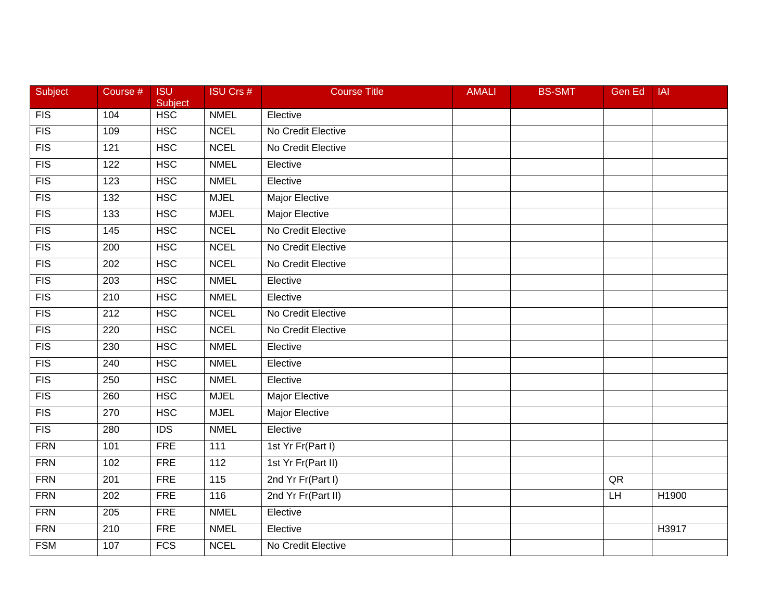| Subject          | Course #         | <b>ISU</b><br>Subject | <b>ISU Crs #</b>  | <b>Course Title</b>   | <b>AMALI</b> | <b>BS-SMT</b> | Gen Ed | <b>IAI</b> |
|------------------|------------------|-----------------------|-------------------|-----------------------|--------------|---------------|--------|------------|
| FIS              | 104              | <b>HSC</b>            | <b>NMEL</b>       | Elective              |              |               |        |            |
| $\overline{FIS}$ | 109              | <b>HSC</b>            | <b>NCEL</b>       | No Credit Elective    |              |               |        |            |
| FIS              | 121              | <b>HSC</b>            | <b>NCEL</b>       | No Credit Elective    |              |               |        |            |
| FIS              | 122              | <b>HSC</b>            | <b>NMEL</b>       | Elective              |              |               |        |            |
| FIS              | 123              | <b>HSC</b>            | <b>NMEL</b>       | Elective              |              |               |        |            |
| FIS              | 132              | <b>HSC</b>            | <b>MJEL</b>       | Major Elective        |              |               |        |            |
| FIS              | $\overline{133}$ | <b>HSC</b>            | <b>MJEL</b>       | <b>Major Elective</b> |              |               |        |            |
| FIS              | 145              | <b>HSC</b>            | <b>NCEL</b>       | No Credit Elective    |              |               |        |            |
| FIS              | 200              | <b>HSC</b>            | <b>NCEL</b>       | No Credit Elective    |              |               |        |            |
| FIS              | 202              | <b>HSC</b>            | <b>NCEL</b>       | No Credit Elective    |              |               |        |            |
| <b>FIS</b>       | 203              | <b>HSC</b>            | <b>NMEL</b>       | Elective              |              |               |        |            |
| FIS              | $\overline{210}$ | HSC                   | <b>NMEL</b>       | Elective              |              |               |        |            |
| FIS              | $\overline{212}$ | <b>HSC</b>            | <b>NCEL</b>       | No Credit Elective    |              |               |        |            |
| $\overline{FIS}$ | 220              | <b>HSC</b>            | <b>NCEL</b>       | No Credit Elective    |              |               |        |            |
| FIS              | 230              | <b>HSC</b>            | <b>NMEL</b>       | Elective              |              |               |        |            |
| FIS              | 240              | <b>HSC</b>            | <b>NMEL</b>       | Elective              |              |               |        |            |
| FIS              | 250              | <b>HSC</b>            | <b>NMEL</b>       | Elective              |              |               |        |            |
| FIS              | 260              | <b>HSC</b>            | <b>MJEL</b>       | <b>Major Elective</b> |              |               |        |            |
| FIS              | 270              | <b>HSC</b>            | <b>MJEL</b>       | Major Elective        |              |               |        |            |
| FIS              | 280              | $\overline{IDS}$      | <b>NMEL</b>       | Elective              |              |               |        |            |
| <b>FRN</b>       | 101              | <b>FRE</b>            | 111               | 1st Yr Fr(Part I)     |              |               |        |            |
| <b>FRN</b>       | 102              | <b>FRE</b>            | 112               | 1st Yr Fr(Part II)    |              |               |        |            |
| <b>FRN</b>       | $\overline{201}$ | <b>FRE</b>            | $\frac{115}{115}$ | 2nd Yr Fr(Part I)     |              |               | QR     |            |
| <b>FRN</b>       | 202              | FRE                   | 116               | 2nd Yr Fr(Part II)    |              |               | LH     | H1900      |
| <b>FRN</b>       | 205              | <b>FRE</b>            | <b>NMEL</b>       | Elective              |              |               |        |            |
| <b>FRN</b>       | 210              | FRE                   | <b>NMEL</b>       | Elective              |              |               |        | H3917      |
| <b>FSM</b>       | 107              | FCS                   | <b>NCEL</b>       | No Credit Elective    |              |               |        |            |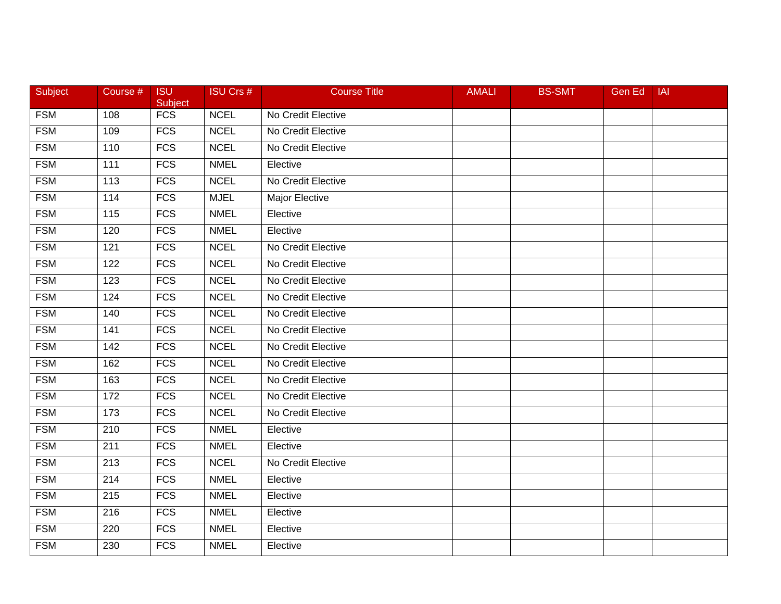| Subject    | Course #          | <b>ISU</b><br>Subject | <b>ISU Crs #</b> | <b>Course Title</b> | <b>AMALI</b> | <b>BS-SMT</b> | Gen Ed | <b>IAI</b> |
|------------|-------------------|-----------------------|------------------|---------------------|--------------|---------------|--------|------------|
| <b>FSM</b> | 108               | <b>FCS</b>            | <b>NCEL</b>      | No Credit Elective  |              |               |        |            |
| <b>FSM</b> | 109               | <b>FCS</b>            | <b>NCEL</b>      | No Credit Elective  |              |               |        |            |
| <b>FSM</b> | 110               | <b>FCS</b>            | <b>NCEL</b>      | No Credit Elective  |              |               |        |            |
| <b>FSM</b> | 111               | FCS                   | <b>NMEL</b>      | Elective            |              |               |        |            |
| <b>FSM</b> | 113               | <b>FCS</b>            | <b>NCEL</b>      | No Credit Elective  |              |               |        |            |
| <b>FSM</b> | 114               | <b>FCS</b>            | <b>MJEL</b>      | Major Elective      |              |               |        |            |
| <b>FSM</b> | $\frac{115}{115}$ | <b>FCS</b>            | <b>NMEL</b>      | Elective            |              |               |        |            |
| <b>FSM</b> | 120               | <b>FCS</b>            | <b>NMEL</b>      | Elective            |              |               |        |            |
| <b>FSM</b> | 121               | <b>FCS</b>            | <b>NCEL</b>      | No Credit Elective  |              |               |        |            |
| <b>FSM</b> | 122               | <b>FCS</b>            | <b>NCEL</b>      | No Credit Elective  |              |               |        |            |
| <b>FSM</b> | 123               | <b>FCS</b>            | <b>NCEL</b>      | No Credit Elective  |              |               |        |            |
| <b>FSM</b> | 124               | <b>FCS</b>            | <b>NCEL</b>      | No Credit Elective  |              |               |        |            |
| <b>FSM</b> | 140               | <b>FCS</b>            | <b>NCEL</b>      | No Credit Elective  |              |               |        |            |
| <b>FSM</b> | 141               | <b>FCS</b>            | <b>NCEL</b>      | No Credit Elective  |              |               |        |            |
| <b>FSM</b> | 142               | <b>FCS</b>            | <b>NCEL</b>      | No Credit Elective  |              |               |        |            |
| <b>FSM</b> | 162               | <b>FCS</b>            | <b>NCEL</b>      | No Credit Elective  |              |               |        |            |
| <b>FSM</b> | 163               | <b>FCS</b>            | <b>NCEL</b>      | No Credit Elective  |              |               |        |            |
| <b>FSM</b> | 172               | <b>FCS</b>            | <b>NCEL</b>      | No Credit Elective  |              |               |        |            |
| <b>FSM</b> | 173               | <b>FCS</b>            | <b>NCEL</b>      | No Credit Elective  |              |               |        |            |
| <b>FSM</b> | 210               | <b>FCS</b>            | <b>NMEL</b>      | Elective            |              |               |        |            |
| <b>FSM</b> | 211               | <b>FCS</b>            | <b>NMEL</b>      | Elective            |              |               |        |            |
| <b>FSM</b> | 213               | <b>FCS</b>            | <b>NCEL</b>      | No Credit Elective  |              |               |        |            |
| <b>FSM</b> | $\overline{214}$  | <b>FCS</b>            | <b>NMEL</b>      | Elective            |              |               |        |            |
| <b>FSM</b> | 215               | FCS                   | <b>NMEL</b>      | Elective            |              |               |        |            |
| <b>FSM</b> | 216               | <b>FCS</b>            | <b>NMEL</b>      | Elective            |              |               |        |            |
| <b>FSM</b> | 220               | <b>FCS</b>            | <b>NMEL</b>      | Elective            |              |               |        |            |
| <b>FSM</b> | 230               | FCS                   | <b>NMEL</b>      | Elective            |              |               |        |            |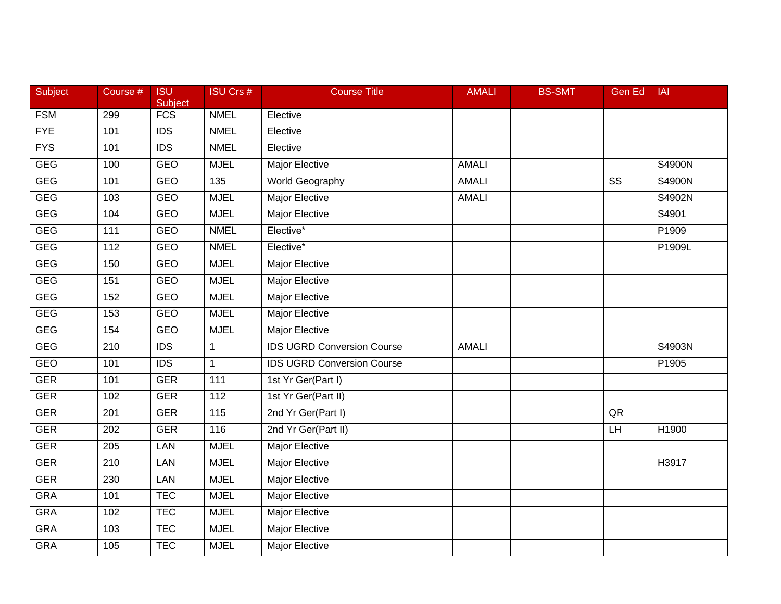| Subject    | Course # | <b>ISU</b><br>Subject | <b>ISU Crs #</b> | <b>Course Title</b>               | <b>AMALI</b> | <b>BS-SMT</b> | <b>Gen Ed</b>          | <b>IAI</b>        |
|------------|----------|-----------------------|------------------|-----------------------------------|--------------|---------------|------------------------|-------------------|
| <b>FSM</b> | 299      | FCS                   | <b>NMEL</b>      | Elective                          |              |               |                        |                   |
| <b>FYE</b> | 101      | $\overline{IDS}$      | <b>NMEL</b>      | Elective                          |              |               |                        |                   |
| <b>FYS</b> | 101      | <b>IDS</b>            | <b>NMEL</b>      | Elective                          |              |               |                        |                   |
| <b>GEG</b> | 100      | <b>GEO</b>            | <b>MJEL</b>      | <b>Major Elective</b>             | <b>AMALI</b> |               |                        | S4900N            |
| <b>GEG</b> | 101      | <b>GEO</b>            | 135              | World Geography                   | <b>AMALI</b> |               | $\overline{\text{SS}}$ | S4900N            |
| <b>GEG</b> | 103      | GEO                   | <b>MJEL</b>      | <b>Major Elective</b>             | <b>AMALI</b> |               |                        | S4902N            |
| <b>GEG</b> | 104      | <b>GEO</b>            | <b>MJEL</b>      | <b>Major Elective</b>             |              |               |                        | S4901             |
| <b>GEG</b> | 111      | <b>GEO</b>            | <b>NMEL</b>      | Elective*                         |              |               |                        | P1909             |
| <b>GEG</b> | 112      | <b>GEO</b>            | <b>NMEL</b>      | Elective*                         |              |               |                        | P1909L            |
| <b>GEG</b> | 150      | GEO                   | <b>MJEL</b>      | Major Elective                    |              |               |                        |                   |
| <b>GEG</b> | 151      | GEO                   | <b>MJEL</b>      | Major Elective                    |              |               |                        |                   |
| <b>GEG</b> | 152      | <b>GEO</b>            | <b>MJEL</b>      | <b>Major Elective</b>             |              |               |                        |                   |
| <b>GEG</b> | 153      | <b>GEO</b>            | <b>MJEL</b>      | <b>Major Elective</b>             |              |               |                        |                   |
| <b>GEG</b> | 154      | GEO                   | <b>MJEL</b>      | <b>Major Elective</b>             |              |               |                        |                   |
| <b>GEG</b> | 210      | <b>IDS</b>            | $\mathbf{1}$     | <b>IDS UGRD Conversion Course</b> | <b>AMALI</b> |               |                        | S4903N            |
| <b>GEO</b> | 101      | <b>IDS</b>            | $\mathbf{1}$     | <b>IDS UGRD Conversion Course</b> |              |               |                        | P1905             |
| <b>GER</b> | 101      | <b>GER</b>            | 111              | 1st Yr Ger(Part I)                |              |               |                        |                   |
| <b>GER</b> | 102      | <b>GER</b>            | 112              | 1st Yr Ger(Part II)               |              |               |                        |                   |
| <b>GER</b> | 201      | <b>GER</b>            | 115              | 2nd Yr Ger(Part I)                |              |               | QR                     |                   |
| <b>GER</b> | 202      | <b>GER</b>            | 116              | 2nd Yr Ger(Part II)               |              |               | LH                     | H1900             |
| <b>GER</b> | 205      | LAN                   | <b>MJEL</b>      | Major Elective                    |              |               |                        |                   |
| <b>GER</b> | 210      | LAN                   | <b>MJEL</b>      | <b>Major Elective</b>             |              |               |                        | H <sub>3917</sub> |
| <b>GER</b> | 230      | <b>LAN</b>            | <b>MJEL</b>      | <b>Major Elective</b>             |              |               |                        |                   |
| <b>GRA</b> | 101      | <b>TEC</b>            | <b>MJEL</b>      | <b>Major Elective</b>             |              |               |                        |                   |
| <b>GRA</b> | 102      | <b>TEC</b>            | <b>MJEL</b>      | Major Elective                    |              |               |                        |                   |
| <b>GRA</b> | 103      | <b>TEC</b>            | <b>MJEL</b>      | Major Elective                    |              |               |                        |                   |
| <b>GRA</b> | 105      | <b>TEC</b>            | <b>MJEL</b>      | Major Elective                    |              |               |                        |                   |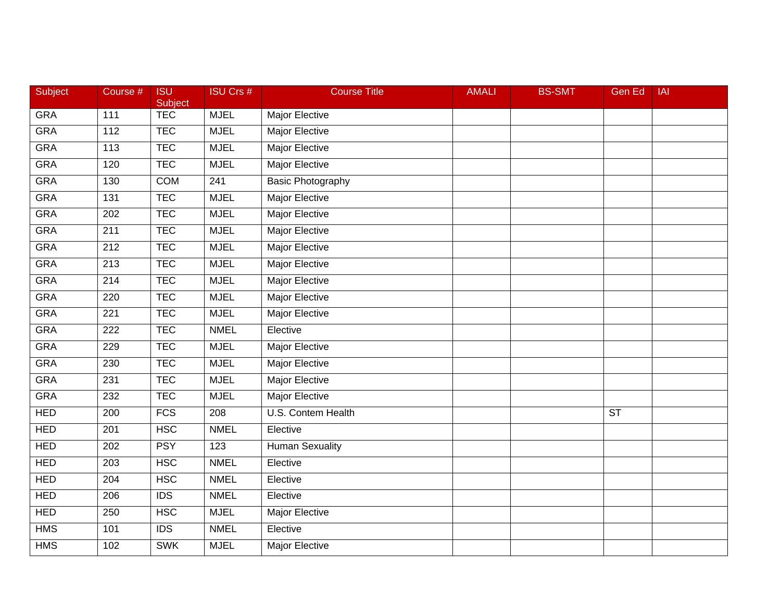| Subject    | Course #       | <b>ISU</b><br>Subject | <b>ISU Crs #</b> | <b>Course Title</b>      | <b>AMALI</b> | <b>BS-SMT</b> | <b>Gen Ed</b> | <b>IAI</b> |
|------------|----------------|-----------------------|------------------|--------------------------|--------------|---------------|---------------|------------|
| <b>GRA</b> | 111            | <b>TEC</b>            | <b>MJEL</b>      | Major Elective           |              |               |               |            |
| <b>GRA</b> | $\frac{11}{2}$ | <b>TEC</b>            | <b>MJEL</b>      | <b>Major Elective</b>    |              |               |               |            |
| <b>GRA</b> | 113            | <b>TEC</b>            | <b>MJEL</b>      | <b>Major Elective</b>    |              |               |               |            |
| <b>GRA</b> | 120            | <b>TEC</b>            | <b>MJEL</b>      | <b>Major Elective</b>    |              |               |               |            |
| <b>GRA</b> | 130            | <b>COM</b>            | 241              | <b>Basic Photography</b> |              |               |               |            |
| <b>GRA</b> | 131            | <b>TEC</b>            | <b>MJEL</b>      | <b>Major Elective</b>    |              |               |               |            |
| <b>GRA</b> | 202            | <b>TEC</b>            | <b>MJEL</b>      | <b>Major Elective</b>    |              |               |               |            |
| <b>GRA</b> | 211            | <b>TEC</b>            | <b>MJEL</b>      | <b>Major Elective</b>    |              |               |               |            |
| <b>GRA</b> | 212            | <b>TEC</b>            | <b>MJEL</b>      | Major Elective           |              |               |               |            |
| <b>GRA</b> | 213            | <b>TEC</b>            | <b>MJEL</b>      | <b>Major Elective</b>    |              |               |               |            |
| <b>GRA</b> | 214            | <b>TEC</b>            | <b>MJEL</b>      | Major Elective           |              |               |               |            |
| <b>GRA</b> | 220            | <b>TEC</b>            | <b>MJEL</b>      | <b>Major Elective</b>    |              |               |               |            |
| <b>GRA</b> | 221            | <b>TEC</b>            | <b>MJEL</b>      | <b>Major Elective</b>    |              |               |               |            |
| <b>GRA</b> | 222            | <b>TEC</b>            | <b>NMEL</b>      | Elective                 |              |               |               |            |
| <b>GRA</b> | 229            | <b>TEC</b>            | <b>MJEL</b>      | <b>Major Elective</b>    |              |               |               |            |
| <b>GRA</b> | 230            | <b>TEC</b>            | <b>MJEL</b>      | Major Elective           |              |               |               |            |
| <b>GRA</b> | 231            | <b>TEC</b>            | <b>MJEL</b>      | <b>Major Elective</b>    |              |               |               |            |
| <b>GRA</b> | 232            | <b>TEC</b>            | <b>MJEL</b>      | <b>Major Elective</b>    |              |               |               |            |
| <b>HED</b> | 200            | <b>FCS</b>            | 208              | U.S. Contem Health       |              |               | <b>ST</b>     |            |
| <b>HED</b> | 201            | <b>HSC</b>            | <b>NMEL</b>      | Elective                 |              |               |               |            |
| <b>HED</b> | 202            | <b>PSY</b>            | 123              | <b>Human Sexuality</b>   |              |               |               |            |
| HED        | 203            | <b>HSC</b>            | <b>NMEL</b>      | Elective                 |              |               |               |            |
| <b>HED</b> | 204            | <b>HSC</b>            | <b>NMEL</b>      | Elective                 |              |               |               |            |
| <b>HED</b> | 206            | IDS                   | <b>NMEL</b>      | Elective                 |              |               |               |            |
| <b>HED</b> | 250            | <b>HSC</b>            | <b>MJEL</b>      | Major Elective           |              |               |               |            |
| <b>HMS</b> | 101            | <b>IDS</b>            | <b>NMEL</b>      | Elective                 |              |               |               |            |
| <b>HMS</b> | 102            | <b>SWK</b>            | <b>MJEL</b>      | <b>Major Elective</b>    |              |               |               |            |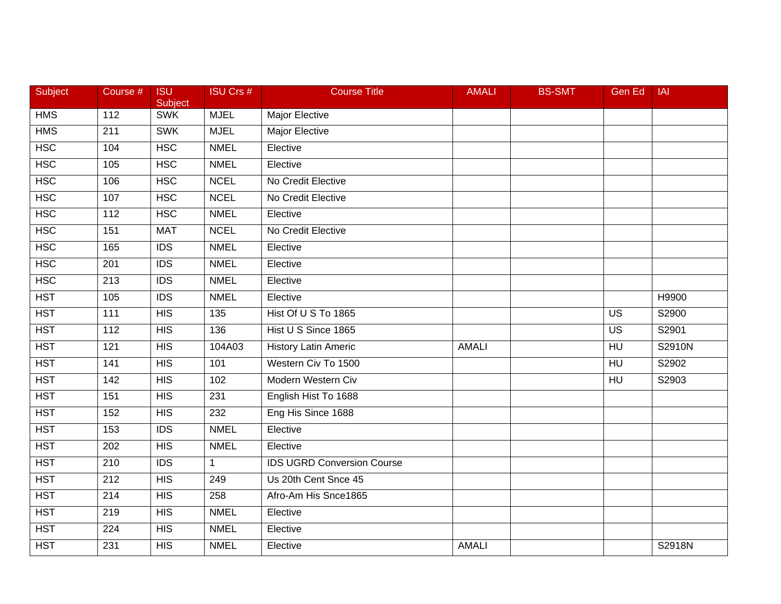| Subject          | Course #         | <b>ISU</b><br>Subject | ISU Crs #        | <b>Course Title</b>               | <b>AMALI</b> | <b>BS-SMT</b> | Gen Ed          | <b>IAI</b> |
|------------------|------------------|-----------------------|------------------|-----------------------------------|--------------|---------------|-----------------|------------|
| <b>HMS</b>       | $\frac{11}{2}$   | <b>SWK</b>            | <b>MJEL</b>      | Major Elective                    |              |               |                 |            |
| <b>HMS</b>       | 211              | <b>SWK</b>            | <b>MJEL</b>      | <b>Major Elective</b>             |              |               |                 |            |
| <b>HSC</b>       | 104              | <b>HSC</b>            | <b>NMEL</b>      | Elective                          |              |               |                 |            |
| <b>HSC</b>       | 105              | <b>HSC</b>            | <b>NMEL</b>      | Elective                          |              |               |                 |            |
| <b>HSC</b>       | 106              | <b>HSC</b>            | <b>NCEL</b>      | No Credit Elective                |              |               |                 |            |
| <b>HSC</b>       | 107              | <b>HSC</b>            | <b>NCEL</b>      | No Credit Elective                |              |               |                 |            |
| <b>HSC</b>       | 112              | <b>HSC</b>            | <b>NMEL</b>      | Elective                          |              |               |                 |            |
| <b>HSC</b>       | 151              | <b>MAT</b>            | <b>NCEL</b>      | No Credit Elective                |              |               |                 |            |
| <b>HSC</b>       | 165              | <b>IDS</b>            | <b>NMEL</b>      | Elective                          |              |               |                 |            |
| <b>HSC</b>       | 201              | $\overline{IDS}$      | <b>NMEL</b>      | Elective                          |              |               |                 |            |
| <b>HSC</b>       | 213              | <b>IDS</b>            | <b>NMEL</b>      | Elective                          |              |               |                 |            |
| $\overline{HST}$ | 105              | $\overline{IDS}$      | <b>NMEL</b>      | Elective                          |              |               |                 | H9900      |
| <b>HST</b>       | $\overline{111}$ | HIS                   | $\overline{135}$ | Hist Of U S To 1865               |              |               | $\overline{US}$ | S2900      |
| <b>HST</b>       | 112              | <b>HIS</b>            | 136              | Hist U S Since 1865               |              |               | <b>US</b>       | S2901      |
| <b>HST</b>       | 121              | <b>HIS</b>            | 104A03           | <b>History Latin Americ</b>       | <b>AMALI</b> |               | HU              | S2910N     |
| <b>HST</b>       | 141              | <b>HIS</b>            | 101              | Western Civ To 1500               |              |               | <b>HU</b>       | S2902      |
| <b>HST</b>       | 142              | $\overline{HIS}$      | 102              | Modern Western Civ                |              |               | H <sub>U</sub>  | S2903      |
| <b>HST</b>       | 151              | HIS                   | 231              | English Hist To 1688              |              |               |                 |            |
| <b>HST</b>       | 152              | <b>HIS</b>            | 232              | Eng His Since 1688                |              |               |                 |            |
| <b>HST</b>       | 153              | <b>IDS</b>            | <b>NMEL</b>      | Elective                          |              |               |                 |            |
| <b>HST</b>       | 202              | HIS                   | <b>NMEL</b>      | Elective                          |              |               |                 |            |
| <b>HST</b>       | 210              | <b>IDS</b>            | $\mathbf{1}$     | <b>IDS UGRD Conversion Course</b> |              |               |                 |            |
| $\overline{HST}$ | $\overline{212}$ | HIS                   | 249              | Us 20th Cent Snce 45              |              |               |                 |            |
| <b>HST</b>       | 214              | <b>HIS</b>            | 258              | Afro-Am His Snce1865              |              |               |                 |            |
| <b>HST</b>       | 219              | <b>HIS</b>            | <b>NMEL</b>      | Elective                          |              |               |                 |            |
| <b>HST</b>       | 224              | <b>HIS</b>            | <b>NMEL</b>      | Elective                          |              |               |                 |            |
| <b>HST</b>       | 231              | HIS                   | <b>NMEL</b>      | Elective                          | <b>AMALI</b> |               |                 | S2918N     |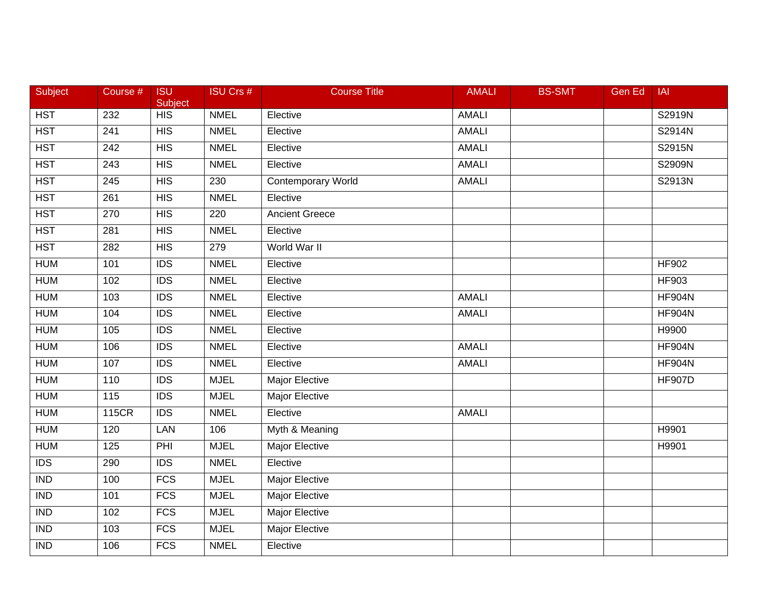| Subject                 | Course #          | <b>ISU</b><br>Subject | <b>ISU Crs #</b> | <b>Course Title</b>       | <b>AMALI</b> | <b>BS-SMT</b> | <b>Gen Ed</b> | <b>IAI</b>    |
|-------------------------|-------------------|-----------------------|------------------|---------------------------|--------------|---------------|---------------|---------------|
| <b>HST</b>              | 232               | HIS                   | <b>NMEL</b>      | Elective                  | <b>AMALI</b> |               |               | S2919N        |
| <b>HST</b>              | 241               | HIS                   | <b>NMEL</b>      | Elective                  | <b>AMALI</b> |               |               | S2914N        |
| <b>HST</b>              | 242               | HIS                   | <b>NMEL</b>      | Elective                  | <b>AMALI</b> |               |               | S2915N        |
| <b>HST</b>              | 243               | HIS                   | <b>NMEL</b>      | Elective                  | <b>AMALI</b> |               |               | S2909N        |
| <b>HST</b>              | 245               | <b>HIS</b>            | 230              | <b>Contemporary World</b> | <b>AMALI</b> |               |               | S2913N        |
| <b>HST</b>              | 261               | <b>HIS</b>            | <b>NMEL</b>      | Elective                  |              |               |               |               |
| <b>HST</b>              | $\overline{270}$  | HIS                   | 220              | <b>Ancient Greece</b>     |              |               |               |               |
| <b>HST</b>              | 281               | HIS                   | <b>NMEL</b>      | Elective                  |              |               |               |               |
| <b>HST</b>              | 282               | HIS                   | 279              | World War II              |              |               |               |               |
| <b>HUM</b>              | 101               | <b>IDS</b>            | <b>NMEL</b>      | Elective                  |              |               |               | <b>HF902</b>  |
| <b>HUM</b>              | 102               | <b>IDS</b>            | <b>NMEL</b>      | Elective                  |              |               |               | <b>HF903</b>  |
| <b>HUM</b>              | 103               | $\overline{IDS}$      | <b>NMEL</b>      | Elective                  | <b>AMALI</b> |               |               | <b>HF904N</b> |
| <b>HUM</b>              | 104               | $\overline{IDS}$      | <b>NMEL</b>      | Elective                  | <b>AMALI</b> |               |               | <b>HF904N</b> |
| <b>HUM</b>              | 105               | $\overline{IDS}$      | <b>NMEL</b>      | Elective                  |              |               |               | H9900         |
| <b>HUM</b>              | 106               | $\overline{IDS}$      | <b>NMEL</b>      | Elective                  | <b>AMALI</b> |               |               | <b>HF904N</b> |
| <b>HUM</b>              | 107               | <b>IDS</b>            | <b>NMEL</b>      | Elective                  | <b>AMALI</b> |               |               | <b>HF904N</b> |
| <b>HUM</b>              | 110               | $\overline{IDS}$      | <b>MJEL</b>      | <b>Major Elective</b>     |              |               |               | <b>HF907D</b> |
| <b>HUM</b>              | $\frac{115}{115}$ | $\overline{IDS}$      | <b>MJEL</b>      | <b>Major Elective</b>     |              |               |               |               |
| <b>HUM</b>              | <b>115CR</b>      | <b>IDS</b>            | <b>NMEL</b>      | Elective                  | <b>AMALI</b> |               |               |               |
| <b>HUM</b>              | 120               | LAN                   | 106              | Myth & Meaning            |              |               |               | H9901         |
| <b>HUM</b>              | 125               | PHI                   | <b>MJEL</b>      | Major Elective            |              |               |               | H9901         |
| $\overline{IDS}$        | 290               | $\overline{IDS}$      | <b>NMEL</b>      | Elective                  |              |               |               |               |
| $\overline{\text{IND}}$ | 100               | FCS                   | <b>MJEL</b>      | <b>Major Elective</b>     |              |               |               |               |
| $\overline{\text{IND}}$ | 101               | $\overline{FCS}$      | <b>MJEL</b>      | <b>Major Elective</b>     |              |               |               |               |
| $\overline{IND}$        | 102               | <b>FCS</b>            | <b>MJEL</b>      | Major Elective            |              |               |               |               |
| $\overline{IND}$        | 103               | <b>FCS</b>            | <b>MJEL</b>      | Major Elective            |              |               |               |               |
| <b>IND</b>              | 106               | <b>FCS</b>            | <b>NMEL</b>      | Elective                  |              |               |               |               |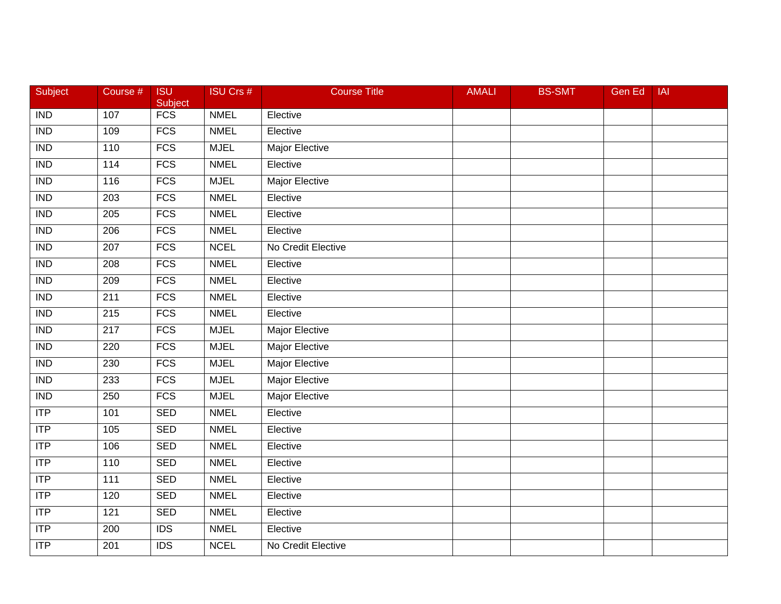| Subject                 | Course #          | <b>ISU</b><br>Subject | <b>ISU Crs #</b> | <b>Course Title</b>   | <b>AMALI</b> | <b>BS-SMT</b> | Gen Ed | <b>IAI</b> |
|-------------------------|-------------------|-----------------------|------------------|-----------------------|--------------|---------------|--------|------------|
| <b>IND</b>              | 107               | FCS                   | <b>NMEL</b>      | Elective              |              |               |        |            |
| <b>IND</b>              | 109               | FCS                   | <b>NMEL</b>      | Elective              |              |               |        |            |
| $\overline{\text{IND}}$ | 110               | <b>FCS</b>            | <b>MJEL</b>      | <b>Major Elective</b> |              |               |        |            |
| $\overline{\text{IND}}$ | $\frac{114}{114}$ | FCS                   | <b>NMEL</b>      | Elective              |              |               |        |            |
| <b>IND</b>              | 116               | $\overline{FCS}$      | <b>MJEL</b>      | Major Elective        |              |               |        |            |
| <b>IND</b>              | 203               | <b>FCS</b>            | <b>NMEL</b>      | Elective              |              |               |        |            |
| $\overline{\text{IND}}$ | 205               | <b>FCS</b>            | <b>NMEL</b>      | Elective              |              |               |        |            |
| <b>IND</b>              | 206               | <b>FCS</b>            | <b>NMEL</b>      | Elective              |              |               |        |            |
| $\overline{IND}$        | 207               | FCS                   | <b>NCEL</b>      | No Credit Elective    |              |               |        |            |
| <b>IND</b>              | 208               | FCS                   | <b>NMEL</b>      | Elective              |              |               |        |            |
| <b>IND</b>              | 209               | <b>FCS</b>            | <b>NMEL</b>      | Elective              |              |               |        |            |
| <b>IND</b>              | 211               | <b>FCS</b>            | <b>NMEL</b>      | Elective              |              |               |        |            |
| $\overline{\text{IND}}$ | $\overline{215}$  | <b>FCS</b>            | <b>NMEL</b>      | Elective              |              |               |        |            |
| <b>IND</b>              | 217               | FCS                   | <b>MJEL</b>      | Major Elective        |              |               |        |            |
| $\overline{IND}$        | 220               | <b>FCS</b>            | <b>MJEL</b>      | <b>Major Elective</b> |              |               |        |            |
| <b>IND</b>              | 230               | <b>FCS</b>            | <b>MJEL</b>      | Major Elective        |              |               |        |            |
| $\overline{\text{IND}}$ | 233               | <b>FCS</b>            | <b>MJEL</b>      | <b>Major Elective</b> |              |               |        |            |
| $\overline{\text{IND}}$ | 250               | <b>FCS</b>            | <b>MJEL</b>      | <b>Major Elective</b> |              |               |        |            |
| <b>ITP</b>              | 101               | <b>SED</b>            | <b>NMEL</b>      | Elective              |              |               |        |            |
| ITP                     | 105               | <b>SED</b>            | <b>NMEL</b>      | Elective              |              |               |        |            |
| ITP                     | 106               | <b>SED</b>            | <b>NMEL</b>      | Elective              |              |               |        |            |
| ITP                     | 110               | <b>SED</b>            | <b>NMEL</b>      | Elective              |              |               |        |            |
| ITP                     | $\frac{111}{11}$  | <b>SED</b>            | <b>NMEL</b>      | Elective              |              |               |        |            |
| ITP                     | 120               | <b>SED</b>            | <b>NMEL</b>      | Elective              |              |               |        |            |
| <b>ITP</b>              | 121               | <b>SED</b>            | <b>NMEL</b>      | Elective              |              |               |        |            |
| ITP                     | 200               | <b>IDS</b>            | <b>NMEL</b>      | Elective              |              |               |        |            |
| <b>ITP</b>              | 201               | $\overline{IDS}$      | <b>NCEL</b>      | No Credit Elective    |              |               |        |            |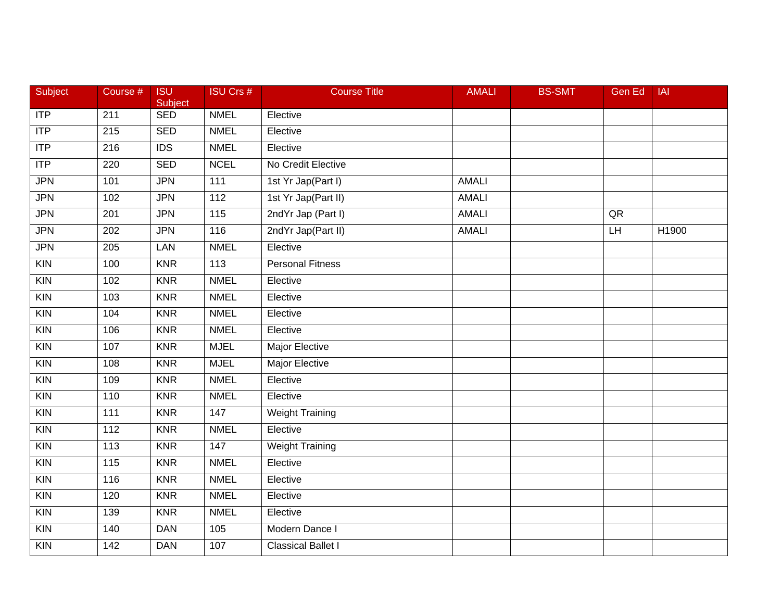| Subject           | Course #         | <b>ISU</b><br>Subject | <b>ISU Crs #</b> | <b>Course Title</b>       | <b>AMALI</b> | <b>BS-SMT</b> | Gen Ed | <b>IAI</b> |
|-------------------|------------------|-----------------------|------------------|---------------------------|--------------|---------------|--------|------------|
| ITP               | $\overline{211}$ | <b>SED</b>            | <b>NMEL</b>      | Elective                  |              |               |        |            |
| ITP               | $\overline{215}$ | <b>SED</b>            | <b>NMEL</b>      | Elective                  |              |               |        |            |
| ITP               | 216              | $\overline{IDS}$      | <b>NMEL</b>      | Elective                  |              |               |        |            |
| ITP               | 220              | <b>SED</b>            | <b>NCEL</b>      | No Credit Elective        |              |               |        |            |
| <b>JPN</b>        | 101              | <b>JPN</b>            | 111              | 1st Yr Jap(Part I)        | <b>AMALI</b> |               |        |            |
| <b>JPN</b>        | 102              | <b>JPN</b>            | 112              | 1st Yr Jap(Part II)       | <b>AMALI</b> |               |        |            |
| <b>JPN</b>        | 201              | <b>JPN</b>            | $\overline{115}$ | 2ndYr Jap (Part I)        | <b>AMALI</b> |               | QR     |            |
| <b>JPN</b>        | 202              | <b>JPN</b>            | 116              | 2ndYr Jap(Part II)        | <b>AMALI</b> |               | $L$ H  | H1900      |
| <b>JPN</b>        | 205              | LAN                   | <b>NMEL</b>      | Elective                  |              |               |        |            |
| $\overline{K}$    | 100              | <b>KNR</b>            | 113              | <b>Personal Fitness</b>   |              |               |        |            |
| <b>KIN</b>        | 102              | <b>KNR</b>            | <b>NMEL</b>      | Elective                  |              |               |        |            |
| KIN               | 103              | <b>KNR</b>            | <b>NMEL</b>      | Elective                  |              |               |        |            |
| $\overline{K}$    | 104              | <b>KNR</b>            | <b>NMEL</b>      | Elective                  |              |               |        |            |
| $\overline{K}$    | 106              | <b>KNR</b>            | <b>NMEL</b>      | Elective                  |              |               |        |            |
| $\overline{K}$ IN | 107              | <b>KNR</b>            | <b>MJEL</b>      | <b>Major Elective</b>     |              |               |        |            |
| <b>KIN</b>        | 108              | <b>KNR</b>            | <b>MJEL</b>      | Major Elective            |              |               |        |            |
| $\overline{K}$    | 109              | <b>KNR</b>            | <b>NMEL</b>      | Elective                  |              |               |        |            |
| $\overline{K}$    | 110              | <b>KNR</b>            | <b>NMEL</b>      | Elective                  |              |               |        |            |
| $\overline{K}$    | 111              | <b>KNR</b>            | 147              | <b>Weight Training</b>    |              |               |        |            |
| <b>KIN</b>        | 112              | <b>KNR</b>            | <b>NMEL</b>      | Elective                  |              |               |        |            |
| $\overline{K}$    | 113              | <b>KNR</b>            | 147              | <b>Weight Training</b>    |              |               |        |            |
| KIN               | 115              | <b>KNR</b>            | <b>NMEL</b>      | Elective                  |              |               |        |            |
| $\overline{K}$    | 116              | <b>KNR</b>            | <b>NMEL</b>      | Elective                  |              |               |        |            |
| $\overline{K}$ IN | 120              | <b>KNR</b>            | <b>NMEL</b>      | Elective                  |              |               |        |            |
| KIN               | 139              | <b>KNR</b>            | <b>NMEL</b>      | Elective                  |              |               |        |            |
| <b>KIN</b>        | 140              | <b>DAN</b>            | 105              | Modern Dance I            |              |               |        |            |
| $\overline{K}$    | 142              | <b>DAN</b>            | 107              | <b>Classical Ballet I</b> |              |               |        |            |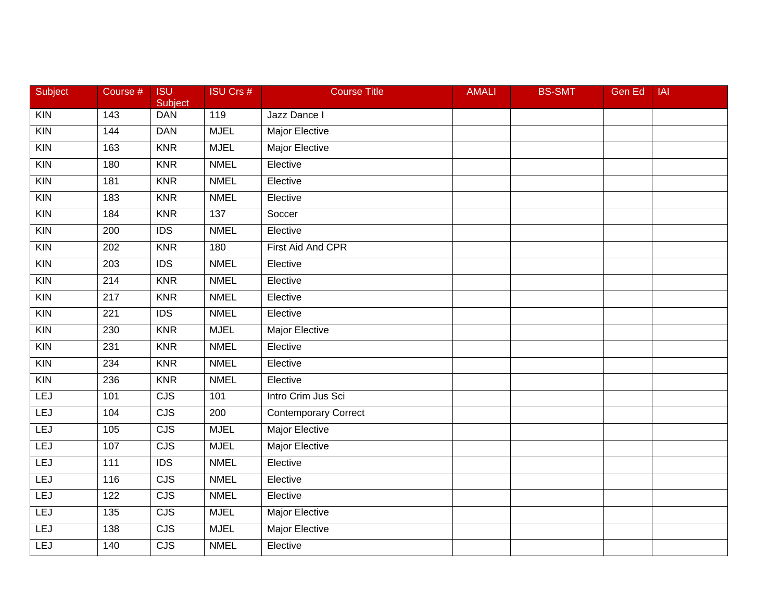| Subject           | Course #         | <b>ISU</b><br>Subject   | <b>ISU Crs #</b> | <b>Course Title</b>   | <b>AMALI</b> | <b>BS-SMT</b> | Gen Ed | <b>IAI</b> |
|-------------------|------------------|-------------------------|------------------|-----------------------|--------------|---------------|--------|------------|
| $\overline{K}$    | 143              | <b>DAN</b>              | 119              | Jazz Dance I          |              |               |        |            |
| $\overline{K}$    | 144              | <b>DAN</b>              | <b>MJEL</b>      | <b>Major Elective</b> |              |               |        |            |
| $\overline{K}$    | 163              | <b>KNR</b>              | <b>MJEL</b>      | <b>Major Elective</b> |              |               |        |            |
| $\overline{K}$ IN | 180              | <b>KNR</b>              | <b>NMEL</b>      | Elective              |              |               |        |            |
| KIN               | 181              | <b>KNR</b>              | <b>NMEL</b>      | Elective              |              |               |        |            |
| $\overline{K}$    | 183              | <b>KNR</b>              | <b>NMEL</b>      | Elective              |              |               |        |            |
| KIN               | 184              | <b>KNR</b>              | 137              | Soccer                |              |               |        |            |
| $\overline{K}$    | $\overline{200}$ | IDS                     | <b>NMEL</b>      | Elective              |              |               |        |            |
| $\overline{K}$ IN | 202              | <b>KNR</b>              | 180              | First Aid And CPR     |              |               |        |            |
| $\overline{K}$    | 203              | $\overline{IDS}$        | <b>NMEL</b>      | Elective              |              |               |        |            |
| <b>KIN</b>        | 214              | <b>KNR</b>              | <b>NMEL</b>      | Elective              |              |               |        |            |
| KIN               | 217              | <b>KNR</b>              | <b>NMEL</b>      | Elective              |              |               |        |            |
| $\overline{K}$    | $\overline{221}$ | $\overline{IDS}$        | <b>NMEL</b>      | Elective              |              |               |        |            |
| KIN               | 230              | <b>KNR</b>              | <b>MJEL</b>      | Major Elective        |              |               |        |            |
| $\overline{K}$ IN | 231              | <b>KNR</b>              | <b>NMEL</b>      | Elective              |              |               |        |            |
| $\overline{K}$    | 234              | <b>KNR</b>              | <b>NMEL</b>      | Elective              |              |               |        |            |
| $\overline{K}$ IN | 236              | <b>KNR</b>              | <b>NMEL</b>      | Elective              |              |               |        |            |
| LEJ               | 101              | CJS                     | 101              | Intro Crim Jus Sci    |              |               |        |            |
| LEJ               | 104              | CJS                     | 200              | Contemporary Correct  |              |               |        |            |
| <b>LEJ</b>        | 105              | $\overline{CJS}$        | <b>MJEL</b>      | <b>Major Elective</b> |              |               |        |            |
| LEJ               | 107              | $\overline{\text{CJS}}$ | <b>MJEL</b>      | <b>Major Elective</b> |              |               |        |            |
| LEJ               | $\frac{111}{11}$ | IDS                     | <b>NMEL</b>      | Elective              |              |               |        |            |
| LEJ               | 116              | CJS                     | <b>NMEL</b>      | Elective              |              |               |        |            |
| LEJ               | 122              | CJS                     | <b>NMEL</b>      | Elective              |              |               |        |            |
| LEJ               | 135              | CJS                     | <b>MJEL</b>      | Major Elective        |              |               |        |            |
| <b>LEJ</b>        | 138              | CJS                     | <b>MJEL</b>      | Major Elective        |              |               |        |            |
| <b>LEJ</b>        | 140              | CJS                     | <b>NMEL</b>      | Elective              |              |               |        |            |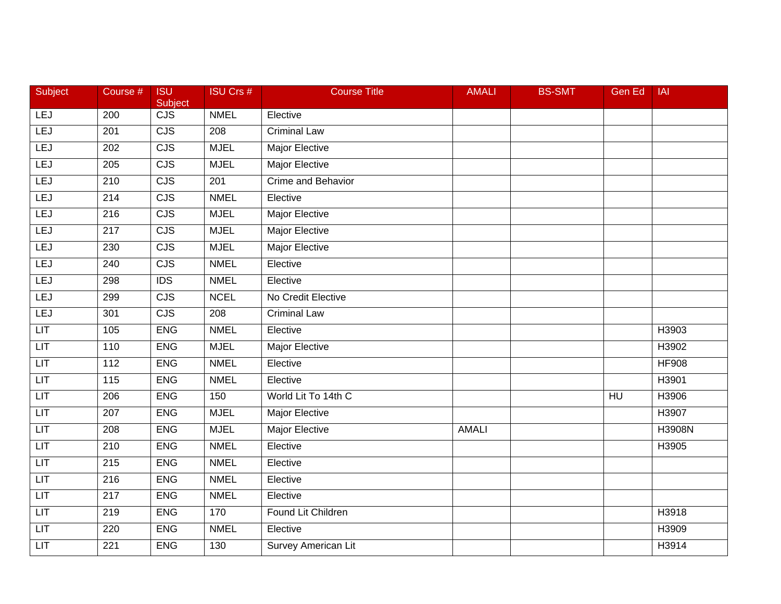| Subject                     | Course #         | <b>ISU</b><br>Subject   | <b>ISU Crs #</b> | <b>Course Title</b>        | <b>AMALI</b> | <b>BS-SMT</b> | Gen Ed          | <b>IAI</b>    |
|-----------------------------|------------------|-------------------------|------------------|----------------------------|--------------|---------------|-----------------|---------------|
| <b>LEJ</b>                  | 200              | $\overline{\text{CJS}}$ | <b>NMEL</b>      | Elective                   |              |               |                 |               |
| LEJ                         | 201              | CJS                     | 208              | <b>Criminal Law</b>        |              |               |                 |               |
| LEJ                         | 202              | CJS                     | <b>MJEL</b>      | <b>Major Elective</b>      |              |               |                 |               |
| LEJ                         | 205              | $\overline{\text{CJS}}$ | <b>MJEL</b>      | <b>Major Elective</b>      |              |               |                 |               |
| LEJ                         | 210              | $\overline{\text{CJS}}$ | 201              | <b>Crime and Behavior</b>  |              |               |                 |               |
| LEJ                         | 214              | <b>CJS</b>              | <b>NMEL</b>      | Elective                   |              |               |                 |               |
| LEJ                         | $\overline{216}$ | CJS                     | <b>MJEL</b>      | <b>Major Elective</b>      |              |               |                 |               |
| LEJ                         | $\overline{217}$ | CJS                     | <b>MJEL</b>      | <b>Major Elective</b>      |              |               |                 |               |
| LEJ                         | 230              | CJS                     | <b>MJEL</b>      | <b>Major Elective</b>      |              |               |                 |               |
| <b>LEJ</b>                  | 240              | $\overline{\text{CJS}}$ | <b>NMEL</b>      | Elective                   |              |               |                 |               |
| LEJ                         | 298              | <b>IDS</b>              | <b>NMEL</b>      | Elective                   |              |               |                 |               |
| LEJ                         | 299              | CJS                     | <b>NCEL</b>      | No Credit Elective         |              |               |                 |               |
| LEJ                         | 301              | CJS                     | $\overline{208}$ | <b>Criminal Law</b>        |              |               |                 |               |
| LT                          | 105              | <b>ENG</b>              | <b>NMEL</b>      | Elective                   |              |               |                 | H3903         |
| LIT                         | 110              | <b>ENG</b>              | <b>MJEL</b>      | <b>Major Elective</b>      |              |               |                 | H3902         |
| LIT                         | 112              | <b>ENG</b>              | <b>NMEL</b>      | Elective                   |              |               |                 | <b>HF908</b>  |
| LIT                         | $\overline{115}$ | <b>ENG</b>              | <b>NMEL</b>      | Elective                   |              |               |                 | H3901         |
| LT                          | $\overline{206}$ | <b>ENG</b>              | 150              | World Lit To 14th C        |              |               | $H\overline{U}$ | H3906         |
| LIT                         | $\overline{207}$ | <b>ENG</b>              | <b>MJEL</b>      | <b>Major Elective</b>      |              |               |                 | H3907         |
| LIT                         | 208              | <b>ENG</b>              | <b>MJEL</b>      | <b>Major Elective</b>      | <b>AMALI</b> |               |                 | <b>H3908N</b> |
| LIT.                        | 210              | <b>ENG</b>              | <b>NMEL</b>      | Elective                   |              |               |                 | H3905         |
| LIT                         | $\overline{215}$ | <b>ENG</b>              | <b>NMEL</b>      | Elective                   |              |               |                 |               |
| LT                          | $\overline{216}$ | <b>ENG</b>              | <b>NMEL</b>      | Elective                   |              |               |                 |               |
| LT                          | $\overline{217}$ | <b>ENG</b>              | <b>NMEL</b>      | Elective                   |              |               |                 |               |
| $\ensuremath{\mathsf{LIT}}$ | 219              | <b>ENG</b>              | 170              | Found Lit Children         |              |               |                 | H3918         |
| LIT                         | 220              | <b>ENG</b>              | <b>NMEL</b>      | Elective                   |              |               |                 | H3909         |
| LIT                         | $\overline{221}$ | <b>ENG</b>              | 130              | <b>Survey American Lit</b> |              |               |                 | H3914         |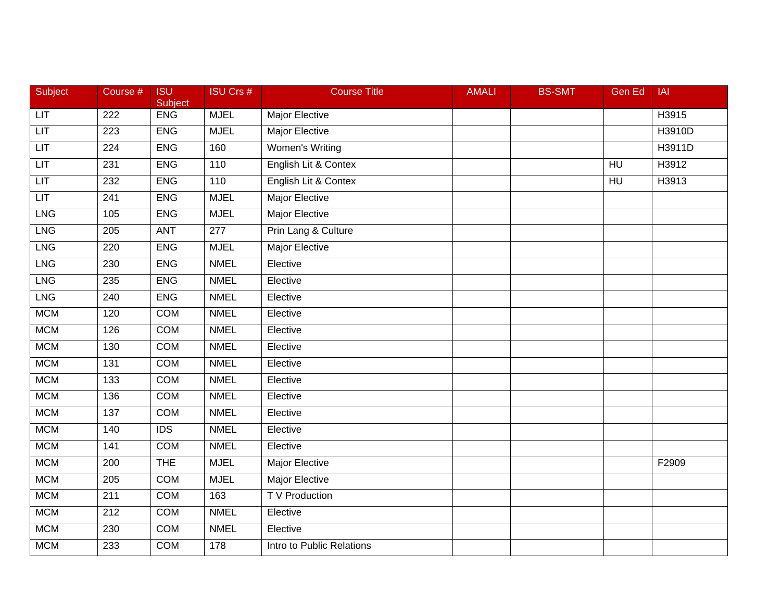| Subject      | Course #         | <b>ISU</b><br>Subject | <b>ISU Crs #</b> | <b>Course Title</b>       | <b>AMALI</b> | <b>BS-SMT</b> | Gen Ed         | <b>IAI</b> |
|--------------|------------------|-----------------------|------------------|---------------------------|--------------|---------------|----------------|------------|
| <b>LIT</b>   | $\overline{222}$ | <b>ENG</b>            | <b>MJEL</b>      | Major Elective            |              |               |                | H3915      |
| LT           | 223              | <b>ENG</b>            | <b>MJEL</b>      | <b>Major Elective</b>     |              |               |                | H3910D     |
| LT           | $\overline{224}$ | <b>ENG</b>            | 160              | Women's Writing           |              |               |                | H3911D     |
| LT           | 231              | <b>ENG</b>            | 110              | English Lit & Contex      |              |               | HU             | H3912      |
| $_{\square}$ | 232              | <b>ENG</b>            | 110              | English Lit & Contex      |              |               | H <sub>U</sub> | H3913      |
| LT           | 241              | <b>ENG</b>            | <b>MJEL</b>      | <b>Major Elective</b>     |              |               |                |            |
| <b>LNG</b>   | 105              | <b>ENG</b>            | <b>MJEL</b>      | <b>Major Elective</b>     |              |               |                |            |
| <b>LNG</b>   | 205              | <b>ANT</b>            | $\overline{277}$ | Prin Lang & Culture       |              |               |                |            |
| <b>LNG</b>   | 220              | <b>ENG</b>            | <b>MJEL</b>      | <b>Major Elective</b>     |              |               |                |            |
| <b>LNG</b>   | 230              | <b>ENG</b>            | <b>NMEL</b>      | Elective                  |              |               |                |            |
| <b>LNG</b>   | 235              | <b>ENG</b>            | <b>NMEL</b>      | Elective                  |              |               |                |            |
| <b>LNG</b>   | 240              | <b>ENG</b>            | <b>NMEL</b>      | Elective                  |              |               |                |            |
| <b>MCM</b>   | 120              | <b>COM</b>            | <b>NMEL</b>      | Elective                  |              |               |                |            |
| <b>MCM</b>   | 126              | <b>COM</b>            | <b>NMEL</b>      | Elective                  |              |               |                |            |
| <b>MCM</b>   | 130              | <b>COM</b>            | <b>NMEL</b>      | Elective                  |              |               |                |            |
| <b>MCM</b>   | 131              | COM                   | <b>NMEL</b>      | Elective                  |              |               |                |            |
| <b>MCM</b>   | 133              | <b>COM</b>            | <b>NMEL</b>      | Elective                  |              |               |                |            |
| <b>MCM</b>   | 136              | <b>COM</b>            | <b>NMEL</b>      | Elective                  |              |               |                |            |
| <b>MCM</b>   | 137              | <b>COM</b>            | <b>NMEL</b>      | Elective                  |              |               |                |            |
| <b>MCM</b>   | 140              | $\overline{IDS}$      | <b>NMEL</b>      | Elective                  |              |               |                |            |
| <b>MCM</b>   | 141              | <b>COM</b>            | <b>NMEL</b>      | Elective                  |              |               |                |            |
| <b>MCM</b>   | 200              | <b>THE</b>            | <b>MJEL</b>      | <b>Major Elective</b>     |              |               |                | F2909      |
| <b>MCM</b>   | 205              | <b>COM</b>            | <b>MJEL</b>      | <b>Major Elective</b>     |              |               |                |            |
| <b>MCM</b>   | 211              | COM                   | 163              | <b>TV Production</b>      |              |               |                |            |
| <b>MCM</b>   | 212              | <b>COM</b>            | <b>NMEL</b>      | Elective                  |              |               |                |            |
| <b>MCM</b>   | 230              | COM                   | <b>NMEL</b>      | Elective                  |              |               |                |            |
| <b>MCM</b>   | 233              | <b>COM</b>            | 178              | Intro to Public Relations |              |               |                |            |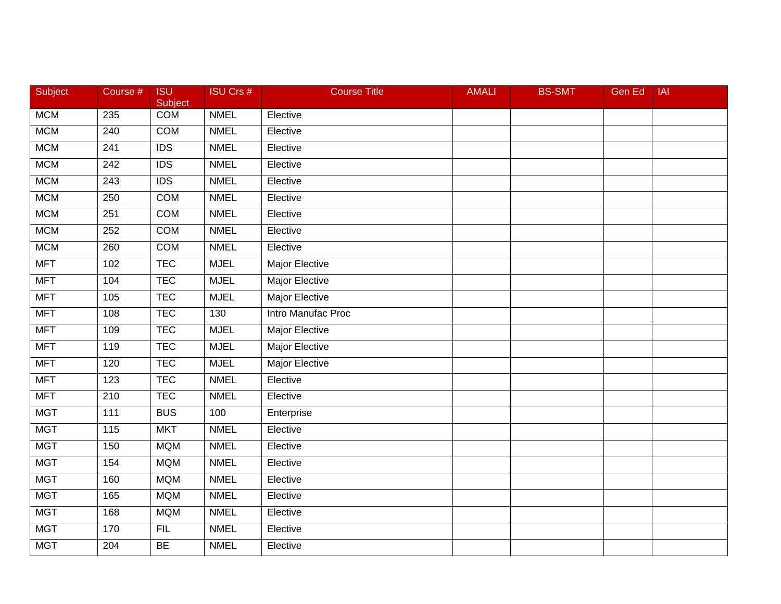| Subject    | Course #         | <b>ISU</b><br>Subject | <b>ISU Crs #</b> | <b>Course Title</b>   | <b>AMALI</b> | <b>BS-SMT</b> | Gen Ed | IAI |
|------------|------------------|-----------------------|------------------|-----------------------|--------------|---------------|--------|-----|
| <b>MCM</b> | 235              | <b>COM</b>            | <b>NMEL</b>      | Elective              |              |               |        |     |
| <b>MCM</b> | 240              | <b>COM</b>            | <b>NMEL</b>      | Elective              |              |               |        |     |
| <b>MCM</b> | 241              | <b>IDS</b>            | <b>NMEL</b>      | Elective              |              |               |        |     |
| <b>MCM</b> | $\overline{242}$ | $\overline{IDS}$      | <b>NMEL</b>      | Elective              |              |               |        |     |
| <b>MCM</b> | 243              | <b>IDS</b>            | <b>NMEL</b>      | Elective              |              |               |        |     |
| <b>MCM</b> | 250              | <b>COM</b>            | <b>NMEL</b>      | Elective              |              |               |        |     |
| <b>MCM</b> | 251              | <b>COM</b>            | <b>NMEL</b>      | Elective              |              |               |        |     |
| <b>MCM</b> | 252              | <b>COM</b>            | <b>NMEL</b>      | Elective              |              |               |        |     |
| <b>MCM</b> | 260              | <b>COM</b>            | <b>NMEL</b>      | Elective              |              |               |        |     |
| <b>MFT</b> | 102              | <b>TEC</b>            | <b>MJEL</b>      | Major Elective        |              |               |        |     |
| <b>MFT</b> | 104              | <b>TEC</b>            | <b>MJEL</b>      | Major Elective        |              |               |        |     |
| <b>MFT</b> | 105              | <b>TEC</b>            | <b>MJEL</b>      | <b>Major Elective</b> |              |               |        |     |
| <b>MFT</b> | 108              | <b>TEC</b>            | 130              | Intro Manufac Proc    |              |               |        |     |
| <b>MFT</b> | 109              | <b>TEC</b>            | <b>MJEL</b>      | <b>Major Elective</b> |              |               |        |     |
| <b>MFT</b> | 119              | <b>TEC</b>            | <b>MJEL</b>      | <b>Major Elective</b> |              |               |        |     |
| <b>MFT</b> | 120              | <b>TEC</b>            | <b>MJEL</b>      | Major Elective        |              |               |        |     |
| <b>MFT</b> | 123              | <b>TEC</b>            | <b>NMEL</b>      | Elective              |              |               |        |     |
| <b>MFT</b> | 210              | <b>TEC</b>            | <b>NMEL</b>      | Elective              |              |               |        |     |
| <b>MGT</b> | 111              | <b>BUS</b>            | 100              | Enterprise            |              |               |        |     |
| <b>MGT</b> | 115              | <b>MKT</b>            | <b>NMEL</b>      | Elective              |              |               |        |     |
| <b>MGT</b> | 150              | <b>MQM</b>            | <b>NMEL</b>      | Elective              |              |               |        |     |
| <b>MGT</b> | 154              | <b>MQM</b>            | <b>NMEL</b>      | Elective              |              |               |        |     |
| <b>MGT</b> | 160              | <b>MQM</b>            | <b>NMEL</b>      | Elective              |              |               |        |     |
| <b>MGT</b> | 165              | <b>MQM</b>            | <b>NMEL</b>      | Elective              |              |               |        |     |
| <b>MGT</b> | 168              | <b>MQM</b>            | <b>NMEL</b>      | Elective              |              |               |        |     |
| <b>MGT</b> | 170              | <b>FIL</b>            | <b>NMEL</b>      | Elective              |              |               |        |     |
| <b>MGT</b> | 204              | <b>BE</b>             | <b>NMEL</b>      | Elective              |              |               |        |     |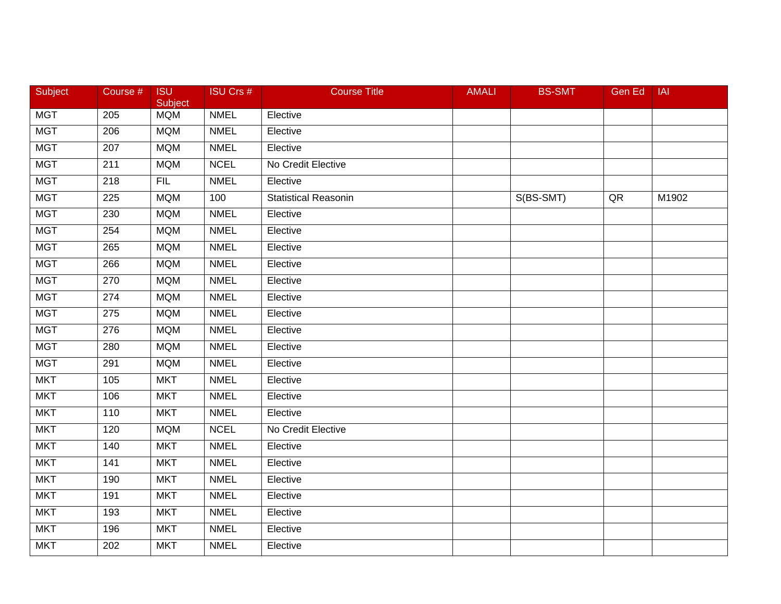| Subject    | Course #         | <b>ISU</b><br>Subject | <b>ISU Crs #</b> | <b>Course Title</b>         | <b>AMALI</b> | <b>BS-SMT</b> | Gen Ed | IAI   |
|------------|------------------|-----------------------|------------------|-----------------------------|--------------|---------------|--------|-------|
| <b>MGT</b> | 205              | <b>MQM</b>            | <b>NMEL</b>      | Elective                    |              |               |        |       |
| <b>MGT</b> | 206              | <b>MQM</b>            | <b>NMEL</b>      | Elective                    |              |               |        |       |
| <b>MGT</b> | 207              | <b>MQM</b>            | <b>NMEL</b>      | Elective                    |              |               |        |       |
| <b>MGT</b> | 211              | <b>MQM</b>            | <b>NCEL</b>      | No Credit Elective          |              |               |        |       |
| <b>MGT</b> | 218              | <b>FIL</b>            | <b>NMEL</b>      | Elective                    |              |               |        |       |
| <b>MGT</b> | 225              | <b>MQM</b>            | 100              | <b>Statistical Reasonin</b> |              | S(BS-SMT)     | QR     | M1902 |
| <b>MGT</b> | 230              | <b>MQM</b>            | <b>NMEL</b>      | Elective                    |              |               |        |       |
| <b>MGT</b> | 254              | <b>MQM</b>            | <b>NMEL</b>      | Elective                    |              |               |        |       |
| <b>MGT</b> | 265              | <b>MQM</b>            | <b>NMEL</b>      | Elective                    |              |               |        |       |
| <b>MGT</b> | 266              | <b>MQM</b>            | <b>NMEL</b>      | Elective                    |              |               |        |       |
| <b>MGT</b> | 270              | <b>MQM</b>            | <b>NMEL</b>      | Elective                    |              |               |        |       |
| <b>MGT</b> | 274              | <b>MQM</b>            | <b>NMEL</b>      | Elective                    |              |               |        |       |
| <b>MGT</b> | $\overline{275}$ | <b>MQM</b>            | <b>NMEL</b>      | Elective                    |              |               |        |       |
| <b>MGT</b> | 276              | <b>MQM</b>            | <b>NMEL</b>      | Elective                    |              |               |        |       |
| <b>MGT</b> | 280              | <b>MQM</b>            | <b>NMEL</b>      | Elective                    |              |               |        |       |
| <b>MGT</b> | 291              | <b>MQM</b>            | <b>NMEL</b>      | Elective                    |              |               |        |       |
| <b>MKT</b> | 105              | <b>MKT</b>            | <b>NMEL</b>      | Elective                    |              |               |        |       |
| <b>MKT</b> | 106              | <b>MKT</b>            | <b>NMEL</b>      | Elective                    |              |               |        |       |
| <b>MKT</b> | 110              | <b>MKT</b>            | <b>NMEL</b>      | Elective                    |              |               |        |       |
| <b>MKT</b> | 120              | <b>MQM</b>            | <b>NCEL</b>      | No Credit Elective          |              |               |        |       |
| <b>MKT</b> | 140              | <b>MKT</b>            | <b>NMEL</b>      | Elective                    |              |               |        |       |
| <b>MKT</b> | 141              | <b>MKT</b>            | <b>NMEL</b>      | Elective                    |              |               |        |       |
| <b>MKT</b> | 190              | <b>MKT</b>            | <b>NMEL</b>      | Elective                    |              |               |        |       |
| <b>MKT</b> | 191              | <b>MKT</b>            | <b>NMEL</b>      | Elective                    |              |               |        |       |
| <b>MKT</b> | 193              | <b>MKT</b>            | <b>NMEL</b>      | Elective                    |              |               |        |       |
| <b>MKT</b> | 196              | <b>MKT</b>            | <b>NMEL</b>      | Elective                    |              |               |        |       |
| <b>MKT</b> | 202              | <b>MKT</b>            | <b>NMEL</b>      | Elective                    |              |               |        |       |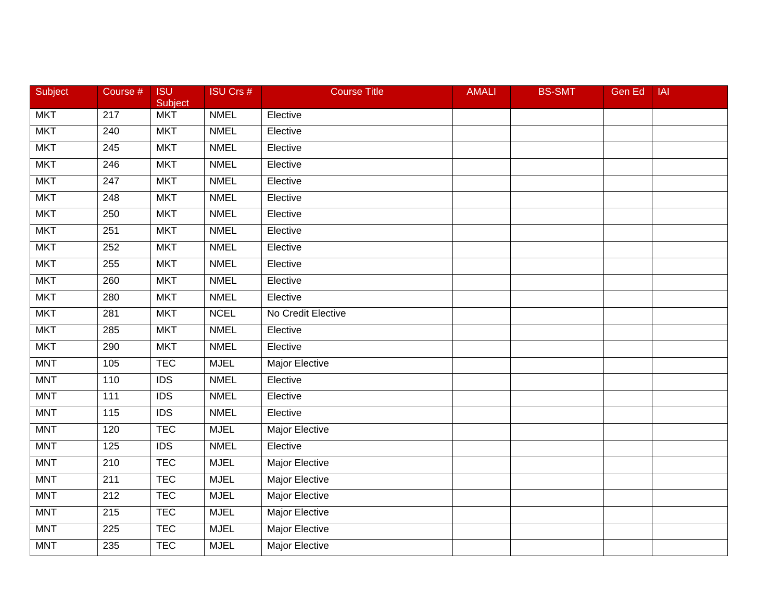| Subject    | Course #         | <b>ISU</b><br>Subject | <b>ISU Crs #</b> | <b>Course Title</b>   | <b>AMALI</b> | <b>BS-SMT</b> | Gen Ed | <b>IAI</b> |
|------------|------------------|-----------------------|------------------|-----------------------|--------------|---------------|--------|------------|
| <b>MKT</b> | $\overline{217}$ | <b>MKT</b>            | <b>NMEL</b>      | Elective              |              |               |        |            |
| <b>MKT</b> | 240              | <b>MKT</b>            | <b>NMEL</b>      | Elective              |              |               |        |            |
| <b>MKT</b> | 245              | <b>MKT</b>            | <b>NMEL</b>      | Elective              |              |               |        |            |
| <b>MKT</b> | 246              | <b>MKT</b>            | <b>NMEL</b>      | Elective              |              |               |        |            |
| <b>MKT</b> | 247              | <b>MKT</b>            | <b>NMEL</b>      | Elective              |              |               |        |            |
| <b>MKT</b> | 248              | <b>MKT</b>            | <b>NMEL</b>      | Elective              |              |               |        |            |
| <b>MKT</b> | 250              | <b>MKT</b>            | <b>NMEL</b>      | Elective              |              |               |        |            |
| <b>MKT</b> | 251              | <b>MKT</b>            | <b>NMEL</b>      | Elective              |              |               |        |            |
| <b>MKT</b> | 252              | <b>MKT</b>            | <b>NMEL</b>      | Elective              |              |               |        |            |
| <b>MKT</b> | 255              | <b>MKT</b>            | <b>NMEL</b>      | Elective              |              |               |        |            |
| <b>MKT</b> | 260              | <b>MKT</b>            | <b>NMEL</b>      | Elective              |              |               |        |            |
| <b>MKT</b> | 280              | <b>MKT</b>            | <b>NMEL</b>      | Elective              |              |               |        |            |
| <b>MKT</b> | 281              | <b>MKT</b>            | <b>NCEL</b>      | No Credit Elective    |              |               |        |            |
| <b>MKT</b> | 285              | <b>MKT</b>            | <b>NMEL</b>      | Elective              |              |               |        |            |
| <b>MKT</b> | 290              | <b>MKT</b>            | <b>NMEL</b>      | Elective              |              |               |        |            |
| <b>MNT</b> | 105              | <b>TEC</b>            | <b>MJEL</b>      | Major Elective        |              |               |        |            |
| <b>MNT</b> | 110              | $\overline{IDS}$      | <b>NMEL</b>      | Elective              |              |               |        |            |
| <b>MNT</b> | $\overline{111}$ | $\overline{IDS}$      | <b>NMEL</b>      | Elective              |              |               |        |            |
| <b>MNT</b> | 115              | <b>IDS</b>            | <b>NMEL</b>      | Elective              |              |               |        |            |
| <b>MNT</b> | 120              | <b>TEC</b>            | <b>MJEL</b>      | Major Elective        |              |               |        |            |
| <b>MNT</b> | 125              | <b>IDS</b>            | <b>NMEL</b>      | Elective              |              |               |        |            |
| <b>MNT</b> | 210              | <b>TEC</b>            | <b>MJEL</b>      | <b>Major Elective</b> |              |               |        |            |
| <b>MNT</b> | 211              | <b>TEC</b>            | <b>MJEL</b>      | <b>Major Elective</b> |              |               |        |            |
| <b>MNT</b> | $\overline{212}$ | <b>TEC</b>            | <b>MJEL</b>      | <b>Major Elective</b> |              |               |        |            |
| <b>MNT</b> | 215              | <b>TEC</b>            | <b>MJEL</b>      | Major Elective        |              |               |        |            |
| <b>MNT</b> | 225              | <b>TEC</b>            | <b>MJEL</b>      | Major Elective        |              |               |        |            |
| <b>MNT</b> | 235              | <b>TEC</b>            | <b>MJEL</b>      | <b>Major Elective</b> |              |               |        |            |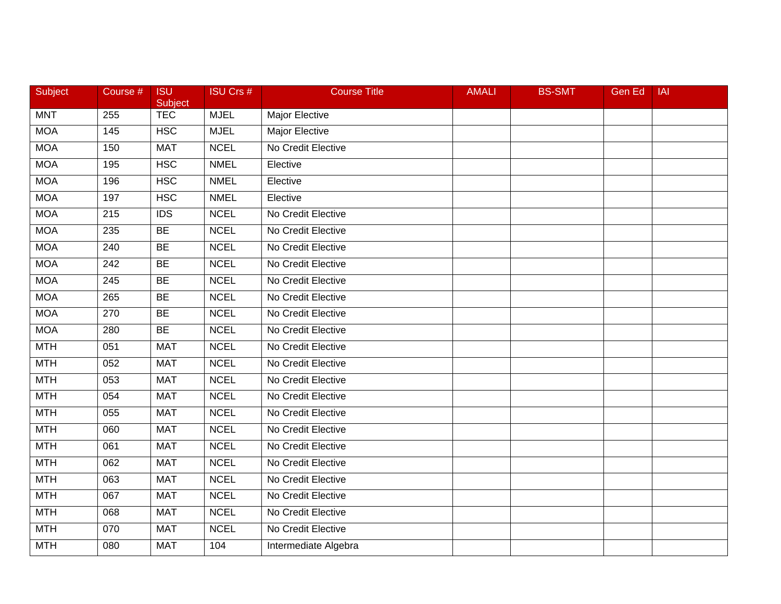| Subject    | Course # | <b>ISU</b><br>Subject | <b>ISU Crs #</b> | <b>Course Title</b>   | <b>AMALI</b> | <b>BS-SMT</b> | <b>Gen Ed</b> | <b>IAI</b> |
|------------|----------|-----------------------|------------------|-----------------------|--------------|---------------|---------------|------------|
| <b>MNT</b> | 255      | <b>TEC</b>            | <b>MJEL</b>      | Major Elective        |              |               |               |            |
| <b>MOA</b> | 145      | <b>HSC</b>            | <b>MJEL</b>      | <b>Major Elective</b> |              |               |               |            |
| <b>MOA</b> | 150      | <b>MAT</b>            | <b>NCEL</b>      | No Credit Elective    |              |               |               |            |
| <b>MOA</b> | 195      | <b>HSC</b>            | <b>NMEL</b>      | Elective              |              |               |               |            |
| <b>MOA</b> | 196      | <b>HSC</b>            | <b>NMEL</b>      | Elective              |              |               |               |            |
| <b>MOA</b> | 197      | <b>HSC</b>            | <b>NMEL</b>      | Elective              |              |               |               |            |
| <b>MOA</b> | 215      | $\overline{IDS}$      | <b>NCEL</b>      | No Credit Elective    |              |               |               |            |
| <b>MOA</b> | 235      | <b>BE</b>             | <b>NCEL</b>      | No Credit Elective    |              |               |               |            |
| <b>MOA</b> | 240      | <b>BE</b>             | <b>NCEL</b>      | No Credit Elective    |              |               |               |            |
| <b>MOA</b> | 242      | <b>BE</b>             | <b>NCEL</b>      | No Credit Elective    |              |               |               |            |
| <b>MOA</b> | 245      | <b>BE</b>             | <b>NCEL</b>      | No Credit Elective    |              |               |               |            |
| <b>MOA</b> | 265      | BE                    | <b>NCEL</b>      | No Credit Elective    |              |               |               |            |
| <b>MOA</b> | 270      | BE                    | <b>NCEL</b>      | No Credit Elective    |              |               |               |            |
| <b>MOA</b> | 280      | <b>BE</b>             | <b>NCEL</b>      | No Credit Elective    |              |               |               |            |
| <b>MTH</b> | 051      | <b>MAT</b>            | <b>NCEL</b>      | No Credit Elective    |              |               |               |            |
| <b>MTH</b> | 052      | <b>MAT</b>            | <b>NCEL</b>      | No Credit Elective    |              |               |               |            |
| <b>MTH</b> | 053      | <b>MAT</b>            | <b>NCEL</b>      | No Credit Elective    |              |               |               |            |
| <b>MTH</b> | 054      | <b>MAT</b>            | <b>NCEL</b>      | No Credit Elective    |              |               |               |            |
| <b>MTH</b> | 055      | <b>MAT</b>            | <b>NCEL</b>      | No Credit Elective    |              |               |               |            |
| <b>MTH</b> | 060      | <b>MAT</b>            | <b>NCEL</b>      | No Credit Elective    |              |               |               |            |
| <b>MTH</b> | 061      | <b>MAT</b>            | <b>NCEL</b>      | No Credit Elective    |              |               |               |            |
| <b>MTH</b> | 062      | <b>MAT</b>            | <b>NCEL</b>      | No Credit Elective    |              |               |               |            |
| <b>MTH</b> | 063      | <b>MAT</b>            | <b>NCEL</b>      | No Credit Elective    |              |               |               |            |
| MTH        | 067      | <b>MAT</b>            | <b>NCEL</b>      | No Credit Elective    |              |               |               |            |
| <b>MTH</b> | 068      | <b>MAT</b>            | <b>NCEL</b>      | No Credit Elective    |              |               |               |            |
| <b>MTH</b> | 070      | <b>MAT</b>            | <b>NCEL</b>      | No Credit Elective    |              |               |               |            |
| <b>MTH</b> | 080      | <b>MAT</b>            | 104              | Intermediate Algebra  |              |               |               |            |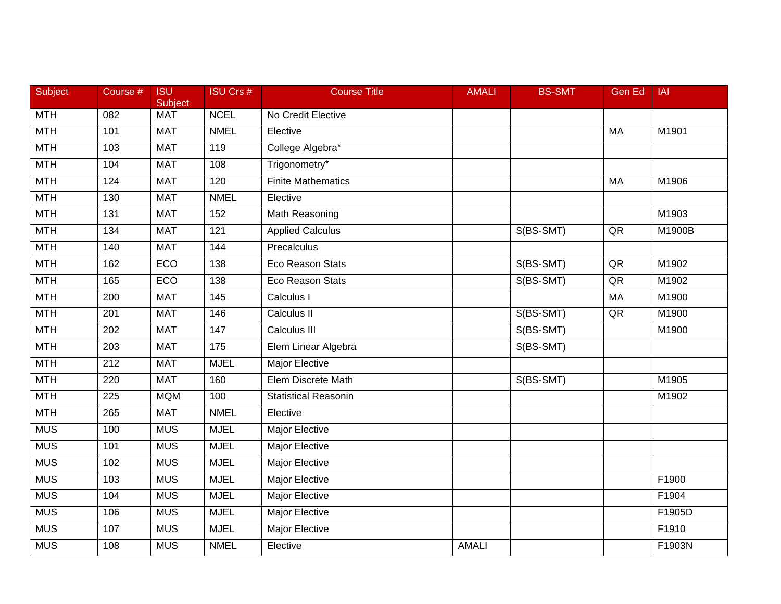| Subject    | Course # | <b>ISU</b><br>Subject | <b>ISU Crs #</b>  | <b>Course Title</b>         | <b>AMALI</b> | <b>BS-SMT</b> | <b>Gen Ed</b> | <b>IAI</b> |
|------------|----------|-----------------------|-------------------|-----------------------------|--------------|---------------|---------------|------------|
| <b>MTH</b> | 082      | <b>MAT</b>            | <b>NCEL</b>       | No Credit Elective          |              |               |               |            |
| <b>MTH</b> | 101      | <b>MAT</b>            | <b>NMEL</b>       | Elective                    |              |               | MA            | M1901      |
| <b>MTH</b> | 103      | <b>MAT</b>            | 119               | College Algebra*            |              |               |               |            |
| <b>MTH</b> | 104      | <b>MAT</b>            | 108               | Trigonometry*               |              |               |               |            |
| <b>MTH</b> | 124      | <b>MAT</b>            | 120               | <b>Finite Mathematics</b>   |              |               | MA            | M1906      |
| <b>MTH</b> | 130      | <b>MAT</b>            | <b>NMEL</b>       | Elective                    |              |               |               |            |
| <b>MTH</b> | 131      | <b>MAT</b>            | 152               | Math Reasoning              |              |               |               | M1903      |
| <b>MTH</b> | 134      | <b>MAT</b>            | 121               | <b>Applied Calculus</b>     |              | S(BS-SMT)     | QR            | M1900B     |
| <b>MTH</b> | 140      | <b>MAT</b>            | 144               | Precalculus                 |              |               |               |            |
| <b>MTH</b> | 162      | ECO                   | 138               | Eco Reason Stats            |              | S(BS-SMT)     | QR            | M1902      |
| <b>MTH</b> | 165      | ECO                   | 138               | <b>Eco Reason Stats</b>     |              | S(BS-SMT)     | $\sf QR$      | M1902      |
| <b>MTH</b> | 200      | <b>MAT</b>            | $\frac{145}{145}$ | Calculus I                  |              |               | MA            | M1900      |
| <b>MTH</b> | 201      | <b>MAT</b>            | 146               | Calculus II                 |              | S(BS-SMT)     | QR            | M1900      |
| <b>MTH</b> | 202      | <b>MAT</b>            | 147               | Calculus III                |              | S(BS-SMT)     |               | M1900      |
| <b>MTH</b> | 203      | <b>MAT</b>            | 175               | Elem Linear Algebra         |              | S(BS-SMT)     |               |            |
| <b>MTH</b> | 212      | <b>MAT</b>            | <b>MJEL</b>       | Major Elective              |              |               |               |            |
| <b>MTH</b> | 220      | <b>MAT</b>            | 160               | Elem Discrete Math          |              | S(BS-SMT)     |               | M1905      |
| <b>MTH</b> | 225      | <b>MQM</b>            | 100               | <b>Statistical Reasonin</b> |              |               |               | M1902      |
| <b>MTH</b> | 265      | <b>MAT</b>            | <b>NMEL</b>       | Elective                    |              |               |               |            |
| <b>MUS</b> | 100      | <b>MUS</b>            | <b>MJEL</b>       | Major Elective              |              |               |               |            |
| <b>MUS</b> | 101      | <b>MUS</b>            | <b>MJEL</b>       | Major Elective              |              |               |               |            |
| <b>MUS</b> | 102      | <b>MUS</b>            | <b>MJEL</b>       | <b>Major Elective</b>       |              |               |               |            |
| <b>MUS</b> | 103      | <b>MUS</b>            | <b>MJEL</b>       | <b>Major Elective</b>       |              |               |               | F1900      |
| <b>MUS</b> | 104      | <b>MUS</b>            | <b>MJEL</b>       | <b>Major Elective</b>       |              |               |               | F1904      |
| <b>MUS</b> | 106      | <b>MUS</b>            | <b>MJEL</b>       | Major Elective              |              |               |               | F1905D     |
| <b>MUS</b> | 107      | <b>MUS</b>            | <b>MJEL</b>       | Major Elective              |              |               |               | F1910      |
| <b>MUS</b> | 108      | <b>MUS</b>            | <b>NMEL</b>       | Elective                    | <b>AMALI</b> |               |               | F1903N     |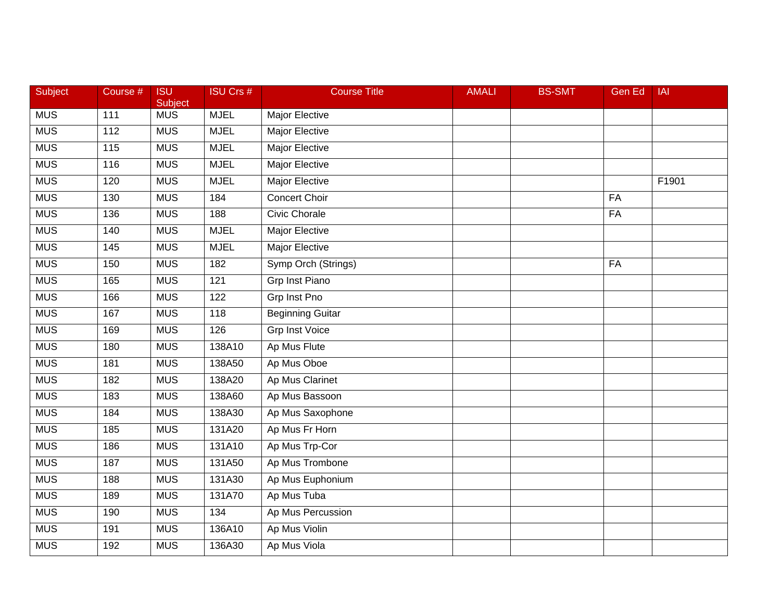| Subject    | Course # | <b>ISU</b><br>Subject | <b>ISU Crs #</b> | <b>Course Title</b>     | <b>AMALI</b> | <b>BS-SMT</b> | <b>Gen Ed</b> | IAI   |
|------------|----------|-----------------------|------------------|-------------------------|--------------|---------------|---------------|-------|
| <b>MUS</b> | 111      | <b>MUS</b>            | <b>MJEL</b>      | Major Elective          |              |               |               |       |
| <b>MUS</b> | 112      | <b>MUS</b>            | <b>MJEL</b>      | Major Elective          |              |               |               |       |
| <b>MUS</b> | 115      | <b>MUS</b>            | <b>MJEL</b>      | Major Elective          |              |               |               |       |
| <b>MUS</b> | 116      | <b>MUS</b>            | <b>MJEL</b>      | <b>Major Elective</b>   |              |               |               |       |
| <b>MUS</b> | 120      | <b>MUS</b>            | <b>MJEL</b>      | Major Elective          |              |               |               | F1901 |
| <b>MUS</b> | 130      | <b>MUS</b>            | 184              | <b>Concert Choir</b>    |              |               | FA            |       |
| <b>MUS</b> | 136      | <b>MUS</b>            | 188              | <b>Civic Chorale</b>    |              |               | FA            |       |
| <b>MUS</b> | 140      | <b>MUS</b>            | <b>MJEL</b>      | <b>Major Elective</b>   |              |               |               |       |
| <b>MUS</b> | 145      | <b>MUS</b>            | <b>MJEL</b>      | <b>Major Elective</b>   |              |               |               |       |
| <b>MUS</b> | 150      | <b>MUS</b>            | 182              | Symp Orch (Strings)     |              |               | <b>FA</b>     |       |
| <b>MUS</b> | 165      | <b>MUS</b>            | 121              | Grp Inst Piano          |              |               |               |       |
| <b>MUS</b> | 166      | <b>MUS</b>            | 122              | <b>Grp Inst Pno</b>     |              |               |               |       |
| <b>MUS</b> | 167      | <b>MUS</b>            | 118              | <b>Beginning Guitar</b> |              |               |               |       |
| <b>MUS</b> | 169      | <b>MUS</b>            | 126              | <b>Grp Inst Voice</b>   |              |               |               |       |
| <b>MUS</b> | 180      | <b>MUS</b>            | 138A10           | Ap Mus Flute            |              |               |               |       |
| <b>MUS</b> | 181      | <b>MUS</b>            | 138A50           | Ap Mus Oboe             |              |               |               |       |
| <b>MUS</b> | 182      | <b>MUS</b>            | 138A20           | Ap Mus Clarinet         |              |               |               |       |
| <b>MUS</b> | 183      | <b>MUS</b>            | 138A60           | Ap Mus Bassoon          |              |               |               |       |
| <b>MUS</b> | 184      | <b>MUS</b>            | 138A30           | Ap Mus Saxophone        |              |               |               |       |
| <b>MUS</b> | 185      | <b>MUS</b>            | 131A20           | Ap Mus Fr Horn          |              |               |               |       |
| <b>MUS</b> | 186      | <b>MUS</b>            | 131A10           | Ap Mus Trp-Cor          |              |               |               |       |
| <b>MUS</b> | 187      | <b>MUS</b>            | 131A50           | Ap Mus Trombone         |              |               |               |       |
| <b>MUS</b> | 188      | <b>MUS</b>            | 131A30           | Ap Mus Euphonium        |              |               |               |       |
| <b>MUS</b> | 189      | <b>MUS</b>            | 131A70           | Ap Mus Tuba             |              |               |               |       |
| <b>MUS</b> | 190      | <b>MUS</b>            | 134              | Ap Mus Percussion       |              |               |               |       |
| <b>MUS</b> | 191      | <b>MUS</b>            | 136A10           | Ap Mus Violin           |              |               |               |       |
| <b>MUS</b> | 192      | <b>MUS</b>            | 136A30           | Ap Mus Viola            |              |               |               |       |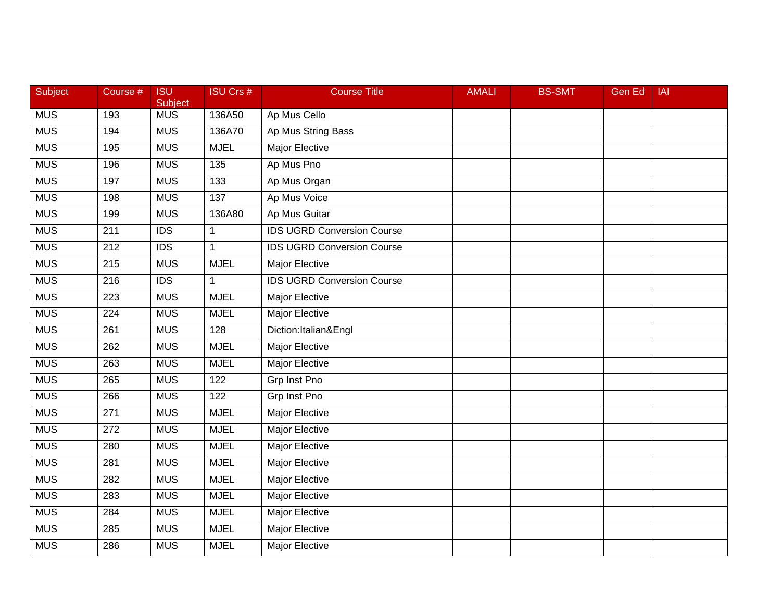| <b>Subject</b> | Course #         | <b>ISU</b><br>Subject | <b>ISU Crs #</b> | <b>Course Title</b>               | <b>AMALI</b> | <b>BS-SMT</b> | <b>Gen Ed</b> | <b>IAI</b> |
|----------------|------------------|-----------------------|------------------|-----------------------------------|--------------|---------------|---------------|------------|
| <b>MUS</b>     | 193              | <b>MUS</b>            | 136A50           | Ap Mus Cello                      |              |               |               |            |
| <b>MUS</b>     | 194              | <b>MUS</b>            | 136A70           | Ap Mus String Bass                |              |               |               |            |
| <b>MUS</b>     | 195              | <b>MUS</b>            | <b>MJEL</b>      | <b>Major Elective</b>             |              |               |               |            |
| <b>MUS</b>     | 196              | <b>MUS</b>            | $\overline{135}$ | Ap Mus Pno                        |              |               |               |            |
| <b>MUS</b>     | 197              | <b>MUS</b>            | 133              | Ap Mus Organ                      |              |               |               |            |
| <b>MUS</b>     | 198              | <b>MUS</b>            | 137              | Ap Mus Voice                      |              |               |               |            |
| <b>MUS</b>     | 199              | <b>MUS</b>            | 136A80           | Ap Mus Guitar                     |              |               |               |            |
| <b>MUS</b>     | 211              | $\overline{IDS}$      | $\mathbf{1}$     | <b>IDS UGRD Conversion Course</b> |              |               |               |            |
| <b>MUS</b>     | 212              | $\overline{IDS}$      | $\mathbf{1}$     | <b>IDS UGRD Conversion Course</b> |              |               |               |            |
| <b>MUS</b>     | 215              | <b>MUS</b>            | <b>MJEL</b>      | <b>Major Elective</b>             |              |               |               |            |
| <b>MUS</b>     | 216              | <b>IDS</b>            | $\mathbf{1}$     | <b>IDS UGRD Conversion Course</b> |              |               |               |            |
| <b>MUS</b>     | 223              | <b>MUS</b>            | <b>MJEL</b>      | <b>Major Elective</b>             |              |               |               |            |
| <b>MUS</b>     | $\overline{224}$ | <b>MUS</b>            | <b>MJEL</b>      | <b>Major Elective</b>             |              |               |               |            |
| <b>MUS</b>     | 261              | <b>MUS</b>            | 128              | Diction: Italian&Engl             |              |               |               |            |
| <b>MUS</b>     | 262              | <b>MUS</b>            | <b>MJEL</b>      | <b>Major Elective</b>             |              |               |               |            |
| <b>MUS</b>     | 263              | <b>MUS</b>            | <b>MJEL</b>      | Major Elective                    |              |               |               |            |
| <b>MUS</b>     | 265              | <b>MUS</b>            | 122              | <b>Grp Inst Pno</b>               |              |               |               |            |
| <b>MUS</b>     | 266              | <b>MUS</b>            | 122              | <b>Grp Inst Pno</b>               |              |               |               |            |
| <b>MUS</b>     | 271              | <b>MUS</b>            | <b>MJEL</b>      | Major Elective                    |              |               |               |            |
| <b>MUS</b>     | 272              | <b>MUS</b>            | <b>MJEL</b>      | Major Elective                    |              |               |               |            |
| <b>MUS</b>     | 280              | <b>MUS</b>            | <b>MJEL</b>      | Major Elective                    |              |               |               |            |
| <b>MUS</b>     | 281              | <b>MUS</b>            | <b>MJEL</b>      | <b>Major Elective</b>             |              |               |               |            |
| <b>MUS</b>     | 282              | <b>MUS</b>            | <b>MJEL</b>      | <b>Major Elective</b>             |              |               |               |            |
| <b>MUS</b>     | 283              | <b>MUS</b>            | <b>MJEL</b>      | <b>Major Elective</b>             |              |               |               |            |
| <b>MUS</b>     | 284              | <b>MUS</b>            | <b>MJEL</b>      | Major Elective                    |              |               |               |            |
| <b>MUS</b>     | 285              | <b>MUS</b>            | <b>MJEL</b>      | Major Elective                    |              |               |               |            |
| <b>MUS</b>     | 286              | <b>MUS</b>            | <b>MJEL</b>      | <b>Major Elective</b>             |              |               |               |            |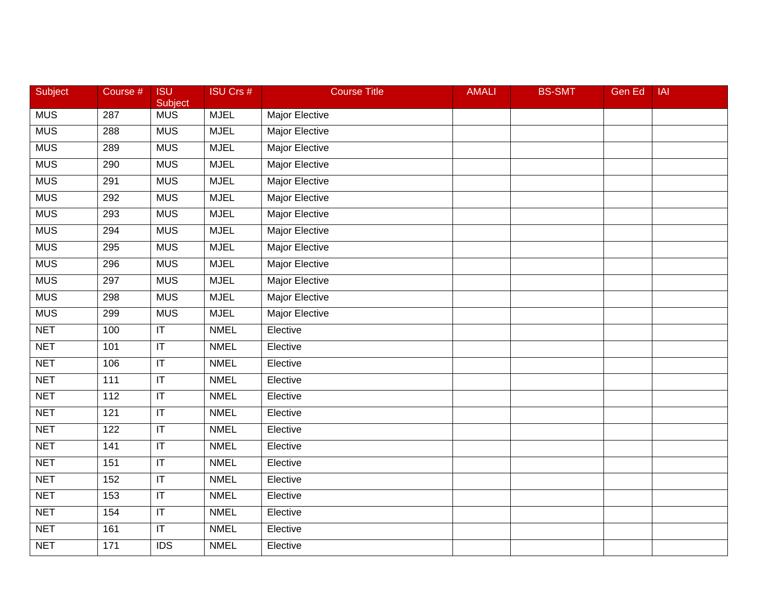| Subject    | Course #         | <b>ISU</b><br>Subject             | <b>ISU Crs #</b> | <b>Course Title</b>   | <b>AMALI</b> | <b>BS-SMT</b> | <b>Gen Ed</b> | IAI |
|------------|------------------|-----------------------------------|------------------|-----------------------|--------------|---------------|---------------|-----|
| <b>MUS</b> | 287              | <b>MUS</b>                        | <b>MJEL</b>      | Major Elective        |              |               |               |     |
| <b>MUS</b> | 288              | <b>MUS</b>                        | <b>MJEL</b>      | <b>Major Elective</b> |              |               |               |     |
| <b>MUS</b> | 289              | <b>MUS</b>                        | <b>MJEL</b>      | <b>Major Elective</b> |              |               |               |     |
| <b>MUS</b> | 290              | <b>MUS</b>                        | <b>MJEL</b>      | Major Elective        |              |               |               |     |
| <b>MUS</b> | 291              | <b>MUS</b>                        | <b>MJEL</b>      | Major Elective        |              |               |               |     |
| <b>MUS</b> | 292              | <b>MUS</b>                        | <b>MJEL</b>      | <b>Major Elective</b> |              |               |               |     |
| <b>MUS</b> | 293              | <b>MUS</b>                        | <b>MJEL</b>      | <b>Major Elective</b> |              |               |               |     |
| <b>MUS</b> | 294              | <b>MUS</b>                        | <b>MJEL</b>      | <b>Major Elective</b> |              |               |               |     |
| <b>MUS</b> | 295              | <b>MUS</b>                        | <b>MJEL</b>      | <b>Major Elective</b> |              |               |               |     |
| <b>MUS</b> | 296              | <b>MUS</b>                        | <b>MJEL</b>      | <b>Major Elective</b> |              |               |               |     |
| <b>MUS</b> | 297              | <b>MUS</b>                        | <b>MJEL</b>      | Major Elective        |              |               |               |     |
| <b>MUS</b> | 298              | <b>MUS</b>                        | <b>MJEL</b>      | <b>Major Elective</b> |              |               |               |     |
| <b>MUS</b> | 299              | <b>MUS</b>                        | <b>MJEL</b>      | <b>Major Elective</b> |              |               |               |     |
| <b>NET</b> | 100              | $\overline{\mathsf{I}\mathsf{T}}$ | <b>NMEL</b>      | Elective              |              |               |               |     |
| <b>NET</b> | 101              | $\overline{\mathsf{I}\mathsf{T}}$ | <b>NMEL</b>      | Elective              |              |               |               |     |
| <b>NET</b> | 106              | $\sf IT$                          | <b>NMEL</b>      | Elective              |              |               |               |     |
| <b>NET</b> | $\overline{111}$ | $\overline{\mathsf{T}}$           | <b>NMEL</b>      | Elective              |              |               |               |     |
| <b>NET</b> | 112              | $\overline{\mathsf{T}}$           | <b>NMEL</b>      | Elective              |              |               |               |     |
| <b>NET</b> | 121              | $\overline{\mathsf{I}\mathsf{T}}$ | <b>NMEL</b>      | Elective              |              |               |               |     |
| <b>NET</b> | 122              | $\overline{\mathsf{I}\mathsf{T}}$ | <b>NMEL</b>      | Elective              |              |               |               |     |
| <b>NET</b> | 141              | $\overline{\mathsf{I}\mathsf{T}}$ | <b>NMEL</b>      | Elective              |              |               |               |     |
| <b>NET</b> | 151              | $\overline{\mathsf{I}\mathsf{T}}$ | <b>NMEL</b>      | Elective              |              |               |               |     |
| <b>NET</b> | 152              | $\overline{\mathsf{T}}$           | <b>NMEL</b>      | Elective              |              |               |               |     |
| <b>NET</b> | 153              | $\overline{\mathsf{I}\mathsf{T}}$ | <b>NMEL</b>      | Elective              |              |               |               |     |
| <b>NET</b> | 154              | $\mathsf{I}\mathsf{T}$            | <b>NMEL</b>      | Elective              |              |               |               |     |
| <b>NET</b> | 161              | $\overline{\mathsf{I}\mathsf{T}}$ | <b>NMEL</b>      | Elective              |              |               |               |     |
| <b>NET</b> | $\overline{171}$ | IDS                               | <b>NMEL</b>      | Elective              |              |               |               |     |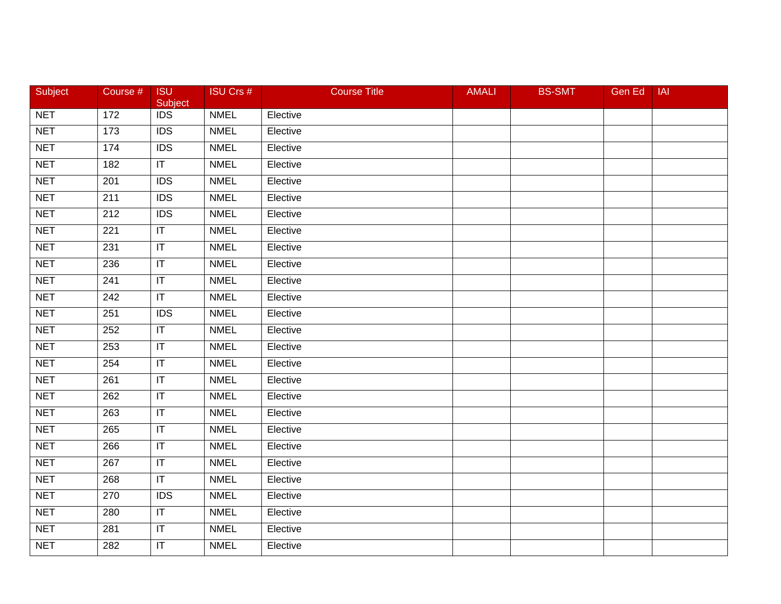| Subject    | Course #        | <b>ISU</b><br>Subject   | <b>ISU Crs #</b> | <b>Course Title</b> | <b>AMALI</b> | <b>BS-SMT</b> | Gen Ed | <b>IAI</b> |
|------------|-----------------|-------------------------|------------------|---------------------|--------------|---------------|--------|------------|
| <b>NET</b> | $\frac{1}{172}$ | $\overline{IDS}$        | <b>NMEL</b>      | Elective            |              |               |        |            |
| <b>NET</b> | $\frac{1}{173}$ | IDS                     | <b>NMEL</b>      | Elective            |              |               |        |            |
| <b>NET</b> | 174             | $\overline{IDS}$        | <b>NMEL</b>      | Elective            |              |               |        |            |
| <b>NET</b> | 182             | $\overline{\mathsf{T}}$ | <b>NMEL</b>      | Elective            |              |               |        |            |
| <b>NET</b> | 201             | <b>IDS</b>              | <b>NMEL</b>      | Elective            |              |               |        |            |
| <b>NET</b> | 211             | <b>IDS</b>              | <b>NMEL</b>      | Elective            |              |               |        |            |
| <b>NET</b> | 212             | $\overline{IDS}$        | <b>NMEL</b>      | Elective            |              |               |        |            |
| <b>NET</b> | 221             | $\mathsf{I}\mathsf{T}$  | <b>NMEL</b>      | Elective            |              |               |        |            |
| <b>NET</b> | 231             | $\overline{\mathbb{T}}$ | <b>NMEL</b>      | Elective            |              |               |        |            |
| <b>NET</b> | 236             | $\mathsf{I}\mathsf{T}$  | <b>NMEL</b>      | Elective            |              |               |        |            |
| <b>NET</b> | 241             | $\sf IT$                | <b>NMEL</b>      | Elective            |              |               |        |            |
| <b>NET</b> | 242             | $\overline{\mathsf{T}}$ | <b>NMEL</b>      | Elective            |              |               |        |            |
| <b>NET</b> | 251             | $\overline{IDS}$        | <b>NMEL</b>      | Elective            |              |               |        |            |
| <b>NET</b> | 252             | $\overline{\mathbb{F}}$ | <b>NMEL</b>      | Elective            |              |               |        |            |
| <b>NET</b> | 253             | IT                      | <b>NMEL</b>      | Elective            |              |               |        |            |
| <b>NET</b> | 254             | $\mathsf{I}\mathsf{T}$  | <b>NMEL</b>      | Elective            |              |               |        |            |
| <b>NET</b> | 261             | $\overline{\mathbb{T}}$ | <b>NMEL</b>      | Elective            |              |               |        |            |
| <b>NET</b> | 262             | $\overline{\mathsf{T}}$ | <b>NMEL</b>      | Elective            |              |               |        |            |
| <b>NET</b> | 263             | $\sf IT$                | <b>NMEL</b>      | Elective            |              |               |        |            |
| <b>NET</b> | 265             | $\mathsf{I}\mathsf{T}$  | <b>NMEL</b>      | Elective            |              |               |        |            |
| <b>NET</b> | 266             | $\sf IT$                | <b>NMEL</b>      | Elective            |              |               |        |            |
| <b>NET</b> | 267             | $\overline{\mathsf{I}}$ | <b>NMEL</b>      | Elective            |              |               |        |            |
| <b>NET</b> | 268             | $\overline{\mathsf{T}}$ | <b>NMEL</b>      | Elective            |              |               |        |            |
| <b>NET</b> | 270             | $\overline{IDS}$        | <b>NMEL</b>      | Elective            |              |               |        |            |
| <b>NET</b> | 280             | $\sf IT$                | <b>NMEL</b>      | Elective            |              |               |        |            |
| <b>NET</b> | 281             | $\sf IT$                | <b>NMEL</b>      | Elective            |              |               |        |            |
| <b>NET</b> | 282             | $\overline{\mathbb{T}}$ | <b>NMEL</b>      | Elective            |              |               |        |            |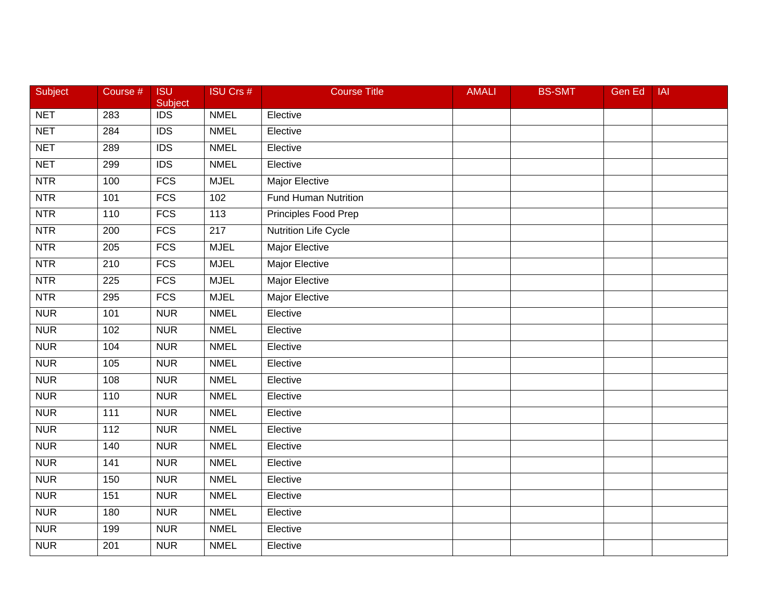| Subject    | Course # | <b>ISU</b><br>Subject | <b>ISU Crs #</b> | <b>Course Title</b>         | <b>AMALI</b> | <b>BS-SMT</b> | Gen Ed | <b>IAI</b> |
|------------|----------|-----------------------|------------------|-----------------------------|--------------|---------------|--------|------------|
| <b>NET</b> | 283      | $\overline{IDS}$      | <b>NMEL</b>      | Elective                    |              |               |        |            |
| <b>NET</b> | 284      | $\overline{IDS}$      | <b>NMEL</b>      | Elective                    |              |               |        |            |
| <b>NET</b> | 289      | $\overline{IDS}$      | <b>NMEL</b>      | Elective                    |              |               |        |            |
| <b>NET</b> | 299      | $\overline{IDS}$      | <b>NMEL</b>      | Elective                    |              |               |        |            |
| <b>NTR</b> | 100      | $\overline{FCS}$      | <b>MJEL</b>      | Major Elective              |              |               |        |            |
| <b>NTR</b> | 101      | <b>FCS</b>            | 102              | <b>Fund Human Nutrition</b> |              |               |        |            |
| <b>NTR</b> | 110      | <b>FCS</b>            | $\overline{113}$ | Principles Food Prep        |              |               |        |            |
| <b>NTR</b> | 200      | <b>FCS</b>            | $\overline{217}$ | <b>Nutrition Life Cycle</b> |              |               |        |            |
| <b>NTR</b> | 205      | FCS                   | <b>MJEL</b>      | <b>Major Elective</b>       |              |               |        |            |
| NTR        | 210      | $\overline{FCS}$      | <b>MJEL</b>      | <b>Major Elective</b>       |              |               |        |            |
| <b>NTR</b> | 225      | <b>FCS</b>            | <b>MJEL</b>      | Major Elective              |              |               |        |            |
| <b>NTR</b> | 295      | <b>FCS</b>            | <b>MJEL</b>      | <b>Major Elective</b>       |              |               |        |            |
| <b>NUR</b> | 101      | <b>NUR</b>            | <b>NMEL</b>      | Elective                    |              |               |        |            |
| <b>NUR</b> | 102      | <b>NUR</b>            | <b>NMEL</b>      | Elective                    |              |               |        |            |
| <b>NUR</b> | 104      | <b>NUR</b>            | <b>NMEL</b>      | Elective                    |              |               |        |            |
| <b>NUR</b> | 105      | <b>NUR</b>            | <b>NMEL</b>      | Elective                    |              |               |        |            |
| <b>NUR</b> | 108      | <b>NUR</b>            | <b>NMEL</b>      | Elective                    |              |               |        |            |
| <b>NUR</b> | 110      | <b>NUR</b>            | <b>NMEL</b>      | Elective                    |              |               |        |            |
| <b>NUR</b> | 111      | <b>NUR</b>            | <b>NMEL</b>      | Elective                    |              |               |        |            |
| <b>NUR</b> | 112      | <b>NUR</b>            | <b>NMEL</b>      | Elective                    |              |               |        |            |
| <b>NUR</b> | 140      | <b>NUR</b>            | <b>NMEL</b>      | Elective                    |              |               |        |            |
| <b>NUR</b> | 141      | <b>NUR</b>            | <b>NMEL</b>      | Elective                    |              |               |        |            |
| <b>NUR</b> | 150      | <b>NUR</b>            | <b>NMEL</b>      | Elective                    |              |               |        |            |
| <b>NUR</b> | 151      | <b>NUR</b>            | <b>NMEL</b>      | Elective                    |              |               |        |            |
| <b>NUR</b> | 180      | <b>NUR</b>            | <b>NMEL</b>      | Elective                    |              |               |        |            |
| <b>NUR</b> | 199      | <b>NUR</b>            | <b>NMEL</b>      | Elective                    |              |               |        |            |
| <b>NUR</b> | 201      | <b>NUR</b>            | <b>NMEL</b>      | Elective                    |              |               |        |            |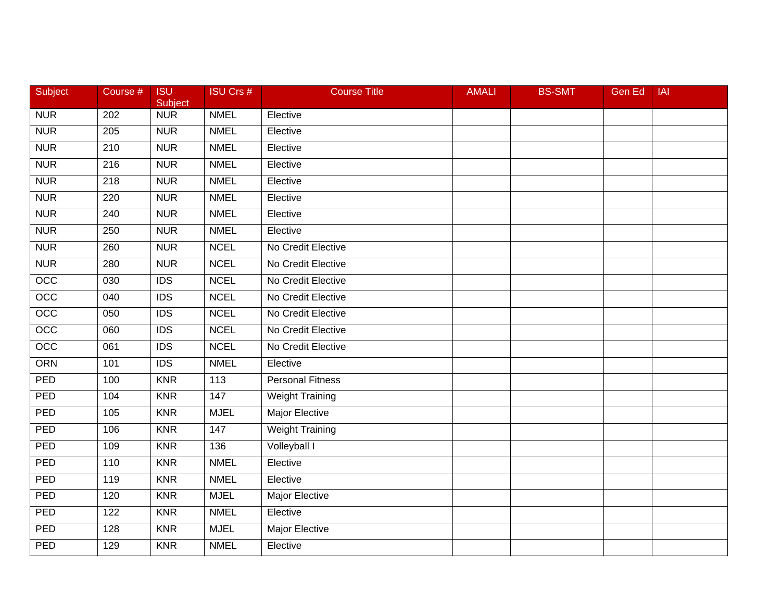| <b>Subject</b>   | Course #         | <b>ISU</b><br>Subject | <b>ISU Crs #</b> | <b>Course Title</b>     | <b>AMALI</b> | <b>BS-SMT</b> | Gen Ed | <b>IAI</b> |
|------------------|------------------|-----------------------|------------------|-------------------------|--------------|---------------|--------|------------|
| <b>NUR</b>       | 202              | <b>NUR</b>            | <b>NMEL</b>      | Elective                |              |               |        |            |
| <b>NUR</b>       | 205              | <b>NUR</b>            | <b>NMEL</b>      | Elective                |              |               |        |            |
| <b>NUR</b>       | 210              | <b>NUR</b>            | <b>NMEL</b>      | Elective                |              |               |        |            |
| <b>NUR</b>       | 216              | <b>NUR</b>            | <b>NMEL</b>      | Elective                |              |               |        |            |
| <b>NUR</b>       | 218              | <b>NUR</b>            | <b>NMEL</b>      | Elective                |              |               |        |            |
| <b>NUR</b>       | 220              | <b>NUR</b>            | <b>NMEL</b>      | Elective                |              |               |        |            |
| <b>NUR</b>       | $\overline{240}$ | <b>NUR</b>            | <b>NMEL</b>      | Elective                |              |               |        |            |
| <b>NUR</b>       | 250              | <b>NUR</b>            | <b>NMEL</b>      | Elective                |              |               |        |            |
| <b>NUR</b>       | 260              | <b>NUR</b>            | <b>NCEL</b>      | No Credit Elective      |              |               |        |            |
| <b>NUR</b>       | 280              | <b>NUR</b>            | <b>NCEL</b>      | No Credit Elective      |              |               |        |            |
| OCC              | 030              | <b>IDS</b>            | <b>NCEL</b>      | No Credit Elective      |              |               |        |            |
| OCC              | 040              | IDS                   | <b>NCEL</b>      | No Credit Elective      |              |               |        |            |
| $\overline{OCC}$ | 050              | $\overline{IDS}$      | <b>NCEL</b>      | No Credit Elective      |              |               |        |            |
| $\overline{OCC}$ | 060              | <b>IDS</b>            | <b>NCEL</b>      | No Credit Elective      |              |               |        |            |
| $\overline{OCC}$ | 061              | $\overline{IDS}$      | <b>NCEL</b>      | No Credit Elective      |              |               |        |            |
| <b>ORN</b>       | 101              | <b>IDS</b>            | <b>NMEL</b>      | Elective                |              |               |        |            |
| PED              | 100              | <b>KNR</b>            | 113              | <b>Personal Fitness</b> |              |               |        |            |
| PED              | 104              | <b>KNR</b>            | 147              | <b>Weight Training</b>  |              |               |        |            |
| PED              | 105              | <b>KNR</b>            | <b>MJEL</b>      | <b>Major Elective</b>   |              |               |        |            |
| <b>PED</b>       | 106              | <b>KNR</b>            | 147              | <b>Weight Training</b>  |              |               |        |            |
| PED              | 109              | <b>KNR</b>            | 136              | Volleyball I            |              |               |        |            |
| PED              | 110              | <b>KNR</b>            | <b>NMEL</b>      | Elective                |              |               |        |            |
| PED              | 119              | <b>KNR</b>            | <b>NMEL</b>      | Elective                |              |               |        |            |
| PED              | 120              | <b>KNR</b>            | <b>MJEL</b>      | <b>Major Elective</b>   |              |               |        |            |
| PED              | 122              | <b>KNR</b>            | <b>NMEL</b>      | Elective                |              |               |        |            |
| <b>PED</b>       | 128              | <b>KNR</b>            | <b>MJEL</b>      | Major Elective          |              |               |        |            |
| PED              | 129              | <b>KNR</b>            | <b>NMEL</b>      | Elective                |              |               |        |            |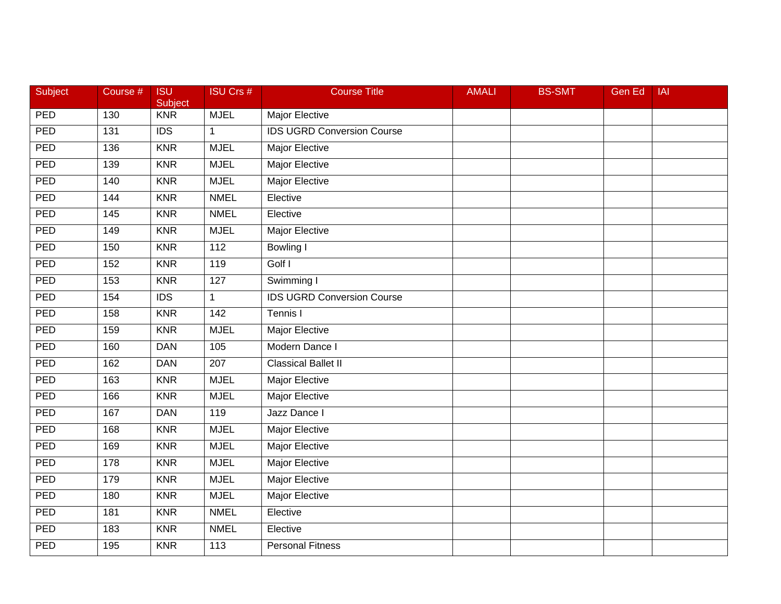| Subject    | Course #          | <b>ISU</b><br>Subject | <b>ISU Crs #</b> | <b>Course Title</b>               | <b>AMALI</b> | <b>BS-SMT</b> | Gen Ed | <b>IAI</b> |
|------------|-------------------|-----------------------|------------------|-----------------------------------|--------------|---------------|--------|------------|
| PED        | 130               | <b>KNR</b>            | <b>MJEL</b>      | Major Elective                    |              |               |        |            |
| PED        | 131               | $\overline{IDS}$      | $\mathbf{1}$     | <b>IDS UGRD Conversion Course</b> |              |               |        |            |
| PED        | 136               | <b>KNR</b>            | <b>MJEL</b>      | Major Elective                    |              |               |        |            |
| PED        | 139               | <b>KNR</b>            | <b>MJEL</b>      | <b>Major Elective</b>             |              |               |        |            |
| <b>PED</b> | 140               | <b>KNR</b>            | <b>MJEL</b>      | <b>Major Elective</b>             |              |               |        |            |
| PED        | 144               | <b>KNR</b>            | <b>NMEL</b>      | Elective                          |              |               |        |            |
| PED        | $\frac{145}{145}$ | <b>KNR</b>            | <b>NMEL</b>      | Elective                          |              |               |        |            |
| PED        | 149               | <b>KNR</b>            | <b>MJEL</b>      | <b>Major Elective</b>             |              |               |        |            |
| PED        | 150               | <b>KNR</b>            | $\overline{112}$ | Bowling I                         |              |               |        |            |
| PED        | 152               | <b>KNR</b>            | 119              | Golf I                            |              |               |        |            |
| PED        | 153               | <b>KNR</b>            | 127              | Swimming I                        |              |               |        |            |
| PED        | 154               | IDS                   | $\mathbf{1}$     | <b>IDS UGRD Conversion Course</b> |              |               |        |            |
| PED        | 158               | <b>KNR</b>            | 142              | Tennis I                          |              |               |        |            |
| PED        | 159               | <b>KNR</b>            | <b>MJEL</b>      | Major Elective                    |              |               |        |            |
| PED        | 160               | <b>DAN</b>            | 105              | Modern Dance I                    |              |               |        |            |
| <b>PED</b> | 162               | <b>DAN</b>            | 207              | <b>Classical Ballet II</b>        |              |               |        |            |
| PED        | 163               | <b>KNR</b>            | <b>MJEL</b>      | <b>Major Elective</b>             |              |               |        |            |
| PED        | 166               | <b>KNR</b>            | <b>MJEL</b>      | <b>Major Elective</b>             |              |               |        |            |
| PED        | 167               | <b>DAN</b>            | 119              | Jazz Dance I                      |              |               |        |            |
| <b>PED</b> | 168               | <b>KNR</b>            | <b>MJEL</b>      | Major Elective                    |              |               |        |            |
| PED        | 169               | <b>KNR</b>            | <b>MJEL</b>      | Major Elective                    |              |               |        |            |
| PED        | 178               | <b>KNR</b>            | <b>MJEL</b>      | <b>Major Elective</b>             |              |               |        |            |
| PED        | 179               | <b>KNR</b>            | <b>MJEL</b>      | <b>Major Elective</b>             |              |               |        |            |
| PED        | 180               | <b>KNR</b>            | <b>MJEL</b>      | <b>Major Elective</b>             |              |               |        |            |
| PED        | 181               | <b>KNR</b>            | <b>NMEL</b>      | Elective                          |              |               |        |            |
| PED        | 183               | <b>KNR</b>            | <b>NMEL</b>      | Elective                          |              |               |        |            |
| PED        | 195               | <b>KNR</b>            | 113              | <b>Personal Fitness</b>           |              |               |        |            |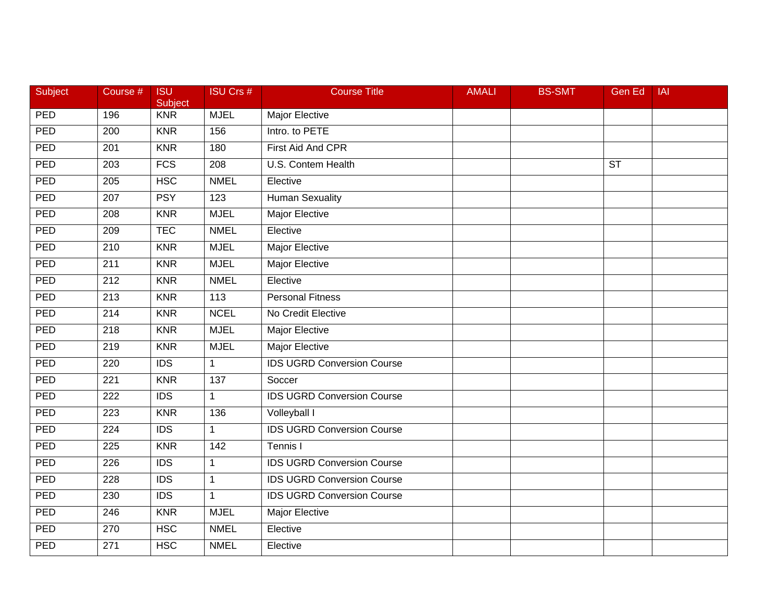| Subject    | Course #         | <b>ISU</b><br>Subject | <b>ISU Crs #</b> | <b>Course Title</b>               | <b>AMALI</b> | <b>BS-SMT</b> | <b>Gen Ed</b>          | <b>IAI</b> |
|------------|------------------|-----------------------|------------------|-----------------------------------|--------------|---------------|------------------------|------------|
| <b>PED</b> | 196              | <b>KNR</b>            | <b>MJEL</b>      | Major Elective                    |              |               |                        |            |
| PED        | 200              | <b>KNR</b>            | 156              | Intro. to PETE                    |              |               |                        |            |
| PED        | 201              | <b>KNR</b>            | 180              | First Aid And CPR                 |              |               |                        |            |
| PED        | 203              | FCS                   | $\overline{208}$ | <b>U.S. Contem Health</b>         |              |               | $\overline{\text{ST}}$ |            |
| <b>PED</b> | 205              | <b>HSC</b>            | <b>NMEL</b>      | Elective                          |              |               |                        |            |
| PED        | 207              | <b>PSY</b>            | 123              | <b>Human Sexuality</b>            |              |               |                        |            |
| PED        | $\overline{208}$ | <b>KNR</b>            | <b>MJEL</b>      | <b>Major Elective</b>             |              |               |                        |            |
| PED        | 209              | <b>TEC</b>            | <b>NMEL</b>      | Elective                          |              |               |                        |            |
| PED        | $\overline{210}$ | <b>KNR</b>            | <b>MJEL</b>      | <b>Major Elective</b>             |              |               |                        |            |
| PED        | 211              | <b>KNR</b>            | <b>MJEL</b>      | Major Elective                    |              |               |                        |            |
| <b>PED</b> | 212              | <b>KNR</b>            | <b>NMEL</b>      | Elective                          |              |               |                        |            |
| PED        | $\overline{213}$ | <b>KNR</b>            | 113              | <b>Personal Fitness</b>           |              |               |                        |            |
| PED        | $\overline{214}$ | <b>KNR</b>            | <b>NCEL</b>      | No Credit Elective                |              |               |                        |            |
| PED        | 218              | <b>KNR</b>            | <b>MJEL</b>      | Major Elective                    |              |               |                        |            |
| PED        | 219              | <b>KNR</b>            | <b>MJEL</b>      | <b>Major Elective</b>             |              |               |                        |            |
| PED        | 220              | <b>IDS</b>            | $\mathbf{1}$     | <b>IDS UGRD Conversion Course</b> |              |               |                        |            |
| PED        | $\overline{221}$ | <b>KNR</b>            | 137              | Soccer                            |              |               |                        |            |
| PED        | $\overline{222}$ | $\overline{IDS}$      | $\mathbf{1}$     | <b>IDS UGRD Conversion Course</b> |              |               |                        |            |
| PED        | 223              | <b>KNR</b>            | 136              | Volleyball I                      |              |               |                        |            |
| PED        | $\overline{224}$ | <b>IDS</b>            | $\mathbf{1}$     | <b>IDS UGRD Conversion Course</b> |              |               |                        |            |
| PED        | 225              | <b>KNR</b>            | 142              | Tennis I                          |              |               |                        |            |
| PED        | 226              | $\overline{IDS}$      | $\mathbf{1}$     | <b>IDS UGRD Conversion Course</b> |              |               |                        |            |
| PED        | 228              | $\overline{IDS}$      | $\mathbf{1}$     | <b>IDS UGRD Conversion Course</b> |              |               |                        |            |
| PED        | 230              | $\overline{IDS}$      | $\mathbf{1}$     | <b>IDS UGRD Conversion Course</b> |              |               |                        |            |
| PED        | 246              | <b>KNR</b>            | <b>MJEL</b>      | Major Elective                    |              |               |                        |            |
| <b>PED</b> | 270              | <b>HSC</b>            | <b>NMEL</b>      | Elective                          |              |               |                        |            |
| PED        | 271              | <b>HSC</b>            | <b>NMEL</b>      | Elective                          |              |               |                        |            |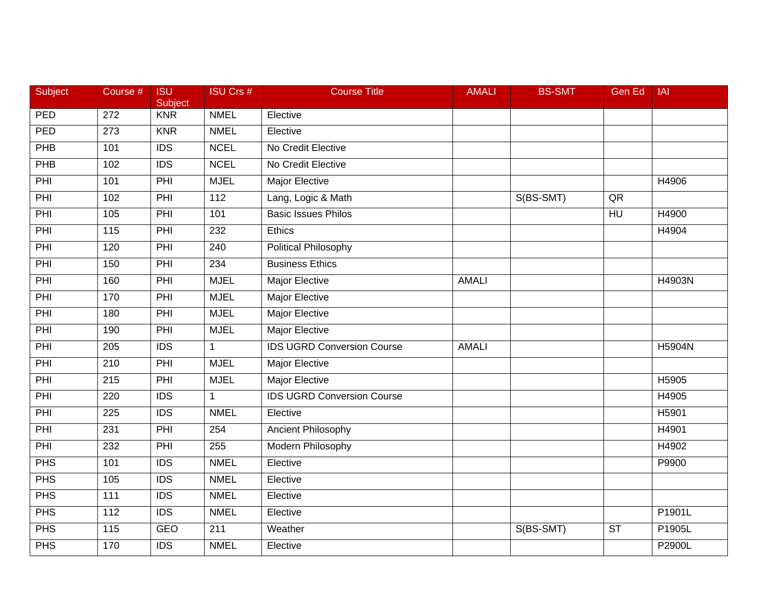| Subject | Course #         | <b>ISU</b><br>Subject | <b>ISU Crs #</b> | <b>Course Title</b>               | <b>AMALI</b> | <b>BS-SMT</b> | Gen Ed         | <b>IAI</b> |
|---------|------------------|-----------------------|------------------|-----------------------------------|--------------|---------------|----------------|------------|
| PED     | $\overline{272}$ | <b>KNR</b>            | <b>NMEL</b>      | Elective                          |              |               |                |            |
| PED     | 273              | <b>KNR</b>            | <b>NMEL</b>      | Elective                          |              |               |                |            |
| PHB     | 101              | <b>IDS</b>            | <b>NCEL</b>      | No Credit Elective                |              |               |                |            |
| PHB     | 102              | $\overline{IDS}$      | <b>NCEL</b>      | No Credit Elective                |              |               |                |            |
| PHI     | 101              | PHI                   | <b>MJEL</b>      | Major Elective                    |              |               |                | H4906      |
| PHI     | 102              | PHI                   | 112              | Lang, Logic & Math                |              | S(BS-SMT)     | QR             |            |
| PHI     | 105              | PHI                   | 101              | <b>Basic Issues Philos</b>        |              |               | H <sub>U</sub> | H4900      |
| PHI     | 115              | PHI                   | 232              | Ethics                            |              |               |                | H4904      |
| PHI     | 120              | PHI                   | 240              | <b>Political Philosophy</b>       |              |               |                |            |
| PHI     | 150              | PHI                   | 234              | <b>Business Ethics</b>            |              |               |                |            |
| PHI     | 160              | PHI                   | <b>MJEL</b>      | Major Elective                    | <b>AMALI</b> |               |                | H4903N     |
| PHI     | 170              | PHI                   | <b>MJEL</b>      | <b>Major Elective</b>             |              |               |                |            |
| PHI     | 180              | PHI                   | <b>MJEL</b>      | <b>Major Elective</b>             |              |               |                |            |
| PHI     | 190              | PHI                   | <b>MJEL</b>      | <b>Major Elective</b>             |              |               |                |            |
| PHI     | 205              | <b>IDS</b>            | $\mathbf{1}$     | <b>IDS UGRD Conversion Course</b> | <b>AMALI</b> |               |                | H5904N     |
| PHI     | 210              | PHI                   | <b>MJEL</b>      | Major Elective                    |              |               |                |            |
| PHI     | $\overline{215}$ | PHI                   | <b>MJEL</b>      | <b>Major Elective</b>             |              |               |                | H5905      |
| PHI     | 220              | $\overline{IDS}$      | $\mathbf{1}$     | <b>IDS UGRD Conversion Course</b> |              |               |                | H4905      |
| PHI     | 225              | <b>IDS</b>            | <b>NMEL</b>      | Elective                          |              |               |                | H5901      |
| PHI     | 231              | PHI                   | 254              | Ancient Philosophy                |              |               |                | H4901      |
| PHI     | 232              | PHI                   | 255              | Modern Philosophy                 |              |               |                | H4902      |
| PHS     | 101              | <b>IDS</b>            | <b>NMEL</b>      | Elective                          |              |               |                | P9900      |
| PHS     | 105              | IDS                   | <b>NMEL</b>      | Elective                          |              |               |                |            |
| PHS     | 111              | <b>IDS</b>            | <b>NMEL</b>      | Elective                          |              |               |                |            |
| PHS     | 112              | <b>IDS</b>            | <b>NMEL</b>      | Elective                          |              |               |                | P1901L     |
| PHS     | 115              | <b>GEO</b>            | 211              | Weather                           |              | S(BS-SMT)     | <b>ST</b>      | P1905L     |
| PHS     | 170              | $\overline{IDS}$      | <b>NMEL</b>      | Elective                          |              |               |                | P2900L     |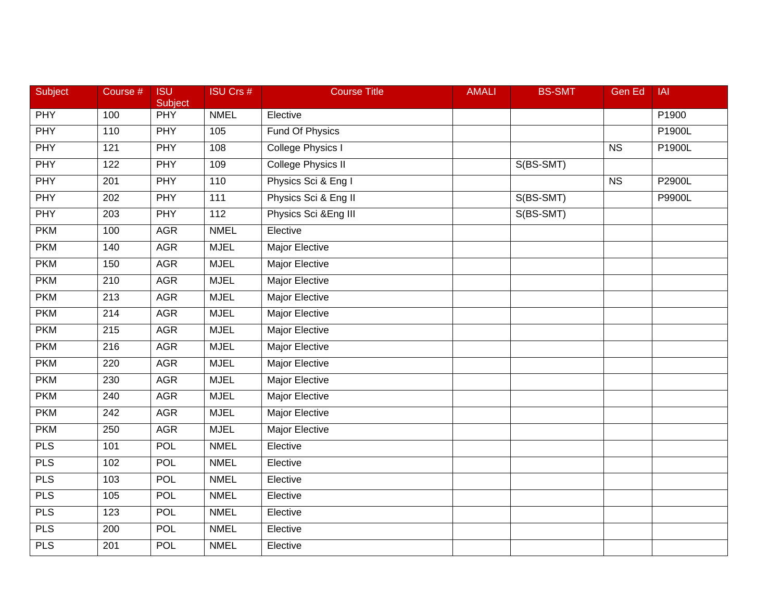| Subject    | Course #         | <b>ISU</b><br>Subject | <b>ISU Crs #</b> | <b>Course Title</b>       | <b>AMALI</b> | <b>BS-SMT</b> | <b>Gen Ed</b> | <b>IAI</b>    |
|------------|------------------|-----------------------|------------------|---------------------------|--------------|---------------|---------------|---------------|
| <b>PHY</b> | 100              | <b>PHY</b>            | <b>NMEL</b>      | Elective                  |              |               |               | P1900         |
| <b>PHY</b> | 110              | <b>PHY</b>            | 105              | <b>Fund Of Physics</b>    |              |               |               | P1900L        |
| <b>PHY</b> | 121              | PHY                   | 108              | College Physics I         |              |               | <b>NS</b>     | P1900L        |
| <b>PHY</b> | 122              | <b>PHY</b>            | 109              | <b>College Physics II</b> |              | S(BS-SMT)     |               |               |
| <b>PHY</b> | 201              | <b>PHY</b>            | 110              | Physics Sci & Eng I       |              |               | <b>NS</b>     | P2900L        |
| PHY        | 202              | PHY                   | 111              | Physics Sci & Eng II      |              | S(BS-SMT)     |               | <b>P9900L</b> |
| <b>PHY</b> | 203              | <b>PHY</b>            | 112              | Physics Sci & Eng III     |              | S(BS-SMT)     |               |               |
| <b>PKM</b> | 100              | <b>AGR</b>            | <b>NMEL</b>      | Elective                  |              |               |               |               |
| <b>PKM</b> | 140              | <b>AGR</b>            | <b>MJEL</b>      | <b>Major Elective</b>     |              |               |               |               |
| <b>PKM</b> | 150              | <b>AGR</b>            | <b>MJEL</b>      | Major Elective            |              |               |               |               |
| <b>PKM</b> | 210              | <b>AGR</b>            | <b>MJEL</b>      | Major Elective            |              |               |               |               |
| <b>PKM</b> | 213              | <b>AGR</b>            | <b>MJEL</b>      | <b>Major Elective</b>     |              |               |               |               |
| <b>PKM</b> | $\overline{214}$ | <b>AGR</b>            | <b>MJEL</b>      | <b>Major Elective</b>     |              |               |               |               |
| <b>PKM</b> | 215              | <b>AGR</b>            | <b>MJEL</b>      | <b>Major Elective</b>     |              |               |               |               |
| <b>PKM</b> | 216              | <b>AGR</b>            | <b>MJEL</b>      | <b>Major Elective</b>     |              |               |               |               |
| <b>PKM</b> | 220              | <b>AGR</b>            | <b>MJEL</b>      | Major Elective            |              |               |               |               |
| <b>PKM</b> | 230              | <b>AGR</b>            | <b>MJEL</b>      | <b>Major Elective</b>     |              |               |               |               |
| <b>PKM</b> | 240              | <b>AGR</b>            | <b>MJEL</b>      | <b>Major Elective</b>     |              |               |               |               |
| <b>PKM</b> | 242              | <b>AGR</b>            | <b>MJEL</b>      | <b>Major Elective</b>     |              |               |               |               |
| <b>PKM</b> | 250              | <b>AGR</b>            | <b>MJEL</b>      | Major Elective            |              |               |               |               |
| <b>PLS</b> | 101              | POL                   | <b>NMEL</b>      | Elective                  |              |               |               |               |
| <b>PLS</b> | 102              | <b>POL</b>            | <b>NMEL</b>      | Elective                  |              |               |               |               |
| <b>PLS</b> | 103              | <b>POL</b>            | <b>NMEL</b>      | Elective                  |              |               |               |               |
| <b>PLS</b> | 105              | <b>POL</b>            | <b>NMEL</b>      | Elective                  |              |               |               |               |
| <b>PLS</b> | 123              | <b>POL</b>            | <b>NMEL</b>      | Elective                  |              |               |               |               |
| <b>PLS</b> | 200              | <b>POL</b>            | <b>NMEL</b>      | Elective                  |              |               |               |               |
| <b>PLS</b> | 201              | <b>POL</b>            | <b>NMEL</b>      | Elective                  |              |               |               |               |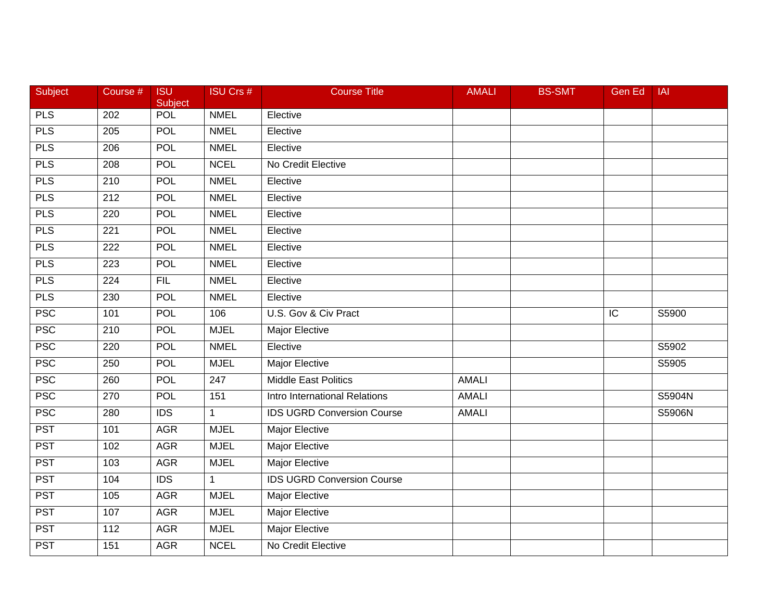| Subject    | Course #         | <b>ISU</b><br>Subject | <b>ISU Crs #</b> | <b>Course Title</b>               | <b>AMALI</b> | <b>BS-SMT</b> | Gen Ed         | <b>IAI</b>         |
|------------|------------------|-----------------------|------------------|-----------------------------------|--------------|---------------|----------------|--------------------|
| <b>PLS</b> | 202              | <b>POL</b>            | <b>NMEL</b>      | Elective                          |              |               |                |                    |
| <b>PLS</b> | 205              | <b>POL</b>            | <b>NMEL</b>      | Elective                          |              |               |                |                    |
| <b>PLS</b> | 206              | <b>POL</b>            | <b>NMEL</b>      | Elective                          |              |               |                |                    |
| <b>PLS</b> | 208              | <b>POL</b>            | <b>NCEL</b>      | No Credit Elective                |              |               |                |                    |
| <b>PLS</b> | 210              | POL                   | <b>NMEL</b>      | Elective                          |              |               |                |                    |
| <b>PLS</b> | 212              | <b>POL</b>            | <b>NMEL</b>      | Elective                          |              |               |                |                    |
| <b>PLS</b> | 220              | <b>POL</b>            | <b>NMEL</b>      | Elective                          |              |               |                |                    |
| <b>PLS</b> | 221              | <b>POL</b>            | <b>NMEL</b>      | Elective                          |              |               |                |                    |
| <b>PLS</b> | 222              | <b>POL</b>            | <b>NMEL</b>      | Elective                          |              |               |                |                    |
| <b>PLS</b> | 223              | <b>POL</b>            | <b>NMEL</b>      | Elective                          |              |               |                |                    |
| <b>PLS</b> | 224              | <b>FIL</b>            | <b>NMEL</b>      | Elective                          |              |               |                |                    |
| <b>PLS</b> | 230              | <b>POL</b>            | <b>NMEL</b>      | Elective                          |              |               |                |                    |
| <b>PSC</b> | 101              | <b>POL</b>            | 106              | U.S. Gov & Civ Pract              |              |               | $\overline{C}$ | $\overline{S5900}$ |
| <b>PSC</b> | 210              | <b>POL</b>            | <b>MJEL</b>      | Major Elective                    |              |               |                |                    |
| <b>PSC</b> | 220              | <b>POL</b>            | <b>NMEL</b>      | Elective                          |              |               |                | S5902              |
| <b>PSC</b> | 250              | POL                   | <b>MJEL</b>      | Major Elective                    |              |               |                | S5905              |
| <b>PSC</b> | 260              | <b>POL</b>            | $\overline{247}$ | <b>Middle East Politics</b>       | <b>AMALI</b> |               |                |                    |
| <b>PSC</b> | $\overline{270}$ | <b>POL</b>            | 151              | Intro International Relations     | <b>AMALI</b> |               |                | S5904N             |
| <b>PSC</b> | 280              | <b>IDS</b>            | $\mathbf{1}$     | <b>IDS UGRD Conversion Course</b> | <b>AMALI</b> |               |                | S5906N             |
| <b>PST</b> | 101              | <b>AGR</b>            | <b>MJEL</b>      | <b>Major Elective</b>             |              |               |                |                    |
| <b>PST</b> | 102              | <b>AGR</b>            | <b>MJEL</b>      | <b>Major Elective</b>             |              |               |                |                    |
| <b>PST</b> | 103              | <b>AGR</b>            | <b>MJEL</b>      | <b>Major Elective</b>             |              |               |                |                    |
| <b>PST</b> | 104              | $\overline{IDS}$      | 1                | <b>IDS UGRD Conversion Course</b> |              |               |                |                    |
| <b>PST</b> | 105              | <b>AGR</b>            | <b>MJEL</b>      | <b>Major Elective</b>             |              |               |                |                    |
| <b>PST</b> | 107              | <b>AGR</b>            | <b>MJEL</b>      | Major Elective                    |              |               |                |                    |
| <b>PST</b> | 112              | <b>AGR</b>            | <b>MJEL</b>      | Major Elective                    |              |               |                |                    |
| <b>PST</b> | 151              | <b>AGR</b>            | <b>NCEL</b>      | No Credit Elective                |              |               |                |                    |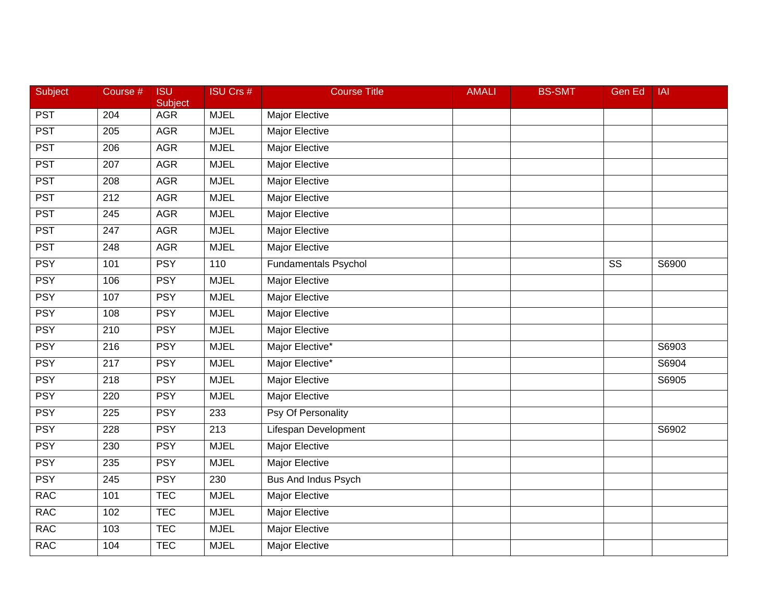| Subject    | Course #         | <b>ISU</b><br>Subject | <b>ISU Crs #</b> | <b>Course Title</b>         | <b>AMALI</b> | <b>BS-SMT</b> | <b>Gen Ed</b> | <b>IAI</b> |
|------------|------------------|-----------------------|------------------|-----------------------------|--------------|---------------|---------------|------------|
| <b>PST</b> | 204              | <b>AGR</b>            | <b>MJEL</b>      | Major Elective              |              |               |               |            |
| <b>PST</b> | 205              | <b>AGR</b>            | <b>MJEL</b>      | <b>Major Elective</b>       |              |               |               |            |
| <b>PST</b> | 206              | <b>AGR</b>            | <b>MJEL</b>      | <b>Major Elective</b>       |              |               |               |            |
| <b>PST</b> | 207              | <b>AGR</b>            | <b>MJEL</b>      | <b>Major Elective</b>       |              |               |               |            |
| <b>PST</b> | 208              | <b>AGR</b>            | <b>MJEL</b>      | Major Elective              |              |               |               |            |
| <b>PST</b> | 212              | <b>AGR</b>            | <b>MJEL</b>      | Major Elective              |              |               |               |            |
| <b>PST</b> | 245              | <b>AGR</b>            | <b>MJEL</b>      | <b>Major Elective</b>       |              |               |               |            |
| <b>PST</b> | $\overline{247}$ | <b>AGR</b>            | <b>MJEL</b>      | <b>Major Elective</b>       |              |               |               |            |
| <b>PST</b> | 248              | <b>AGR</b>            | <b>MJEL</b>      | <b>Major Elective</b>       |              |               |               |            |
| <b>PSY</b> | 101              | <b>PSY</b>            | 110              | <b>Fundamentals Psychol</b> |              |               | SS            | S6900      |
| <b>PSY</b> | 106              | <b>PSY</b>            | <b>MJEL</b>      | Major Elective              |              |               |               |            |
| <b>PSY</b> | 107              | <b>PSY</b>            | <b>MJEL</b>      | <b>Major Elective</b>       |              |               |               |            |
| <b>PSY</b> | 108              | <b>PSY</b>            | <b>MJEL</b>      | <b>Major Elective</b>       |              |               |               |            |
| <b>PSY</b> | 210              | <b>PSY</b>            | <b>MJEL</b>      | <b>Major Elective</b>       |              |               |               |            |
| <b>PSY</b> | 216              | <b>PSY</b>            | <b>MJEL</b>      | Major Elective*             |              |               |               | S6903      |
| <b>PSY</b> | 217              | <b>PSY</b>            | <b>MJEL</b>      | Major Elective*             |              |               |               | S6904      |
| <b>PSY</b> | 218              | <b>PSY</b>            | <b>MJEL</b>      | <b>Major Elective</b>       |              |               |               | S6905      |
| <b>PSY</b> | 220              | <b>PSY</b>            | <b>MJEL</b>      | <b>Major Elective</b>       |              |               |               |            |
| <b>PSY</b> | 225              | <b>PSY</b>            | 233              | Psy Of Personality          |              |               |               |            |
| <b>PSY</b> | $\overline{228}$ | <b>PSY</b>            | $\overline{213}$ | <b>Lifespan Development</b> |              |               |               | S6902      |
| <b>PSY</b> | 230              | <b>PSY</b>            | <b>MJEL</b>      | <b>Major Elective</b>       |              |               |               |            |
| <b>PSY</b> | 235              | <b>PSY</b>            | <b>MJEL</b>      | <b>Major Elective</b>       |              |               |               |            |
| <b>PSY</b> | $\overline{245}$ | <b>PSY</b>            | 230              | <b>Bus And Indus Psych</b>  |              |               |               |            |
| <b>RAC</b> | 101              | <b>TEC</b>            | <b>MJEL</b>      | <b>Major Elective</b>       |              |               |               |            |
| <b>RAC</b> | 102              | <b>TEC</b>            | <b>MJEL</b>      | Major Elective              |              |               |               |            |
| <b>RAC</b> | 103              | <b>TEC</b>            | <b>MJEL</b>      | <b>Major Elective</b>       |              |               |               |            |
| <b>RAC</b> | 104              | <b>TEC</b>            | <b>MJEL</b>      | <b>Major Elective</b>       |              |               |               |            |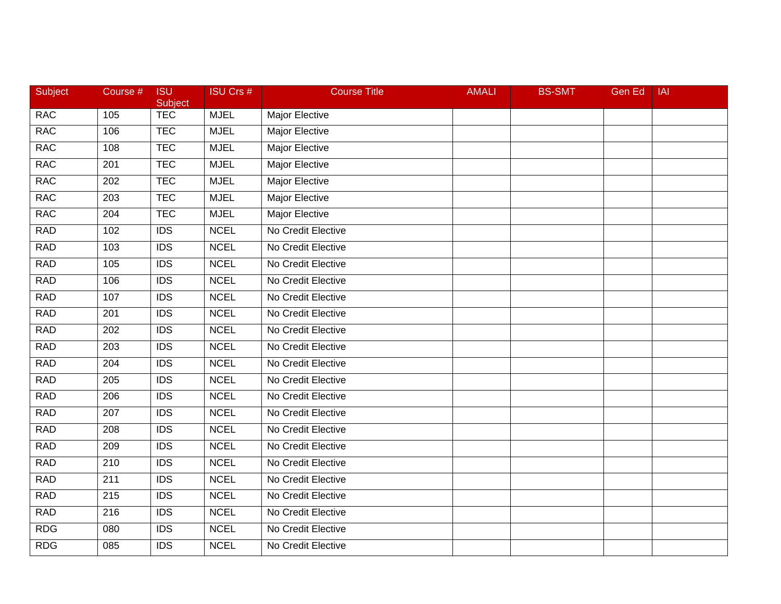| Subject    | Course #         | <b>ISU</b><br>Subject | <b>ISU Crs #</b> | <b>Course Title</b>   | <b>AMALI</b> | <b>BS-SMT</b> | <b>Gen Ed</b> | <b>IAI</b> |
|------------|------------------|-----------------------|------------------|-----------------------|--------------|---------------|---------------|------------|
| <b>RAC</b> | 105              | <b>TEC</b>            | <b>MJEL</b>      | Major Elective        |              |               |               |            |
| <b>RAC</b> | 106              | <b>TEC</b>            | <b>MJEL</b>      | Major Elective        |              |               |               |            |
| <b>RAC</b> | 108              | <b>TEC</b>            | <b>MJEL</b>      | Major Elective        |              |               |               |            |
| <b>RAC</b> | 201              | <b>TEC</b>            | <b>MJEL</b>      | <b>Major Elective</b> |              |               |               |            |
| <b>RAC</b> | 202              | <b>TEC</b>            | <b>MJEL</b>      | Major Elective        |              |               |               |            |
| <b>RAC</b> | 203              | <b>TEC</b>            | <b>MJEL</b>      | Major Elective        |              |               |               |            |
| <b>RAC</b> | 204              | <b>TEC</b>            | <b>MJEL</b>      | <b>Major Elective</b> |              |               |               |            |
| <b>RAD</b> | 102              | $\overline{IDS}$      | <b>NCEL</b>      | No Credit Elective    |              |               |               |            |
| <b>RAD</b> | 103              | $\overline{IDS}$      | <b>NCEL</b>      | No Credit Elective    |              |               |               |            |
| <b>RAD</b> | 105              | <b>IDS</b>            | <b>NCEL</b>      | No Credit Elective    |              |               |               |            |
| <b>RAD</b> | 106              | <b>IDS</b>            | <b>NCEL</b>      | No Credit Elective    |              |               |               |            |
| <b>RAD</b> | 107              | IDS                   | <b>NCEL</b>      | No Credit Elective    |              |               |               |            |
| <b>RAD</b> | 201              | $\overline{IDS}$      | <b>NCEL</b>      | No Credit Elective    |              |               |               |            |
| <b>RAD</b> | 202              | <b>IDS</b>            | <b>NCEL</b>      | No Credit Elective    |              |               |               |            |
| <b>RAD</b> | 203              | $\overline{IDS}$      | <b>NCEL</b>      | No Credit Elective    |              |               |               |            |
| <b>RAD</b> | 204              | <b>IDS</b>            | <b>NCEL</b>      | No Credit Elective    |              |               |               |            |
| <b>RAD</b> | 205              | IDS                   | <b>NCEL</b>      | No Credit Elective    |              |               |               |            |
| <b>RAD</b> | $\overline{206}$ | $\overline{IDS}$      | <b>NCEL</b>      | No Credit Elective    |              |               |               |            |
| <b>RAD</b> | 207              | <b>IDS</b>            | <b>NCEL</b>      | No Credit Elective    |              |               |               |            |
| <b>RAD</b> | 208              | <b>IDS</b>            | <b>NCEL</b>      | No Credit Elective    |              |               |               |            |
| <b>RAD</b> | 209              | <b>IDS</b>            | <b>NCEL</b>      | No Credit Elective    |              |               |               |            |
| <b>RAD</b> | 210              | <b>IDS</b>            | <b>NCEL</b>      | No Credit Elective    |              |               |               |            |
| <b>RAD</b> | $\overline{211}$ | $\overline{IDS}$      | <b>NCEL</b>      | No Credit Elective    |              |               |               |            |
| <b>RAD</b> | 215              | <b>IDS</b>            | <b>NCEL</b>      | No Credit Elective    |              |               |               |            |
| <b>RAD</b> | 216              | <b>IDS</b>            | <b>NCEL</b>      | No Credit Elective    |              |               |               |            |
| <b>RDG</b> | 080              | <b>IDS</b>            | <b>NCEL</b>      | No Credit Elective    |              |               |               |            |
| <b>RDG</b> | $\overline{085}$ | $\overline{IDS}$      | <b>NCEL</b>      | No Credit Elective    |              |               |               |            |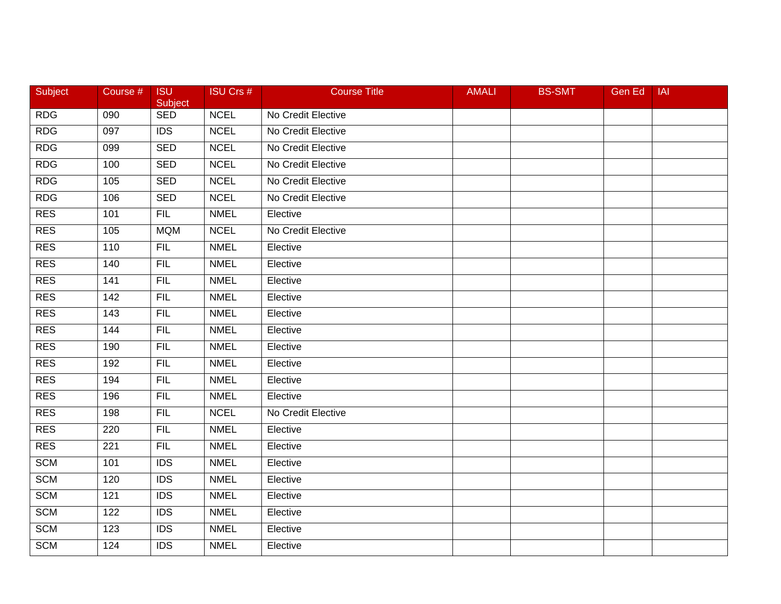| Subject    | Course #        | <b>ISU</b><br>Subject | <b>ISU Crs #</b> | <b>Course Title</b> | <b>AMALI</b> | <b>BS-SMT</b> | Gen Ed | <b>IAI</b> |
|------------|-----------------|-----------------------|------------------|---------------------|--------------|---------------|--------|------------|
| <b>RDG</b> | 090             | <b>SED</b>            | <b>NCEL</b>      | No Credit Elective  |              |               |        |            |
| <b>RDG</b> | 097             | $\overline{IDS}$      | <b>NCEL</b>      | No Credit Elective  |              |               |        |            |
| <b>RDG</b> | 099             | <b>SED</b>            | <b>NCEL</b>      | No Credit Elective  |              |               |        |            |
| <b>RDG</b> | 100             | <b>SED</b>            | <b>NCEL</b>      | No Credit Elective  |              |               |        |            |
| <b>RDG</b> | 105             | <b>SED</b>            | <b>NCEL</b>      | No Credit Elective  |              |               |        |            |
| <b>RDG</b> | 106             | <b>SED</b>            | <b>NCEL</b>      | No Credit Elective  |              |               |        |            |
| <b>RES</b> | 101             | FIL                   | <b>NMEL</b>      | Elective            |              |               |        |            |
| <b>RES</b> | 105             | <b>MQM</b>            | <b>NCEL</b>      | No Credit Elective  |              |               |        |            |
| RES        | 110             | FIL                   | <b>NMEL</b>      | Elective            |              |               |        |            |
| <b>RES</b> | 140             | <b>FIL</b>            | <b>NMEL</b>      | Elective            |              |               |        |            |
| <b>RES</b> | 141             | <b>FIL</b>            | <b>NMEL</b>      | Elective            |              |               |        |            |
| <b>RES</b> | 142             | FIL                   | <b>NMEL</b>      | Elective            |              |               |        |            |
| <b>RES</b> | $\frac{143}{ }$ | <b>FIL</b>            | <b>NMEL</b>      | Elective            |              |               |        |            |
| <b>RES</b> | 144             | <b>FIL</b>            | <b>NMEL</b>      | Elective            |              |               |        |            |
| <b>RES</b> | 190             | <b>FIL</b>            | <b>NMEL</b>      | Elective            |              |               |        |            |
| <b>RES</b> | 192             | <b>FIL</b>            | <b>NMEL</b>      | Elective            |              |               |        |            |
| <b>RES</b> | 194             | FIL                   | <b>NMEL</b>      | Elective            |              |               |        |            |
| <b>RES</b> | 196             | FIL                   | <b>NMEL</b>      | Elective            |              |               |        |            |
| <b>RES</b> | 198             | <b>FIL</b>            | <b>NCEL</b>      | No Credit Elective  |              |               |        |            |
| <b>RES</b> | 220             | <b>FIL</b>            | <b>NMEL</b>      | Elective            |              |               |        |            |
| <b>RES</b> | 221             | <b>FIL</b>            | <b>NMEL</b>      | Elective            |              |               |        |            |
| <b>SCM</b> | 101             | <b>IDS</b>            | <b>NMEL</b>      | Elective            |              |               |        |            |
| <b>SCM</b> | 120             | $\overline{IDS}$      | <b>NMEL</b>      | Elective            |              |               |        |            |
| <b>SCM</b> | 121             | <b>IDS</b>            | <b>NMEL</b>      | Elective            |              |               |        |            |
| <b>SCM</b> | 122             | <b>IDS</b>            | <b>NMEL</b>      | Elective            |              |               |        |            |
| <b>SCM</b> | 123             | <b>IDS</b>            | <b>NMEL</b>      | Elective            |              |               |        |            |
| <b>SCM</b> | 124             | <b>IDS</b>            | <b>NMEL</b>      | Elective            |              |               |        |            |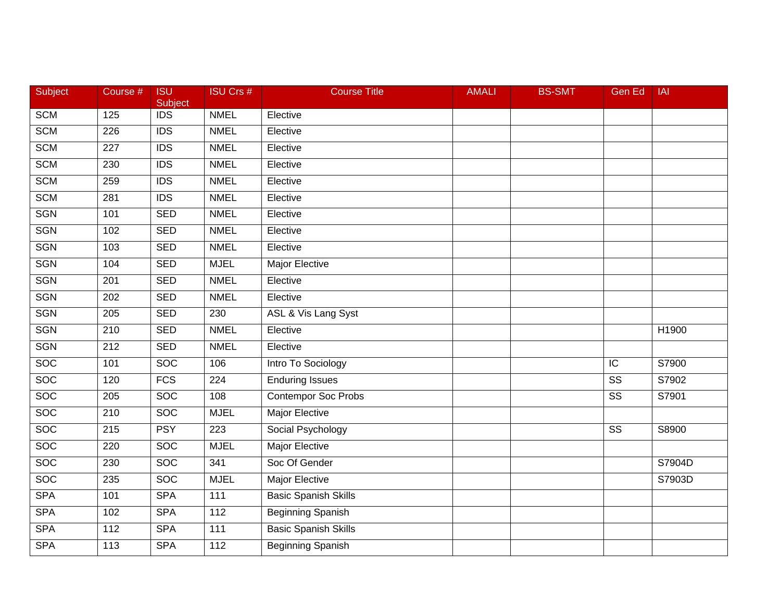| Subject          | Course #         | <b>ISU</b><br>Subject | <b>ISU Crs #</b> | <b>Course Title</b>         | <b>AMALI</b> | <b>BS-SMT</b> | <b>Gen Ed</b>          | <b>IAI</b> |
|------------------|------------------|-----------------------|------------------|-----------------------------|--------------|---------------|------------------------|------------|
| <b>SCM</b>       | 125              | <b>IDS</b>            | <b>NMEL</b>      | Elective                    |              |               |                        |            |
| <b>SCM</b>       | 226              | IDS                   | <b>NMEL</b>      | Elective                    |              |               |                        |            |
| <b>SCM</b>       | 227              | <b>IDS</b>            | <b>NMEL</b>      | Elective                    |              |               |                        |            |
| <b>SCM</b>       | 230              | $\overline{IDS}$      | <b>NMEL</b>      | Elective                    |              |               |                        |            |
| <b>SCM</b>       | 259              | <b>IDS</b>            | <b>NMEL</b>      | Elective                    |              |               |                        |            |
| <b>SCM</b>       | 281              | <b>IDS</b>            | <b>NMEL</b>      | Elective                    |              |               |                        |            |
| <b>SGN</b>       | 101              | <b>SED</b>            | <b>NMEL</b>      | Elective                    |              |               |                        |            |
| <b>SGN</b>       | 102              | <b>SED</b>            | <b>NMEL</b>      | Elective                    |              |               |                        |            |
| <b>SGN</b>       | 103              | <b>SED</b>            | <b>NMEL</b>      | Elective                    |              |               |                        |            |
| <b>SGN</b>       | 104              | <b>SED</b>            | <b>MJEL</b>      | Major Elective              |              |               |                        |            |
| <b>SGN</b>       | 201              | <b>SED</b>            | <b>NMEL</b>      | Elective                    |              |               |                        |            |
| <b>SGN</b>       | 202              | <b>SED</b>            | <b>NMEL</b>      | Elective                    |              |               |                        |            |
| <b>SGN</b>       | $\overline{205}$ | <b>SED</b>            | 230              | ASL & Vis Lang Syst         |              |               |                        |            |
| <b>SGN</b>       | 210              | <b>SED</b>            | <b>NMEL</b>      | Elective                    |              |               |                        | H1900      |
| <b>SGN</b>       | $\overline{212}$ | <b>SED</b>            | <b>NMEL</b>      | Elective                    |              |               |                        |            |
| <b>SOC</b>       | 101              | <b>SOC</b>            | 106              | Intro To Sociology          |              |               | IC                     | S7900      |
| <b>SOC</b>       | 120              | <b>FCS</b>            | 224              | <b>Enduring Issues</b>      |              |               | $\overline{\text{ss}}$ | S7902      |
| <b>SOC</b>       | $\overline{205}$ | <b>SOC</b>            | 108              | <b>Contempor Soc Probs</b>  |              |               | $\overline{\text{ss}}$ | S7901      |
| $\overline{SOC}$ | 210              | <b>SOC</b>            | <b>MJEL</b>      | <b>Major Elective</b>       |              |               |                        |            |
| <b>SOC</b>       | 215              | <b>PSY</b>            | $\overline{223}$ | Social Psychology           |              |               | $\overline{\text{ss}}$ | S8900      |
| <b>SOC</b>       | 220              | SOC                   | <b>MJEL</b>      | <b>Major Elective</b>       |              |               |                        |            |
| <b>SOC</b>       | 230              | <b>SOC</b>            | 341              | Soc Of Gender               |              |               |                        | S7904D     |
| <b>SOC</b>       | 235              | <b>SOC</b>            | <b>MJEL</b>      | <b>Major Elective</b>       |              |               |                        | S7903D     |
| <b>SPA</b>       | 101              | <b>SPA</b>            | $\frac{111}{11}$ | <b>Basic Spanish Skills</b> |              |               |                        |            |
| <b>SPA</b>       | 102              | <b>SPA</b>            | 112              | Beginning Spanish           |              |               |                        |            |
| <b>SPA</b>       | 112              | <b>SPA</b>            | 111              | <b>Basic Spanish Skills</b> |              |               |                        |            |
| <b>SPA</b>       | 113              | <b>SPA</b>            | 112              | <b>Beginning Spanish</b>    |              |               |                        |            |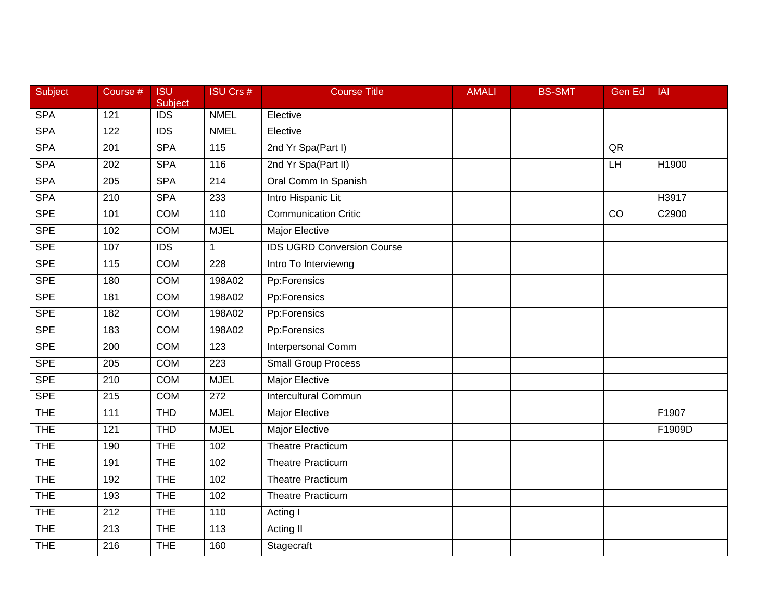| Subject    | Course #         | <b>ISU</b><br>Subject | <b>ISU Crs #</b> | <b>Course Title</b>               | <b>AMALI</b> | <b>BS-SMT</b> | <b>Gen Ed</b>   | <b>IAI</b> |
|------------|------------------|-----------------------|------------------|-----------------------------------|--------------|---------------|-----------------|------------|
| <b>SPA</b> | 121              | <b>IDS</b>            | <b>NMEL</b>      | Elective                          |              |               |                 |            |
| <b>SPA</b> | 122              | $\overline{IDS}$      | <b>NMEL</b>      | Elective                          |              |               |                 |            |
| <b>SPA</b> | 201              | <b>SPA</b>            | 115              | 2nd Yr Spa(Part I)                |              |               | QR              |            |
| <b>SPA</b> | 202              | <b>SPA</b>            | 116              | 2nd Yr Spa(Part II)               |              |               | H               | H1900      |
| <b>SPA</b> | 205              | <b>SPA</b>            | 214              | Oral Comm In Spanish              |              |               |                 |            |
| <b>SPA</b> | 210              | <b>SPA</b>            | 233              | Intro Hispanic Lit                |              |               |                 | H3917      |
| <b>SPE</b> | 101              | <b>COM</b>            | 110              | <b>Communication Critic</b>       |              |               | $\overline{CO}$ | C2900      |
| <b>SPE</b> | 102              | <b>COM</b>            | <b>MJEL</b>      | <b>Major Elective</b>             |              |               |                 |            |
| <b>SPE</b> | 107              | $\overline{IDS}$      | $\mathbf{1}$     | <b>IDS UGRD Conversion Course</b> |              |               |                 |            |
| <b>SPE</b> | 115              | <b>COM</b>            | 228              | Intro To Interviewng              |              |               |                 |            |
| <b>SPE</b> | 180              | <b>COM</b>            | 198A02           | Pp:Forensics                      |              |               |                 |            |
| <b>SPE</b> | 181              | <b>COM</b>            | 198A02           | Pp:Forensics                      |              |               |                 |            |
| <b>SPE</b> | 182              | <b>COM</b>            | 198A02           | Pp:Forensics                      |              |               |                 |            |
| <b>SPE</b> | 183              | <b>COM</b>            | 198A02           | Pp:Forensics                      |              |               |                 |            |
| <b>SPE</b> | 200              | <b>COM</b>            | 123              | <b>Interpersonal Comm</b>         |              |               |                 |            |
| <b>SPE</b> | 205              | <b>COM</b>            | 223              | <b>Small Group Process</b>        |              |               |                 |            |
| <b>SPE</b> | 210              | <b>COM</b>            | <b>MJEL</b>      | <b>Major Elective</b>             |              |               |                 |            |
| <b>SPE</b> | $\overline{215}$ | <b>COM</b>            | 272              | <b>Intercultural Commun</b>       |              |               |                 |            |
| <b>THE</b> | 111              | <b>THD</b>            | <b>MJEL</b>      | <b>Major Elective</b>             |              |               |                 | F1907      |
| <b>THE</b> | 121              | <b>THD</b>            | <b>MJEL</b>      | <b>Major Elective</b>             |              |               |                 | F1909D     |
| <b>THE</b> | 190              | <b>THE</b>            | 102              | <b>Theatre Practicum</b>          |              |               |                 |            |
| <b>THE</b> | 191              | <b>THE</b>            | 102              | <b>Theatre Practicum</b>          |              |               |                 |            |
| <b>THE</b> | 192              | <b>THE</b>            | 102              | <b>Theatre Practicum</b>          |              |               |                 |            |
| <b>THE</b> | 193              | <b>THE</b>            | 102              | <b>Theatre Practicum</b>          |              |               |                 |            |
| <b>THE</b> | 212              | <b>THE</b>            | 110              | Acting I                          |              |               |                 |            |
| <b>THE</b> | 213              | <b>THE</b>            | 113              | Acting II                         |              |               |                 |            |
| <b>THE</b> | $\overline{216}$ | <b>THE</b>            | 160              | Stagecraft                        |              |               |                 |            |